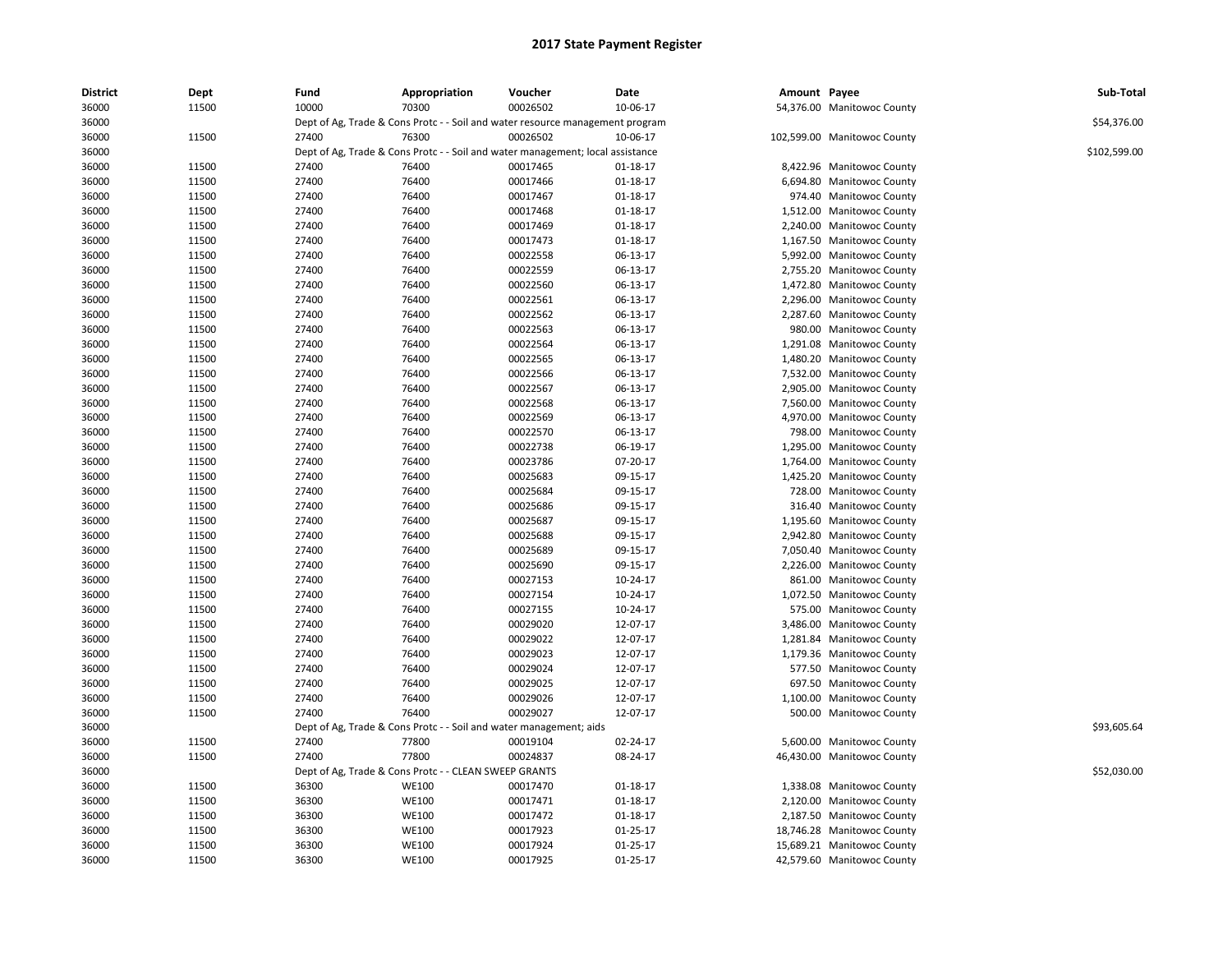| <b>District</b> | Dept  | Fund  | Appropriation                                                                  | Voucher  | Date           | Amount Payee |                             | Sub-Total    |
|-----------------|-------|-------|--------------------------------------------------------------------------------|----------|----------------|--------------|-----------------------------|--------------|
| 36000           | 11500 | 10000 | 70300                                                                          | 00026502 | 10-06-17       |              | 54,376.00 Manitowoc County  |              |
| 36000           |       |       | Dept of Ag, Trade & Cons Protc - - Soil and water resource management program  |          |                |              |                             | \$54,376.00  |
| 36000           | 11500 | 27400 | 76300                                                                          | 00026502 | 10-06-17       |              | 102,599.00 Manitowoc County |              |
| 36000           |       |       | Dept of Ag, Trade & Cons Protc - - Soil and water management; local assistance |          |                |              |                             | \$102,599.00 |
| 36000           | 11500 | 27400 | 76400                                                                          | 00017465 | 01-18-17       |              | 8,422.96 Manitowoc County   |              |
| 36000           | 11500 | 27400 | 76400                                                                          | 00017466 | 01-18-17       |              | 6,694.80 Manitowoc County   |              |
| 36000           | 11500 | 27400 | 76400                                                                          | 00017467 | 01-18-17       |              | 974.40 Manitowoc County     |              |
| 36000           | 11500 | 27400 | 76400                                                                          | 00017468 | 01-18-17       |              | 1,512.00 Manitowoc County   |              |
| 36000           | 11500 | 27400 | 76400                                                                          | 00017469 | 01-18-17       |              | 2,240.00 Manitowoc County   |              |
| 36000           | 11500 | 27400 | 76400                                                                          | 00017473 | 01-18-17       |              | 1,167.50 Manitowoc County   |              |
| 36000           | 11500 | 27400 | 76400                                                                          | 00022558 | 06-13-17       |              | 5,992.00 Manitowoc County   |              |
| 36000           | 11500 | 27400 | 76400                                                                          | 00022559 | 06-13-17       |              | 2,755.20 Manitowoc County   |              |
| 36000           | 11500 | 27400 | 76400                                                                          | 00022560 | 06-13-17       |              | 1,472.80 Manitowoc County   |              |
| 36000           | 11500 | 27400 | 76400                                                                          | 00022561 | 06-13-17       |              | 2,296.00 Manitowoc County   |              |
| 36000           | 11500 | 27400 | 76400                                                                          | 00022562 | 06-13-17       |              | 2,287.60 Manitowoc County   |              |
| 36000           | 11500 | 27400 | 76400                                                                          | 00022563 | 06-13-17       |              | 980.00 Manitowoc County     |              |
| 36000           | 11500 | 27400 | 76400                                                                          | 00022564 | 06-13-17       |              | 1,291.08 Manitowoc County   |              |
| 36000           | 11500 | 27400 | 76400                                                                          | 00022565 | 06-13-17       |              | 1,480.20 Manitowoc County   |              |
| 36000           | 11500 | 27400 | 76400                                                                          | 00022566 | 06-13-17       |              | 7,532.00 Manitowoc County   |              |
| 36000           | 11500 | 27400 | 76400                                                                          | 00022567 | 06-13-17       |              | 2,905.00 Manitowoc County   |              |
| 36000           | 11500 | 27400 | 76400                                                                          | 00022568 | 06-13-17       |              | 7,560.00 Manitowoc County   |              |
| 36000           | 11500 | 27400 | 76400                                                                          | 00022569 | 06-13-17       |              | 4,970.00 Manitowoc County   |              |
| 36000           | 11500 | 27400 | 76400                                                                          | 00022570 | 06-13-17       |              | 798.00 Manitowoc County     |              |
| 36000           | 11500 | 27400 | 76400                                                                          | 00022738 | 06-19-17       |              | 1,295.00 Manitowoc County   |              |
| 36000           | 11500 | 27400 | 76400                                                                          | 00023786 | 07-20-17       |              | 1,764.00 Manitowoc County   |              |
| 36000           | 11500 | 27400 | 76400                                                                          | 00025683 | 09-15-17       |              | 1,425.20 Manitowoc County   |              |
| 36000           | 11500 | 27400 | 76400                                                                          | 00025684 | 09-15-17       |              | 728.00 Manitowoc County     |              |
| 36000           | 11500 | 27400 | 76400                                                                          | 00025686 | 09-15-17       |              | 316.40 Manitowoc County     |              |
| 36000           | 11500 | 27400 | 76400                                                                          | 00025687 | 09-15-17       |              | 1,195.60 Manitowoc County   |              |
| 36000           | 11500 | 27400 | 76400                                                                          | 00025688 | 09-15-17       |              | 2,942.80 Manitowoc County   |              |
| 36000           | 11500 | 27400 | 76400                                                                          | 00025689 | 09-15-17       |              | 7,050.40 Manitowoc County   |              |
| 36000           | 11500 | 27400 | 76400                                                                          | 00025690 | 09-15-17       |              | 2,226.00 Manitowoc County   |              |
| 36000           | 11500 | 27400 | 76400                                                                          | 00027153 | 10-24-17       |              | 861.00 Manitowoc County     |              |
| 36000           | 11500 | 27400 | 76400                                                                          | 00027154 | 10-24-17       |              | 1,072.50 Manitowoc County   |              |
| 36000           | 11500 | 27400 | 76400                                                                          | 00027155 | 10-24-17       |              | 575.00 Manitowoc County     |              |
| 36000           | 11500 | 27400 | 76400                                                                          | 00029020 | 12-07-17       |              | 3,486.00 Manitowoc County   |              |
| 36000           | 11500 | 27400 | 76400                                                                          | 00029022 | 12-07-17       |              | 1,281.84 Manitowoc County   |              |
| 36000           | 11500 | 27400 | 76400                                                                          | 00029023 | 12-07-17       |              | 1,179.36 Manitowoc County   |              |
| 36000           | 11500 | 27400 | 76400                                                                          | 00029024 | 12-07-17       |              | 577.50 Manitowoc County     |              |
| 36000           | 11500 | 27400 | 76400                                                                          | 00029025 | 12-07-17       |              | 697.50 Manitowoc County     |              |
| 36000           | 11500 | 27400 | 76400                                                                          | 00029026 | 12-07-17       |              | 1,100.00 Manitowoc County   |              |
| 36000           | 11500 | 27400 | 76400                                                                          | 00029027 | 12-07-17       |              | 500.00 Manitowoc County     |              |
| 36000           |       |       | Dept of Ag, Trade & Cons Protc - - Soil and water management; aids             |          |                |              |                             | \$93,605.64  |
| 36000           | 11500 | 27400 | 77800                                                                          | 00019104 | 02-24-17       |              | 5,600.00 Manitowoc County   |              |
| 36000           | 11500 | 27400 | 77800                                                                          | 00024837 | 08-24-17       |              | 46,430.00 Manitowoc County  |              |
| 36000           |       |       | Dept of Ag, Trade & Cons Protc - - CLEAN SWEEP GRANTS                          |          |                |              |                             | \$52,030.00  |
| 36000           | 11500 | 36300 | <b>WE100</b>                                                                   | 00017470 | 01-18-17       |              | 1,338.08 Manitowoc County   |              |
| 36000           | 11500 | 36300 | <b>WE100</b>                                                                   | 00017471 | 01-18-17       |              | 2,120.00 Manitowoc County   |              |
| 36000           | 11500 | 36300 | <b>WE100</b>                                                                   | 00017472 | 01-18-17       |              | 2,187.50 Manitowoc County   |              |
| 36000           | 11500 | 36300 | <b>WE100</b>                                                                   | 00017923 | 01-25-17       |              | 18,746.28 Manitowoc County  |              |
| 36000           | 11500 | 36300 | <b>WE100</b>                                                                   | 00017924 | 01-25-17       |              | 15,689.21 Manitowoc County  |              |
| 36000           | 11500 | 36300 | <b>WE100</b>                                                                   | 00017925 | $01 - 25 - 17$ |              | 42,579.60 Manitowoc County  |              |
|                 |       |       |                                                                                |          |                |              |                             |              |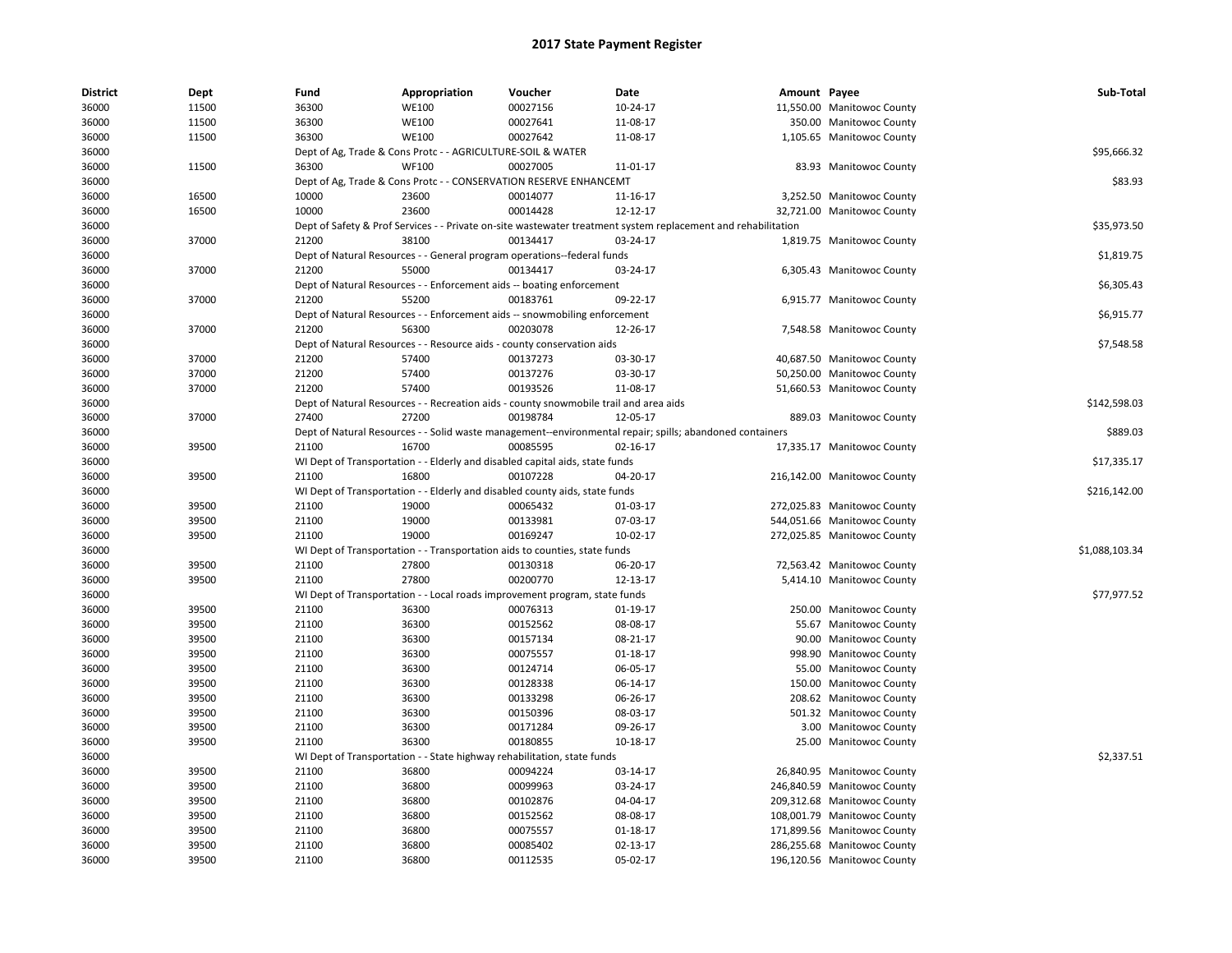| <b>District</b> | Dept           | Fund           | Appropriation                                               | Voucher                                                                               | <b>Date</b>                                                                                                   | Amount Payee |                                                           | Sub-Total      |
|-----------------|----------------|----------------|-------------------------------------------------------------|---------------------------------------------------------------------------------------|---------------------------------------------------------------------------------------------------------------|--------------|-----------------------------------------------------------|----------------|
| 36000           | 11500          | 36300          | <b>WE100</b>                                                | 00027156                                                                              | 10-24-17                                                                                                      |              | 11,550.00 Manitowoc County                                |                |
| 36000           | 11500          | 36300          | <b>WE100</b>                                                | 00027641                                                                              | 11-08-17                                                                                                      |              | 350.00 Manitowoc County                                   |                |
| 36000           | 11500          | 36300          | <b>WE100</b>                                                | 00027642                                                                              | 11-08-17                                                                                                      |              | 1,105.65 Manitowoc County                                 |                |
| 36000           |                |                | Dept of Ag, Trade & Cons Protc - - AGRICULTURE-SOIL & WATER |                                                                                       |                                                                                                               |              |                                                           | \$95,666.32    |
| 36000           | 11500          | 36300          | <b>WF100</b>                                                | 00027005                                                                              | 11-01-17                                                                                                      |              | 83.93 Manitowoc County                                    |                |
| 36000           |                |                |                                                             | Dept of Ag, Trade & Cons Protc - - CONSERVATION RESERVE ENHANCEMT                     |                                                                                                               |              |                                                           | \$83.93        |
| 36000           | 16500          | 10000          | 23600                                                       | 00014077                                                                              | 11-16-17                                                                                                      |              | 3,252.50 Manitowoc County                                 |                |
| 36000           | 16500          | 10000          | 23600                                                       | 00014428                                                                              | 12-12-17                                                                                                      |              | 32,721.00 Manitowoc County                                |                |
| 36000           |                |                |                                                             |                                                                                       | Dept of Safety & Prof Services - - Private on-site wastewater treatment system replacement and rehabilitation |              |                                                           | \$35,973.50    |
| 36000           | 37000          | 21200          | 38100                                                       | 00134417                                                                              | 03-24-17                                                                                                      |              | 1,819.75 Manitowoc County                                 |                |
| 36000           |                |                |                                                             | Dept of Natural Resources - - General program operations--federal funds               |                                                                                                               |              |                                                           | \$1,819.75     |
| 36000           | 37000          | 21200          | 55000                                                       | 00134417                                                                              | 03-24-17                                                                                                      |              | 6,305.43 Manitowoc County                                 |                |
| 36000           |                |                |                                                             | Dept of Natural Resources - - Enforcement aids -- boating enforcement                 |                                                                                                               |              |                                                           | \$6,305.43     |
| 36000           | 37000          | 21200          | 55200                                                       | 00183761                                                                              | 09-22-17                                                                                                      |              | 6,915.77 Manitowoc County                                 |                |
| 36000           |                |                |                                                             | Dept of Natural Resources - - Enforcement aids -- snowmobiling enforcement            |                                                                                                               |              |                                                           | \$6,915.77     |
| 36000           | 37000          | 21200          | 56300                                                       | 00203078                                                                              | 12-26-17                                                                                                      |              | 7,548.58 Manitowoc County                                 |                |
| 36000           |                |                |                                                             | Dept of Natural Resources - - Resource aids - county conservation aids                |                                                                                                               |              |                                                           | \$7,548.58     |
| 36000           | 37000          | 21200          | 57400                                                       | 00137273                                                                              | 03-30-17                                                                                                      |              | 40,687.50 Manitowoc County                                |                |
| 36000           | 37000          | 21200          | 57400                                                       | 00137276                                                                              | 03-30-17                                                                                                      |              | 50,250.00 Manitowoc County                                |                |
| 36000           | 37000          | 21200          | 57400                                                       | 00193526                                                                              | 11-08-17                                                                                                      |              | 51,660.53 Manitowoc County                                |                |
| 36000           |                |                |                                                             | Dept of Natural Resources - - Recreation aids - county snowmobile trail and area aids |                                                                                                               |              |                                                           | \$142,598.03   |
| 36000           | 37000          | 27400          | 27200                                                       | 00198784                                                                              | 12-05-17                                                                                                      |              | 889.03 Manitowoc County                                   |                |
| 36000           |                |                |                                                             |                                                                                       | Dept of Natural Resources - - Solid waste management--environmental repair; spills; abandoned containers      |              |                                                           | \$889.03       |
| 36000           | 39500          | 21100          | 16700                                                       | 00085595                                                                              | 02-16-17                                                                                                      |              | 17,335.17 Manitowoc County                                |                |
| 36000           |                |                |                                                             | WI Dept of Transportation - - Elderly and disabled capital aids, state funds          |                                                                                                               |              |                                                           | \$17,335.17    |
| 36000           | 39500          | 21100          | 16800                                                       | 00107228                                                                              | 04-20-17                                                                                                      |              | 216,142.00 Manitowoc County                               |                |
| 36000           |                |                |                                                             | WI Dept of Transportation - - Elderly and disabled county aids, state funds           |                                                                                                               |              |                                                           | \$216,142.00   |
| 36000           | 39500          | 21100          | 19000                                                       | 00065432                                                                              | 01-03-17                                                                                                      |              | 272,025.83 Manitowoc County                               |                |
| 36000           | 39500          | 21100          | 19000                                                       | 00133981                                                                              | 07-03-17                                                                                                      |              | 544,051.66 Manitowoc County                               |                |
| 36000           | 39500          | 21100          | 19000                                                       | 00169247                                                                              | 10-02-17                                                                                                      |              | 272,025.85 Manitowoc County                               |                |
| 36000           |                |                |                                                             | WI Dept of Transportation - - Transportation aids to counties, state funds            |                                                                                                               |              |                                                           | \$1,088,103.34 |
| 36000           | 39500          | 21100          | 27800                                                       | 00130318                                                                              | 06-20-17                                                                                                      |              | 72,563.42 Manitowoc County                                |                |
| 36000           | 39500          | 21100          | 27800                                                       | 00200770                                                                              | 12-13-17                                                                                                      |              | 5,414.10 Manitowoc County                                 |                |
| 36000           |                |                |                                                             | WI Dept of Transportation - - Local roads improvement program, state funds            |                                                                                                               |              |                                                           | \$77,977.52    |
| 36000           | 39500          | 21100          | 36300                                                       | 00076313                                                                              | 01-19-17                                                                                                      |              | 250.00 Manitowoc County                                   |                |
| 36000           | 39500          | 21100          | 36300                                                       | 00152562                                                                              | 08-08-17                                                                                                      |              | 55.67 Manitowoc County                                    |                |
| 36000           | 39500          | 21100          | 36300                                                       | 00157134                                                                              | 08-21-17                                                                                                      |              | 90.00 Manitowoc County                                    |                |
| 36000           | 39500          | 21100          | 36300                                                       | 00075557                                                                              | 01-18-17                                                                                                      |              | 998.90 Manitowoc County                                   |                |
| 36000           | 39500          | 21100          | 36300                                                       | 00124714                                                                              | 06-05-17                                                                                                      |              | 55.00 Manitowoc County                                    |                |
| 36000           | 39500          | 21100          | 36300                                                       | 00128338                                                                              | 06-14-17                                                                                                      |              | 150.00 Manitowoc County                                   |                |
| 36000           | 39500          | 21100          | 36300                                                       | 00133298                                                                              | 06-26-17                                                                                                      |              | 208.62 Manitowoc County                                   |                |
| 36000           | 39500          | 21100          | 36300                                                       | 00150396                                                                              | 08-03-17                                                                                                      |              | 501.32 Manitowoc County                                   |                |
| 36000           | 39500          | 21100          | 36300                                                       | 00171284                                                                              | 09-26-17                                                                                                      |              | 3.00 Manitowoc County                                     |                |
| 36000           | 39500          | 21100          | 36300                                                       | 00180855                                                                              | 10-18-17                                                                                                      |              | 25.00 Manitowoc County                                    |                |
| 36000           |                |                |                                                             |                                                                                       |                                                                                                               |              |                                                           | \$2,337.51     |
|                 |                |                |                                                             | WI Dept of Transportation - - State highway rehabilitation, state funds               |                                                                                                               |              |                                                           |                |
| 36000<br>36000  | 39500<br>39500 | 21100<br>21100 | 36800<br>36800                                              | 00094224<br>00099963                                                                  | 03-14-17<br>03-24-17                                                                                          |              | 26,840.95 Manitowoc County<br>246,840.59 Manitowoc County |                |
|                 |                |                |                                                             |                                                                                       |                                                                                                               |              |                                                           |                |
| 36000           | 39500          | 21100          | 36800                                                       | 00102876                                                                              | 04-04-17                                                                                                      |              | 209,312.68 Manitowoc County                               |                |
| 36000           | 39500          | 21100          | 36800                                                       | 00152562                                                                              | 08-08-17                                                                                                      |              | 108,001.79 Manitowoc County                               |                |
| 36000           | 39500          | 21100          | 36800                                                       | 00075557                                                                              | 01-18-17                                                                                                      |              | 171,899.56 Manitowoc County                               |                |
| 36000           | 39500          | 21100          | 36800                                                       | 00085402                                                                              | 02-13-17                                                                                                      |              | 286,255.68 Manitowoc County                               |                |
| 36000           | 39500          | 21100          | 36800                                                       | 00112535                                                                              | 05-02-17                                                                                                      |              | 196,120.56 Manitowoc County                               |                |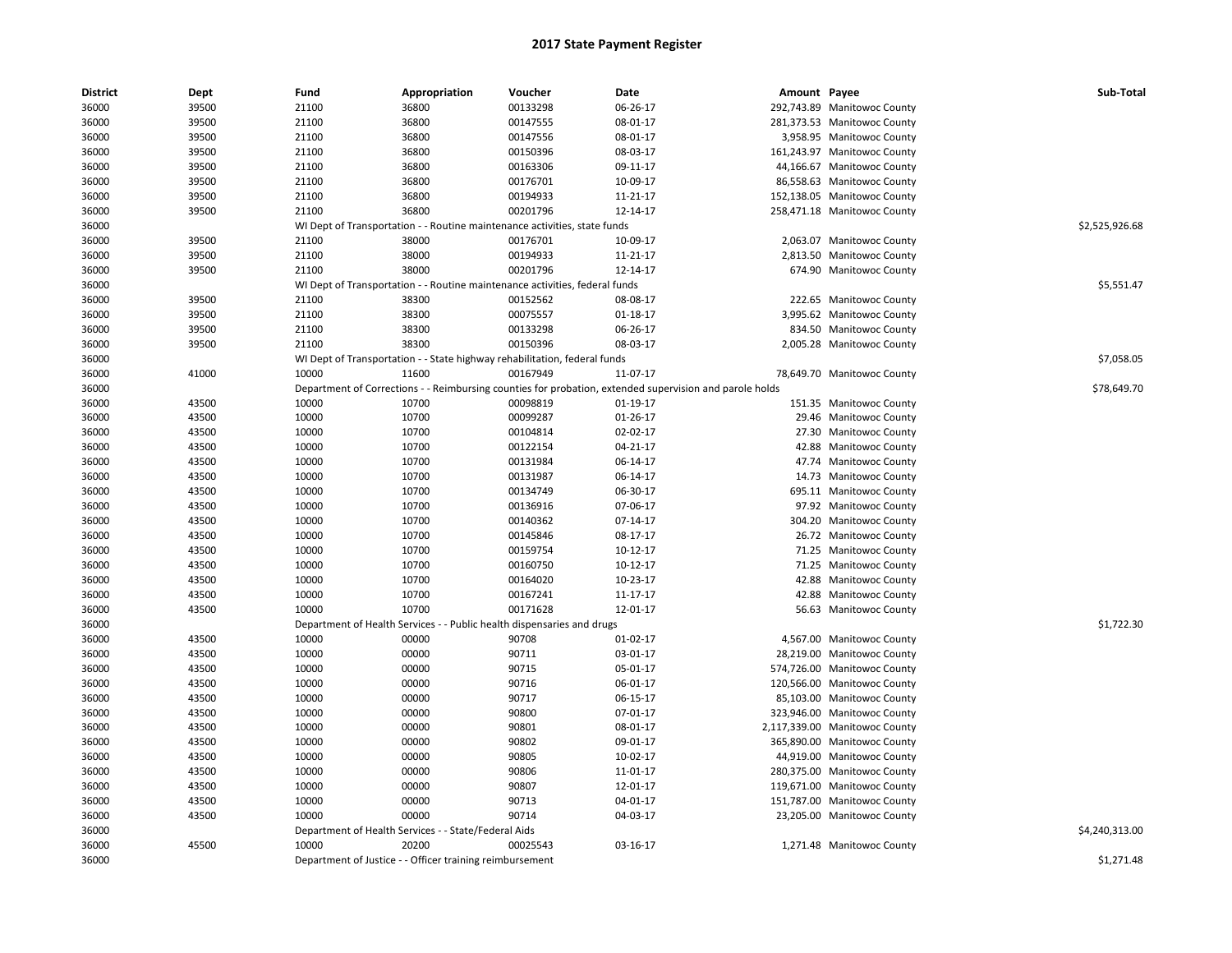| <b>District</b> | Dept           | Fund                          | Appropriation                                                               | Voucher                                | Date                                                                                                    | Amount Payee |                                                           | Sub-Total      |
|-----------------|----------------|-------------------------------|-----------------------------------------------------------------------------|----------------------------------------|---------------------------------------------------------------------------------------------------------|--------------|-----------------------------------------------------------|----------------|
| 36000           | 39500          | 21100                         | 36800                                                                       | 00133298                               | 06-26-17                                                                                                |              | 292,743.89 Manitowoc County                               |                |
| 36000           | 39500          | 21100                         | 36800                                                                       | 00147555                               | 08-01-17                                                                                                |              | 281,373.53 Manitowoc County                               |                |
| 36000           | 39500          | 21100                         | 36800                                                                       | 00147556                               | 08-01-17                                                                                                |              | 3,958.95 Manitowoc County                                 |                |
| 36000           | 39500          | 21100                         | 36800                                                                       | 00150396                               | 08-03-17                                                                                                |              | 161,243.97 Manitowoc County                               |                |
| 36000           | 39500          | 21100                         | 36800                                                                       | 00163306                               | 09-11-17                                                                                                |              | 44,166.67 Manitowoc County                                |                |
| 36000           | 39500          | 21100                         | 36800                                                                       | 00176701                               | 10-09-17                                                                                                |              | 86,558.63 Manitowoc County                                |                |
| 36000           | 39500          | 21100                         | 36800                                                                       | 00194933                               | 11-21-17                                                                                                |              | 152,138.05 Manitowoc County                               |                |
| 36000           | 39500          | 21100                         | 36800                                                                       | 00201796                               | 12-14-17                                                                                                |              | 258,471.18 Manitowoc County                               |                |
| 36000           |                |                               | WI Dept of Transportation - - Routine maintenance activities, state funds   |                                        |                                                                                                         |              |                                                           | \$2,525,926.68 |
| 36000           | 39500          | 21100                         | 38000                                                                       | 00176701                               | 10-09-17                                                                                                |              | 2,063.07 Manitowoc County                                 |                |
| 36000           | 39500          | 21100                         | 38000                                                                       | 00194933                               | 11-21-17                                                                                                |              | 2,813.50 Manitowoc County                                 |                |
| 36000           | 39500          | 21100                         | 38000                                                                       | 00201796                               | 12-14-17                                                                                                |              | 674.90 Manitowoc County                                   |                |
| 36000           |                |                               | WI Dept of Transportation - - Routine maintenance activities, federal funds |                                        |                                                                                                         |              |                                                           | \$5,551.47     |
| 36000           | 39500          | 21100                         | 38300                                                                       | 00152562                               | 08-08-17                                                                                                |              | 222.65 Manitowoc County                                   |                |
| 36000           | 39500          | 21100                         | 38300                                                                       | 00075557                               | 01-18-17                                                                                                |              | 3,995.62 Manitowoc County                                 |                |
| 36000           | 39500          | 21100                         | 38300                                                                       | 00133298                               | 06-26-17                                                                                                |              | 834.50 Manitowoc County                                   |                |
| 36000           | 39500          | 21100                         | 38300                                                                       | 00150396                               | 08-03-17                                                                                                |              | 2,005.28 Manitowoc County                                 |                |
| 36000           |                |                               | WI Dept of Transportation - - State highway rehabilitation, federal funds   |                                        |                                                                                                         |              |                                                           | \$7,058.05     |
| 36000           | 41000          | 10000                         | 11600                                                                       | 00167949                               | 11-07-17                                                                                                |              | 78,649.70 Manitowoc County                                |                |
| 36000           |                |                               |                                                                             |                                        | Department of Corrections - - Reimbursing counties for probation, extended supervision and parole holds |              |                                                           | \$78,649.70    |
| 36000           | 43500          | 10000                         | 10700                                                                       | 00098819                               | 01-19-17                                                                                                |              | 151.35 Manitowoc County                                   |                |
| 36000           | 43500          | 10000                         | 10700                                                                       | 00099287                               | 01-26-17                                                                                                |              | 29.46 Manitowoc County                                    |                |
| 36000           | 43500          | 10000                         | 10700                                                                       | 00104814                               | 02-02-17                                                                                                |              | 27.30 Manitowoc County                                    |                |
| 36000           | 43500          | 10000                         | 10700                                                                       | 00122154                               | 04-21-17                                                                                                |              | 42.88 Manitowoc County                                    |                |
| 36000           | 43500          | 10000                         | 10700                                                                       | 00131984                               | 06-14-17                                                                                                |              | 47.74 Manitowoc County                                    |                |
| 36000           | 43500          | 10000                         | 10700                                                                       | 00131987                               | 06-14-17                                                                                                |              | 14.73 Manitowoc County                                    |                |
| 36000           | 43500          | 10000                         | 10700                                                                       | 00134749                               | 06-30-17                                                                                                |              | 695.11 Manitowoc County                                   |                |
| 36000           | 43500          | 10000                         | 10700                                                                       | 00136916                               | 07-06-17                                                                                                |              | 97.92 Manitowoc County                                    |                |
| 36000           | 43500          | 10000                         | 10700                                                                       | 00140362                               | 07-14-17                                                                                                | 304.20       | <b>Manitowoc County</b>                                   |                |
| 36000           | 43500          | 10000                         | 10700                                                                       | 00145846                               | 08-17-17                                                                                                |              | 26.72 Manitowoc County                                    |                |
| 36000           | 43500          | 10000                         | 10700                                                                       | 00159754                               | 10-12-17                                                                                                |              | 71.25 Manitowoc County                                    |                |
| 36000           | 43500          | 10000                         | 10700                                                                       | 00160750                               | 10-12-17                                                                                                | 71.25        | <b>Manitowoc County</b>                                   |                |
| 36000           | 43500          | 10000                         | 10700                                                                       | 00164020                               | 10-23-17                                                                                                |              | 42.88 Manitowoc County                                    |                |
| 36000           | 43500          | 10000                         | 10700                                                                       | 00167241                               | $11 - 17 - 17$                                                                                          | 42.88        | <b>Manitowoc County</b>                                   |                |
| 36000           | 43500          | 10000                         | 10700                                                                       | 00171628                               | 12-01-17                                                                                                |              | 56.63 Manitowoc County                                    |                |
| 36000           |                | Department of Health Services |                                                                             | - Public health dispensaries and drugs |                                                                                                         |              |                                                           | \$1,722.30     |
| 36000           | 43500          | 10000                         | 00000                                                                       | 90708                                  | $01-02-17$                                                                                              |              | 4,567.00 Manitowoc County                                 |                |
| 36000           | 43500          | 10000                         | 00000                                                                       | 90711                                  | 03-01-17                                                                                                |              | 28,219.00 Manitowoc County                                |                |
| 36000           | 43500          | 10000                         | 00000                                                                       | 90715                                  | 05-01-17                                                                                                | 574,726.00   | <b>Manitowoc County</b>                                   |                |
| 36000           | 43500          | 10000                         | 00000                                                                       | 90716                                  | 06-01-17                                                                                                |              | 120,566.00 Manitowoc County                               |                |
| 36000           | 43500          | 10000                         | 00000                                                                       | 90717                                  | 06-15-17                                                                                                |              | 85,103.00 Manitowoc County                                |                |
| 36000           | 43500          | 10000                         | 00000                                                                       | 90800                                  | $07 - 01 - 17$                                                                                          |              | 323,946.00 Manitowoc County                               |                |
| 36000           | 43500          | 10000                         | 00000                                                                       | 90801                                  | 08-01-17                                                                                                |              | 2,117,339.00 Manitowoc County                             |                |
| 36000           | 43500          | 10000                         | 00000                                                                       | 90802                                  | 09-01-17                                                                                                | 365,890.00   | <b>Manitowoc County</b>                                   |                |
|                 |                |                               |                                                                             |                                        |                                                                                                         |              |                                                           |                |
| 36000<br>36000  | 43500<br>43500 | 10000<br>10000                | 00000<br>00000                                                              | 90805<br>90806                         | 10-02-17<br>11-01-17                                                                                    |              | 44,919.00 Manitowoc County<br>280,375.00 Manitowoc County |                |
| 36000           | 43500          | 10000                         | 00000                                                                       | 90807                                  | 12-01-17                                                                                                |              | 119,671.00 Manitowoc County                               |                |
|                 |                |                               |                                                                             |                                        |                                                                                                         |              |                                                           |                |
| 36000           | 43500          | 10000                         | 00000<br>00000                                                              | 90713                                  | 04-01-17                                                                                                |              | 151,787.00 Manitowoc County                               |                |
| 36000           | 43500          | 10000                         |                                                                             | 90714                                  | 04-03-17                                                                                                |              | 23,205.00 Manitowoc County                                |                |
| 36000           |                |                               | Department of Health Services - - State/Federal Aids<br>20200               |                                        |                                                                                                         |              |                                                           | \$4,240,313.00 |
| 36000           | 45500          | 10000                         |                                                                             | 00025543                               | 03-16-17                                                                                                |              | 1,271.48 Manitowoc County                                 |                |
| 36000           |                |                               | Department of Justice - - Officer training reimbursement                    |                                        |                                                                                                         |              |                                                           | \$1,271.48     |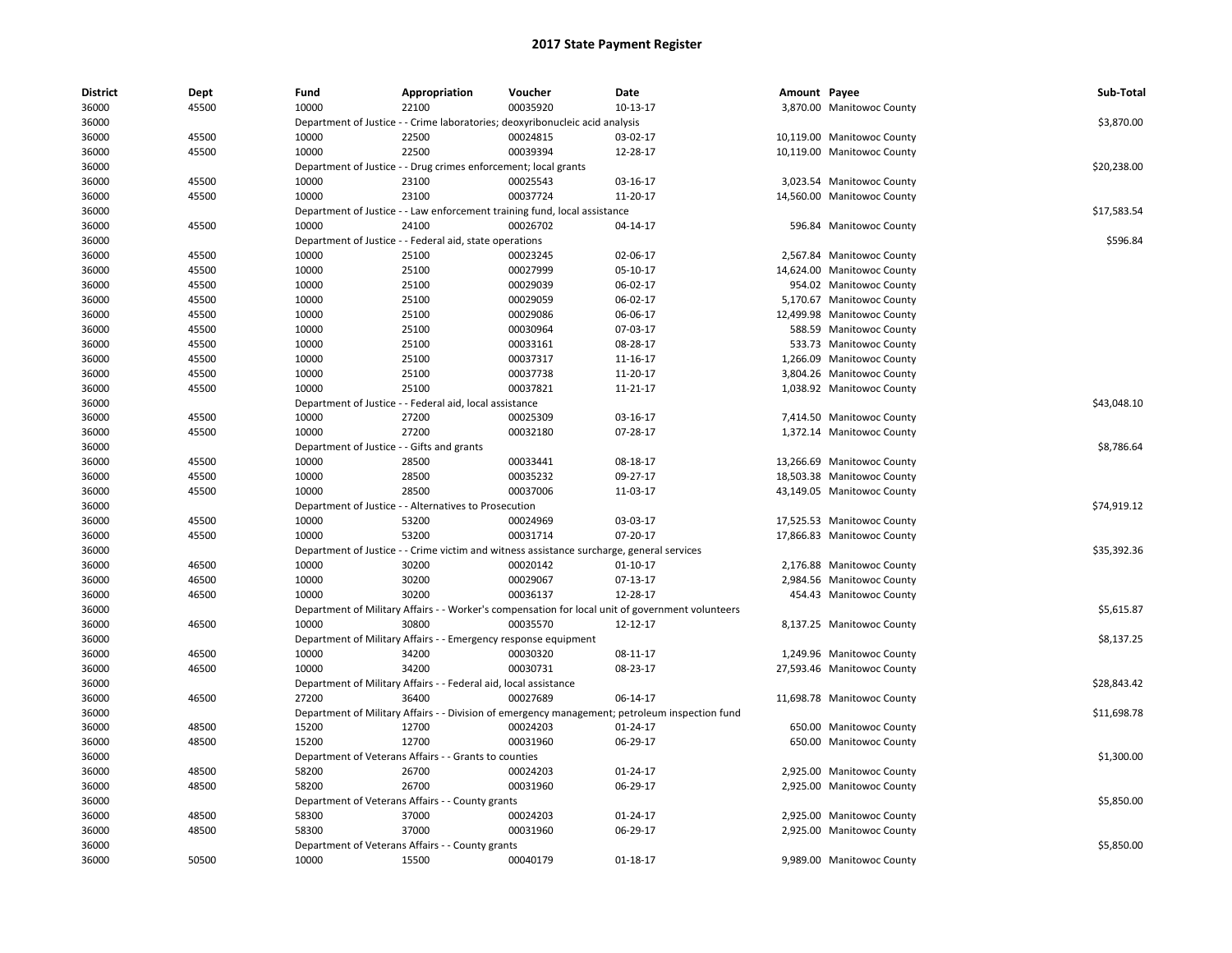| <b>District</b> | Dept  | Fund                                       | Appropriation                                                    | Voucher                                                                                   | Date                                                                                             | Amount Payee |                            | Sub-Total   |
|-----------------|-------|--------------------------------------------|------------------------------------------------------------------|-------------------------------------------------------------------------------------------|--------------------------------------------------------------------------------------------------|--------------|----------------------------|-------------|
| 36000           | 45500 | 10000                                      | 22100                                                            | 00035920                                                                                  | 10-13-17                                                                                         |              | 3,870.00 Manitowoc County  |             |
| 36000           |       |                                            |                                                                  | Department of Justice - - Crime laboratories; deoxyribonucleic acid analysis              |                                                                                                  |              |                            | \$3,870.00  |
| 36000           | 45500 | 10000                                      | 22500                                                            | 00024815                                                                                  | 03-02-17                                                                                         |              | 10,119.00 Manitowoc County |             |
| 36000           | 45500 | 10000                                      | 22500                                                            | 00039394                                                                                  | 12-28-17                                                                                         |              | 10,119.00 Manitowoc County |             |
| 36000           |       |                                            | Department of Justice - - Drug crimes enforcement; local grants  |                                                                                           |                                                                                                  |              |                            | \$20,238.00 |
| 36000           | 45500 | 10000                                      | 23100                                                            | 00025543                                                                                  | 03-16-17                                                                                         |              | 3,023.54 Manitowoc County  |             |
| 36000           | 45500 | 10000                                      | 23100                                                            | 00037724                                                                                  | 11-20-17                                                                                         |              | 14,560.00 Manitowoc County |             |
| 36000           |       |                                            |                                                                  | Department of Justice - - Law enforcement training fund, local assistance                 |                                                                                                  |              |                            | \$17,583.54 |
| 36000           | 45500 | 10000                                      | 24100                                                            | 00026702                                                                                  | 04-14-17                                                                                         |              | 596.84 Manitowoc County    |             |
| 36000           |       |                                            | Department of Justice - - Federal aid, state operations          |                                                                                           |                                                                                                  |              |                            | \$596.84    |
| 36000           | 45500 | 10000                                      | 25100                                                            | 00023245                                                                                  | 02-06-17                                                                                         |              | 2,567.84 Manitowoc County  |             |
| 36000           | 45500 | 10000                                      | 25100                                                            | 00027999                                                                                  | 05-10-17                                                                                         |              | 14,624.00 Manitowoc County |             |
| 36000           | 45500 | 10000                                      | 25100                                                            | 00029039                                                                                  | 06-02-17                                                                                         |              | 954.02 Manitowoc County    |             |
| 36000           | 45500 | 10000                                      | 25100                                                            | 00029059                                                                                  | 06-02-17                                                                                         |              | 5,170.67 Manitowoc County  |             |
| 36000           | 45500 | 10000                                      | 25100                                                            | 00029086                                                                                  | 06-06-17                                                                                         |              | 12,499.98 Manitowoc County |             |
| 36000           | 45500 | 10000                                      | 25100                                                            | 00030964                                                                                  | 07-03-17                                                                                         |              | 588.59 Manitowoc County    |             |
| 36000           | 45500 | 10000                                      | 25100                                                            | 00033161                                                                                  | 08-28-17                                                                                         |              | 533.73 Manitowoc County    |             |
| 36000           | 45500 | 10000                                      | 25100                                                            | 00037317                                                                                  | 11-16-17                                                                                         |              | 1,266.09 Manitowoc County  |             |
| 36000           | 45500 | 10000                                      | 25100                                                            | 00037738                                                                                  | 11-20-17                                                                                         |              | 3,804.26 Manitowoc County  |             |
| 36000           | 45500 | 10000                                      | 25100                                                            | 00037821                                                                                  | 11-21-17                                                                                         |              | 1,038.92 Manitowoc County  |             |
| 36000           |       |                                            | Department of Justice - - Federal aid, local assistance          |                                                                                           |                                                                                                  |              |                            | \$43,048.10 |
| 36000           | 45500 | 10000                                      | 27200                                                            | 00025309                                                                                  | 03-16-17                                                                                         |              | 7,414.50 Manitowoc County  |             |
| 36000           | 45500 | 10000                                      | 27200                                                            | 00032180                                                                                  | 07-28-17                                                                                         |              | 1,372.14 Manitowoc County  |             |
| 36000           |       | Department of Justice - - Gifts and grants |                                                                  |                                                                                           |                                                                                                  |              |                            | \$8,786.64  |
| 36000           | 45500 | 10000                                      | 28500                                                            | 00033441                                                                                  | 08-18-17                                                                                         |              | 13,266.69 Manitowoc County |             |
| 36000           | 45500 | 10000                                      | 28500                                                            | 00035232                                                                                  | 09-27-17                                                                                         |              | 18,503.38 Manitowoc County |             |
| 36000           | 45500 | 10000                                      | 28500                                                            | 00037006                                                                                  | 11-03-17                                                                                         |              | 43,149.05 Manitowoc County |             |
| 36000           |       |                                            | Department of Justice - - Alternatives to Prosecution            |                                                                                           |                                                                                                  |              |                            | \$74,919.12 |
| 36000           | 45500 | 10000                                      | 53200                                                            | 00024969                                                                                  | 03-03-17                                                                                         |              | 17,525.53 Manitowoc County |             |
| 36000           | 45500 | 10000                                      | 53200                                                            | 00031714                                                                                  | 07-20-17                                                                                         |              | 17,866.83 Manitowoc County |             |
| 36000           |       |                                            |                                                                  | Department of Justice - - Crime victim and witness assistance surcharge, general services |                                                                                                  |              |                            | \$35,392.36 |
| 36000           | 46500 | 10000                                      | 30200                                                            | 00020142                                                                                  | $01 - 10 - 17$                                                                                   |              | 2,176.88 Manitowoc County  |             |
| 36000           | 46500 | 10000                                      | 30200                                                            | 00029067                                                                                  | 07-13-17                                                                                         |              | 2,984.56 Manitowoc County  |             |
| 36000           | 46500 | 10000                                      | 30200                                                            | 00036137                                                                                  | 12-28-17                                                                                         |              | 454.43 Manitowoc County    |             |
| 36000           |       |                                            |                                                                  |                                                                                           | Department of Military Affairs - - Worker's compensation for local unit of government volunteers |              |                            | \$5,615.87  |
| 36000           | 46500 | 10000                                      | 30800                                                            | 00035570                                                                                  | 12-12-17                                                                                         |              | 8,137.25 Manitowoc County  |             |
| 36000           |       |                                            | Department of Military Affairs - - Emergency response equipment  |                                                                                           |                                                                                                  |              |                            | \$8,137.25  |
| 36000           | 46500 | 10000                                      | 34200                                                            | 00030320                                                                                  | 08-11-17                                                                                         |              | 1,249.96 Manitowoc County  |             |
| 36000           | 46500 | 10000                                      | 34200                                                            | 00030731                                                                                  | 08-23-17                                                                                         |              | 27,593.46 Manitowoc County |             |
| 36000           |       |                                            | Department of Military Affairs - - Federal aid, local assistance |                                                                                           |                                                                                                  |              |                            | \$28,843.42 |
| 36000           | 46500 | 27200                                      | 36400                                                            | 00027689                                                                                  | 06-14-17                                                                                         |              | 11,698.78 Manitowoc County |             |
| 36000           |       |                                            |                                                                  |                                                                                           | Department of Military Affairs - - Division of emergency management; petroleum inspection fund   |              |                            | \$11,698.78 |
| 36000           | 48500 | 15200                                      | 12700                                                            | 00024203                                                                                  | 01-24-17                                                                                         |              | 650.00 Manitowoc County    |             |
| 36000           | 48500 | 15200                                      | 12700                                                            | 00031960                                                                                  | 06-29-17                                                                                         |              | 650.00 Manitowoc County    |             |
| 36000           |       |                                            | Department of Veterans Affairs - - Grants to counties            |                                                                                           |                                                                                                  |              |                            | \$1,300.00  |
| 36000           | 48500 | 58200                                      | 26700                                                            | 00024203                                                                                  | 01-24-17                                                                                         |              | 2,925.00 Manitowoc County  |             |
| 36000           | 48500 | 58200                                      | 26700                                                            | 00031960                                                                                  | 06-29-17                                                                                         |              | 2,925.00 Manitowoc County  |             |
| 36000           |       |                                            | Department of Veterans Affairs - - County grants                 |                                                                                           |                                                                                                  |              |                            | \$5,850.00  |
| 36000           | 48500 | 58300                                      | 37000                                                            | 00024203                                                                                  | 01-24-17                                                                                         |              | 2,925.00 Manitowoc County  |             |
| 36000           | 48500 | 58300                                      | 37000                                                            | 00031960                                                                                  | 06-29-17                                                                                         |              | 2,925.00 Manitowoc County  |             |
| 36000           |       |                                            | Department of Veterans Affairs - - County grants                 |                                                                                           |                                                                                                  |              |                            | \$5,850.00  |
| 36000           | 50500 | 10000                                      | 15500                                                            | 00040179                                                                                  | $01 - 18 - 17$                                                                                   |              | 9,989.00 Manitowoc County  |             |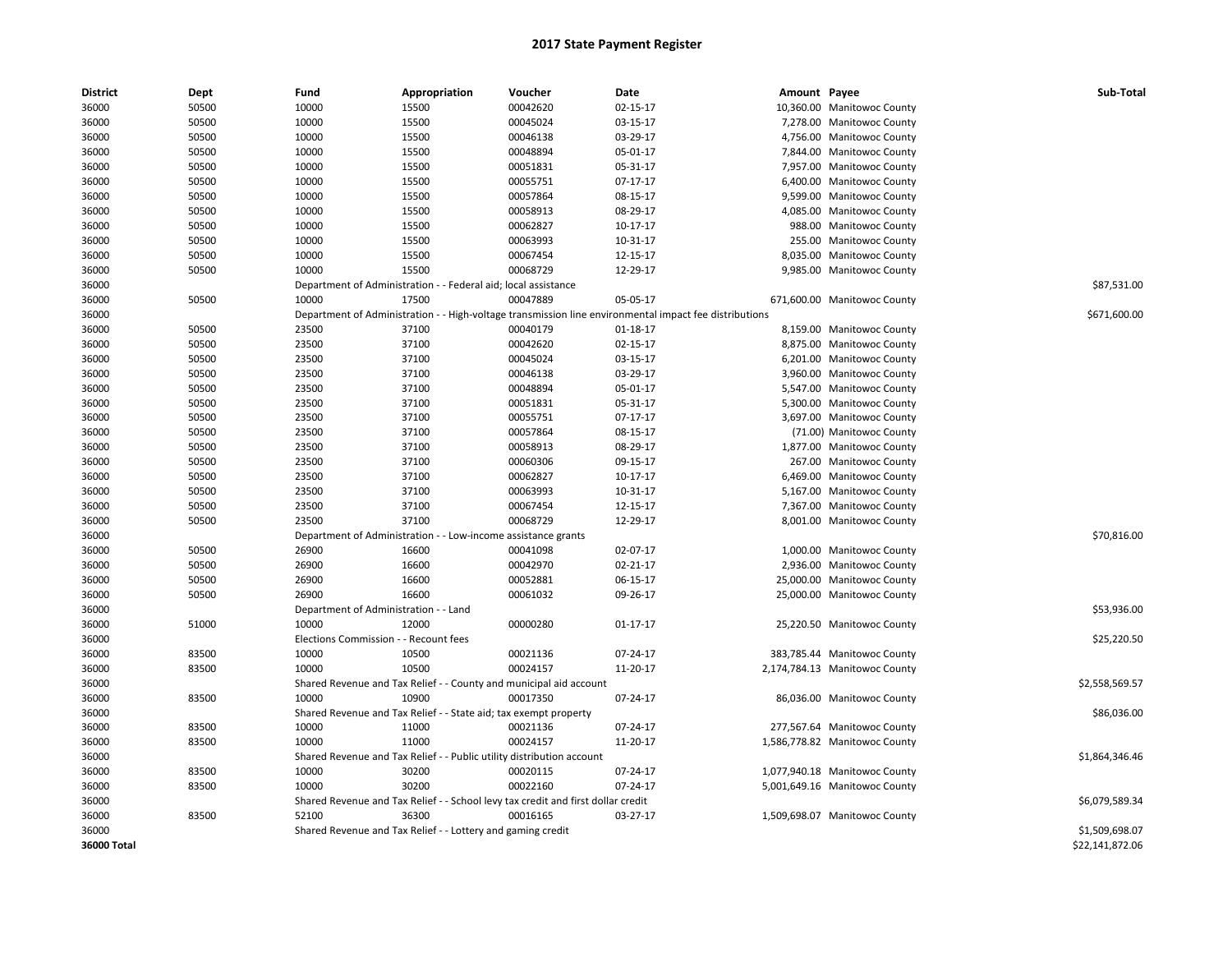| <b>District</b> | Dept  | Fund                                           | Appropriation                                                                    | Voucher  | Date                                                                                                   | Amount Payee |                               | Sub-Total       |
|-----------------|-------|------------------------------------------------|----------------------------------------------------------------------------------|----------|--------------------------------------------------------------------------------------------------------|--------------|-------------------------------|-----------------|
| 36000           | 50500 | 10000                                          | 15500                                                                            | 00042620 | 02-15-17                                                                                               |              | 10,360.00 Manitowoc County    |                 |
| 36000           | 50500 | 10000                                          | 15500                                                                            | 00045024 | 03-15-17                                                                                               |              | 7,278.00 Manitowoc County     |                 |
| 36000           | 50500 | 10000                                          | 15500                                                                            | 00046138 | 03-29-17                                                                                               |              | 4,756.00 Manitowoc County     |                 |
| 36000           | 50500 | 10000                                          | 15500                                                                            | 00048894 | 05-01-17                                                                                               |              | 7,844.00 Manitowoc County     |                 |
| 36000           | 50500 | 10000                                          | 15500                                                                            | 00051831 | 05-31-17                                                                                               |              | 7,957.00 Manitowoc County     |                 |
| 36000           | 50500 | 10000                                          | 15500                                                                            | 00055751 | 07-17-17                                                                                               |              | 6,400.00 Manitowoc County     |                 |
| 36000           | 50500 | 10000                                          | 15500                                                                            | 00057864 | 08-15-17                                                                                               |              | 9,599.00 Manitowoc County     |                 |
| 36000           | 50500 | 10000                                          | 15500                                                                            | 00058913 | 08-29-17                                                                                               |              | 4,085.00 Manitowoc County     |                 |
| 36000           | 50500 | 10000                                          | 15500                                                                            | 00062827 | $10-17-17$                                                                                             |              | 988.00 Manitowoc County       |                 |
| 36000           | 50500 | 10000                                          | 15500                                                                            | 00063993 | 10-31-17                                                                                               |              | 255.00 Manitowoc County       |                 |
| 36000           | 50500 | 10000                                          | 15500                                                                            | 00067454 | 12-15-17                                                                                               |              | 8,035.00 Manitowoc County     |                 |
| 36000           | 50500 | 10000                                          | 15500                                                                            | 00068729 | 12-29-17                                                                                               |              | 9,985.00 Manitowoc County     |                 |
| 36000           |       |                                                | Department of Administration - - Federal aid; local assistance                   |          |                                                                                                        |              |                               | \$87,531.00     |
| 36000           | 50500 | 10000                                          | 17500                                                                            | 00047889 | 05-05-17                                                                                               |              | 671,600.00 Manitowoc County   |                 |
| 36000           |       |                                                |                                                                                  |          | Department of Administration - - High-voltage transmission line environmental impact fee distributions |              |                               | \$671,600.00    |
| 36000           | 50500 | 23500                                          | 37100                                                                            | 00040179 | $01-18-17$                                                                                             |              | 8,159.00 Manitowoc County     |                 |
| 36000           | 50500 | 23500                                          | 37100                                                                            | 00042620 | 02-15-17                                                                                               |              | 8,875.00 Manitowoc County     |                 |
| 36000           | 50500 | 23500                                          | 37100                                                                            | 00045024 | 03-15-17                                                                                               |              | 6,201.00 Manitowoc County     |                 |
| 36000           | 50500 | 23500                                          | 37100                                                                            | 00046138 | 03-29-17                                                                                               |              | 3,960.00 Manitowoc County     |                 |
| 36000           | 50500 | 23500                                          | 37100                                                                            | 00048894 | 05-01-17                                                                                               |              | 5,547.00 Manitowoc County     |                 |
| 36000           | 50500 | 23500                                          | 37100                                                                            | 00051831 | 05-31-17                                                                                               |              | 5,300.00 Manitowoc County     |                 |
| 36000           | 50500 | 23500                                          | 37100                                                                            | 00055751 | $07-17-17$                                                                                             |              | 3,697.00 Manitowoc County     |                 |
| 36000           | 50500 | 23500                                          | 37100                                                                            | 00057864 | 08-15-17                                                                                               |              | (71.00) Manitowoc County      |                 |
| 36000           | 50500 | 23500                                          | 37100                                                                            | 00058913 | 08-29-17                                                                                               |              | 1,877.00 Manitowoc County     |                 |
| 36000           | 50500 | 23500                                          | 37100                                                                            | 00060306 | 09-15-17                                                                                               |              | 267.00 Manitowoc County       |                 |
| 36000           | 50500 | 23500                                          | 37100                                                                            | 00062827 | 10-17-17                                                                                               |              | 6,469.00 Manitowoc County     |                 |
| 36000           | 50500 | 23500                                          | 37100                                                                            | 00063993 | 10-31-17                                                                                               |              | 5,167.00 Manitowoc County     |                 |
| 36000           | 50500 | 23500                                          | 37100                                                                            | 00067454 | 12-15-17                                                                                               |              | 7,367.00 Manitowoc County     |                 |
| 36000           | 50500 | 23500                                          | 37100                                                                            | 00068729 | 12-29-17                                                                                               |              | 8,001.00 Manitowoc County     |                 |
| 36000           |       |                                                | Department of Administration - - Low-income assistance grants                    |          |                                                                                                        |              |                               | \$70,816.00     |
| 36000           | 50500 | 26900                                          | 16600                                                                            | 00041098 | 02-07-17                                                                                               |              | 1,000.00 Manitowoc County     |                 |
| 36000           | 50500 | 26900                                          | 16600                                                                            | 00042970 | 02-21-17                                                                                               |              | 2,936.00 Manitowoc County     |                 |
| 36000           | 50500 | 26900                                          | 16600                                                                            | 00052881 | 06-15-17                                                                                               |              | 25,000.00 Manitowoc County    |                 |
| 36000           | 50500 | 26900                                          | 16600                                                                            | 00061032 | 09-26-17                                                                                               |              | 25,000.00 Manitowoc County    |                 |
|                 |       |                                                |                                                                                  |          |                                                                                                        |              |                               |                 |
| 36000           |       | Department of Administration - - Land<br>10000 | 12000                                                                            |          |                                                                                                        |              |                               | \$53,936.00     |
| 36000           | 51000 |                                                |                                                                                  | 00000280 | 01-17-17                                                                                               |              | 25,220.50 Manitowoc County    | \$25,220.50     |
| 36000           |       | Elections Commission - - Recount fees          |                                                                                  |          |                                                                                                        |              |                               |                 |
| 36000           | 83500 | 10000                                          | 10500                                                                            | 00021136 | 07-24-17                                                                                               |              | 383,785.44 Manitowoc County   |                 |
| 36000           | 83500 | 10000                                          | 10500                                                                            | 00024157 | 11-20-17                                                                                               |              | 2,174,784.13 Manitowoc County |                 |
| 36000           |       |                                                | Shared Revenue and Tax Relief - - County and municipal aid account               |          |                                                                                                        |              |                               | \$2,558,569.57  |
| 36000           | 83500 | 10000                                          | 10900                                                                            | 00017350 | 07-24-17                                                                                               |              | 86,036.00 Manitowoc County    |                 |
| 36000           |       |                                                | Shared Revenue and Tax Relief - - State aid; tax exempt property                 |          |                                                                                                        |              |                               | \$86,036.00     |
| 36000           | 83500 | 10000                                          | 11000                                                                            | 00021136 | 07-24-17                                                                                               |              | 277,567.64 Manitowoc County   |                 |
| 36000           | 83500 | 10000                                          | 11000                                                                            | 00024157 | 11-20-17                                                                                               |              | 1,586,778.82 Manitowoc County |                 |
| 36000           |       |                                                | Shared Revenue and Tax Relief - - Public utility distribution account            |          |                                                                                                        |              |                               | \$1,864,346.46  |
| 36000           | 83500 | 10000                                          | 30200                                                                            | 00020115 | 07-24-17                                                                                               |              | 1,077,940.18 Manitowoc County |                 |
| 36000           | 83500 | 10000                                          | 30200                                                                            | 00022160 | 07-24-17                                                                                               |              | 5,001,649.16 Manitowoc County |                 |
| 36000           |       |                                                | Shared Revenue and Tax Relief - - School levy tax credit and first dollar credit |          |                                                                                                        |              |                               | \$6,079,589.34  |
| 36000           | 83500 | 52100                                          | 36300                                                                            | 00016165 | 03-27-17                                                                                               |              | 1,509,698.07 Manitowoc County |                 |
| 36000           |       |                                                | Shared Revenue and Tax Relief - - Lottery and gaming credit                      |          |                                                                                                        |              |                               | \$1,509,698.07  |
| 36000 Total     |       |                                                |                                                                                  |          |                                                                                                        |              |                               | \$22,141,872.06 |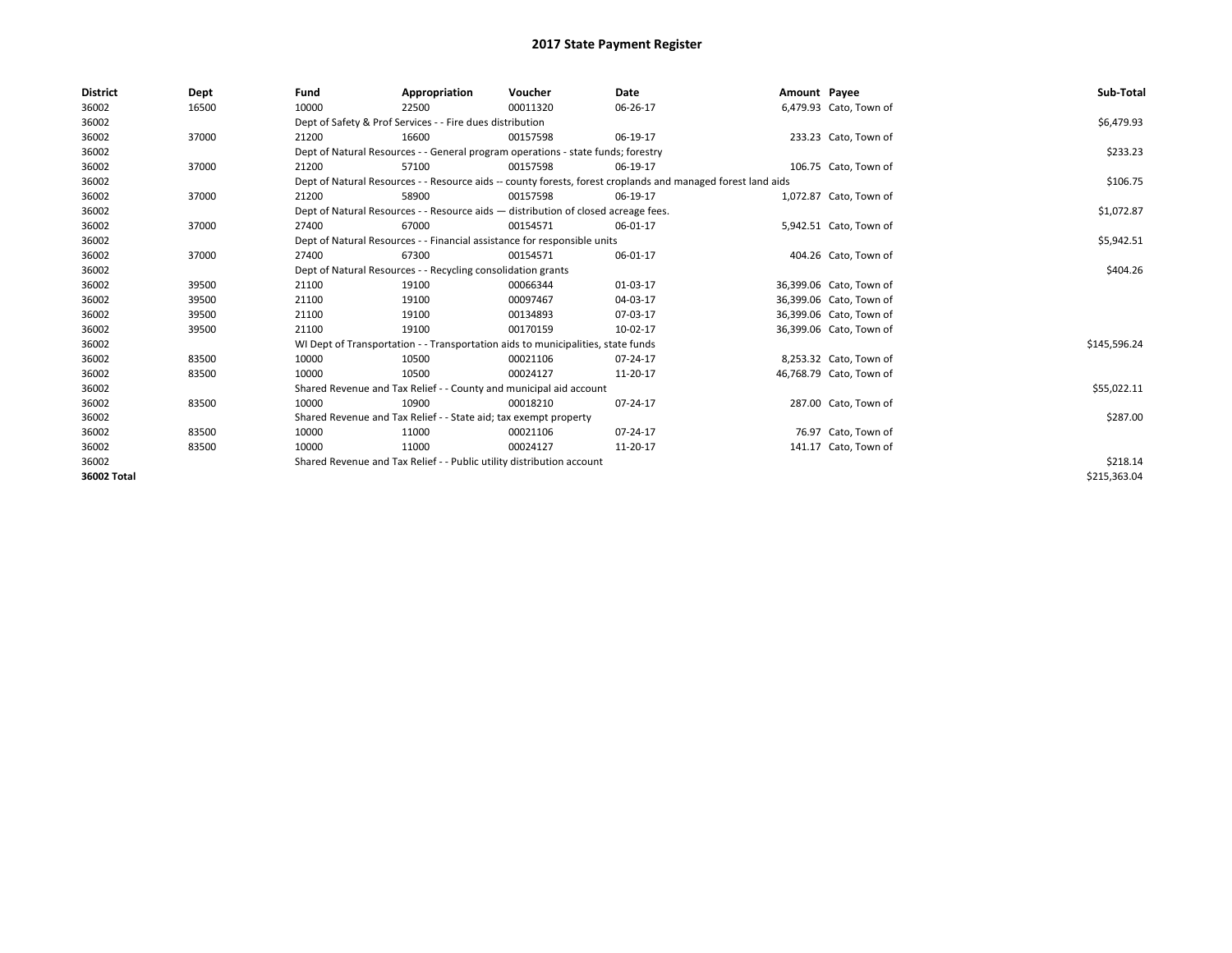| <b>District</b> | Dept  | Fund  | Appropriation                                                                                                | Voucher  | Date     | Amount Payee |                         | Sub-Total    |
|-----------------|-------|-------|--------------------------------------------------------------------------------------------------------------|----------|----------|--------------|-------------------------|--------------|
| 36002           | 16500 | 10000 | 22500                                                                                                        | 00011320 | 06-26-17 |              | 6,479.93 Cato, Town of  |              |
| 36002           |       |       | Dept of Safety & Prof Services - - Fire dues distribution                                                    |          |          |              |                         | \$6,479.93   |
| 36002           | 37000 | 21200 | 16600                                                                                                        | 00157598 | 06-19-17 |              | 233.23 Cato, Town of    |              |
| 36002           |       |       | Dept of Natural Resources - - General program operations - state funds; forestry                             |          |          |              |                         | \$233.23     |
| 36002           | 37000 | 21200 | 57100                                                                                                        | 00157598 | 06-19-17 |              | 106.75 Cato, Town of    |              |
| 36002           |       |       | Dept of Natural Resources - - Resource aids -- county forests, forest croplands and managed forest land aids |          | \$106.75 |              |                         |              |
| 36002           | 37000 | 21200 | 58900                                                                                                        | 00157598 | 06-19-17 |              | 1,072.87 Cato, Town of  |              |
| 36002           |       |       | Dept of Natural Resources - - Resource aids - distribution of closed acreage fees.                           |          |          |              |                         | \$1,072.87   |
| 36002           | 37000 | 27400 | 67000                                                                                                        | 00154571 | 06-01-17 |              | 5,942.51 Cato, Town of  |              |
| 36002           |       |       | Dept of Natural Resources - - Financial assistance for responsible units                                     |          |          |              |                         | \$5,942.51   |
| 36002           | 37000 | 27400 | 67300                                                                                                        | 00154571 | 06-01-17 |              | 404.26 Cato, Town of    |              |
| 36002           |       |       | Dept of Natural Resources - - Recycling consolidation grants                                                 |          | \$404.26 |              |                         |              |
| 36002           | 39500 | 21100 | 19100                                                                                                        | 00066344 | 01-03-17 |              | 36,399.06 Cato, Town of |              |
| 36002           | 39500 | 21100 | 19100                                                                                                        | 00097467 | 04-03-17 |              | 36,399.06 Cato, Town of |              |
| 36002           | 39500 | 21100 | 19100                                                                                                        | 00134893 | 07-03-17 |              | 36,399.06 Cato, Town of |              |
| 36002           | 39500 | 21100 | 19100                                                                                                        | 00170159 | 10-02-17 |              | 36,399.06 Cato, Town of |              |
| 36002           |       |       | WI Dept of Transportation - - Transportation aids to municipalities, state funds                             |          |          |              |                         | \$145,596.24 |
| 36002           | 83500 | 10000 | 10500                                                                                                        | 00021106 | 07-24-17 |              | 8,253.32 Cato, Town of  |              |
| 36002           | 83500 | 10000 | 10500                                                                                                        | 00024127 | 11-20-17 |              | 46,768.79 Cato, Town of |              |
| 36002           |       |       | Shared Revenue and Tax Relief - - County and municipal aid account                                           |          |          |              |                         | \$55,022.11  |
| 36002           | 83500 | 10000 | 10900                                                                                                        | 00018210 | 07-24-17 |              | 287.00 Cato, Town of    |              |
| 36002           |       |       | Shared Revenue and Tax Relief - - State aid; tax exempt property                                             |          |          |              |                         | \$287.00     |
| 36002           | 83500 | 10000 | 11000                                                                                                        | 00021106 | 07-24-17 |              | 76.97 Cato, Town of     |              |
| 36002           | 83500 | 10000 | 11000                                                                                                        | 00024127 | 11-20-17 |              | 141.17 Cato, Town of    |              |
| 36002           |       |       | Shared Revenue and Tax Relief - - Public utility distribution account                                        |          |          |              |                         | \$218.14     |
| 36002 Total     |       |       |                                                                                                              |          |          |              |                         | \$215,363.04 |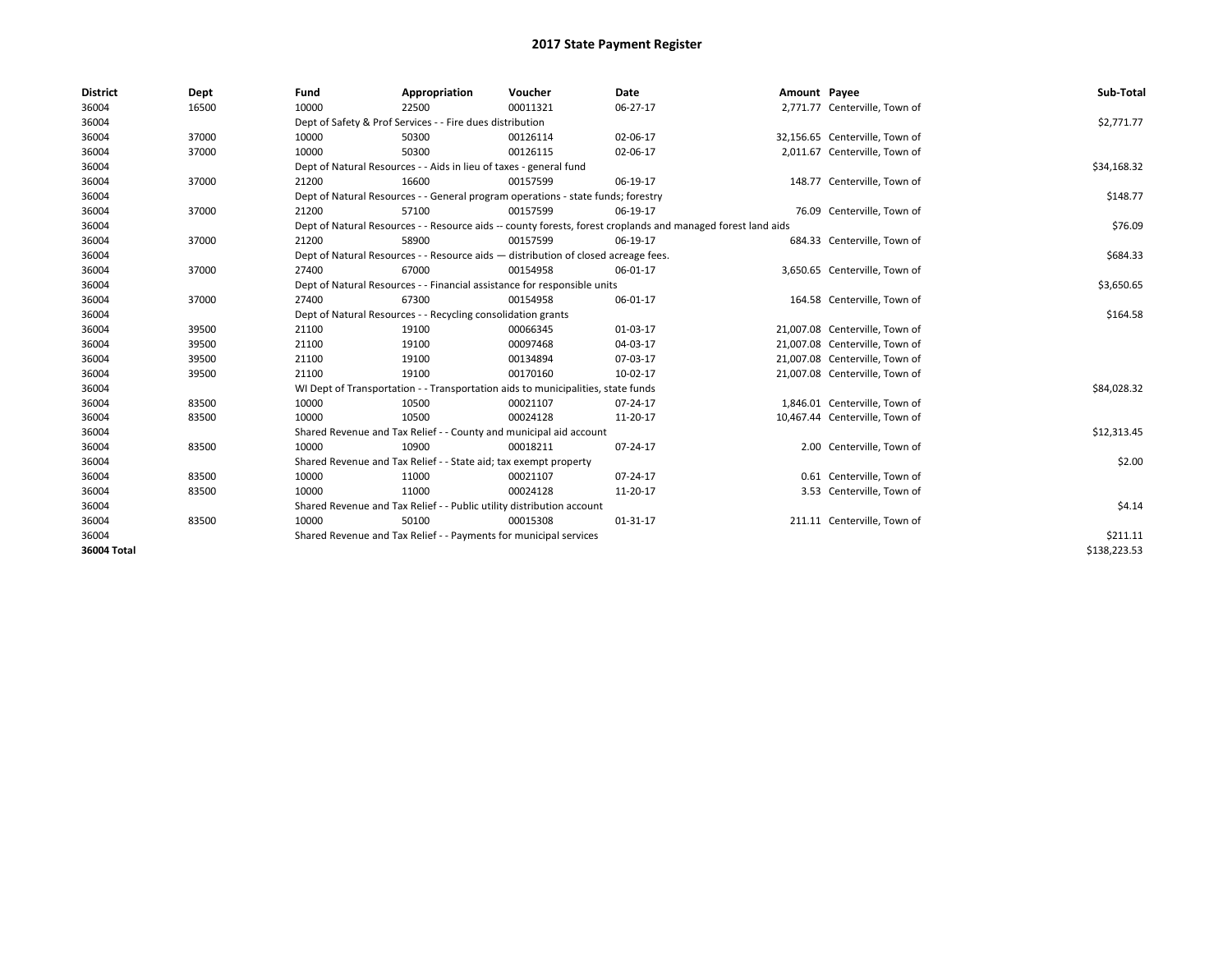| <b>District</b>    | Dept  | Fund  | Appropriation                                                                      | Voucher  | Date                                                                                                         | Amount Payee |                                | Sub-Total    |
|--------------------|-------|-------|------------------------------------------------------------------------------------|----------|--------------------------------------------------------------------------------------------------------------|--------------|--------------------------------|--------------|
| 36004              | 16500 | 10000 | 22500                                                                              | 00011321 | 06-27-17                                                                                                     |              | 2,771.77 Centerville, Town of  |              |
| 36004              |       |       | Dept of Safety & Prof Services - - Fire dues distribution                          |          |                                                                                                              |              |                                | \$2,771.77   |
| 36004              | 37000 | 10000 | 50300                                                                              | 00126114 | 02-06-17                                                                                                     |              | 32,156.65 Centerville, Town of |              |
| 36004              | 37000 | 10000 | 50300                                                                              | 00126115 | 02-06-17                                                                                                     |              | 2,011.67 Centerville, Town of  |              |
| 36004              |       |       | Dept of Natural Resources - - Aids in lieu of taxes - general fund                 |          |                                                                                                              |              |                                | \$34,168.32  |
| 36004              | 37000 | 21200 | 16600                                                                              | 00157599 | 06-19-17                                                                                                     |              | 148.77 Centerville, Town of    |              |
| 36004              |       |       | Dept of Natural Resources - - General program operations - state funds; forestry   |          |                                                                                                              |              |                                | \$148.77     |
| 36004              | 37000 | 21200 | 57100                                                                              | 00157599 | 06-19-17                                                                                                     |              | 76.09 Centerville, Town of     |              |
| 36004              |       |       |                                                                                    |          | Dept of Natural Resources - - Resource aids -- county forests, forest croplands and managed forest land aids |              |                                | \$76.09      |
| 36004              | 37000 | 21200 | 58900                                                                              | 00157599 | 06-19-17                                                                                                     |              | 684.33 Centerville, Town of    |              |
| 36004              |       |       | Dept of Natural Resources - - Resource aids - distribution of closed acreage fees. |          |                                                                                                              |              |                                | \$684.33     |
| 36004              | 37000 | 27400 | 67000                                                                              | 00154958 | 06-01-17                                                                                                     |              | 3,650.65 Centerville, Town of  |              |
| 36004              |       |       | Dept of Natural Resources - - Financial assistance for responsible units           |          |                                                                                                              |              |                                | \$3,650.65   |
| 36004              | 37000 | 27400 | 67300                                                                              | 00154958 | 06-01-17                                                                                                     |              | 164.58 Centerville, Town of    |              |
| 36004              |       |       | Dept of Natural Resources - - Recycling consolidation grants                       |          |                                                                                                              |              |                                | \$164.58     |
| 36004              | 39500 | 21100 | 19100                                                                              | 00066345 | 01-03-17                                                                                                     |              | 21,007.08 Centerville, Town of |              |
| 36004              | 39500 | 21100 | 19100                                                                              | 00097468 | 04-03-17                                                                                                     |              | 21,007.08 Centerville, Town of |              |
| 36004              | 39500 | 21100 | 19100                                                                              | 00134894 | 07-03-17                                                                                                     |              | 21,007.08 Centerville, Town of |              |
| 36004              | 39500 | 21100 | 19100                                                                              | 00170160 | 10-02-17                                                                                                     |              | 21,007.08 Centerville, Town of |              |
| 36004              |       |       | WI Dept of Transportation - - Transportation aids to municipalities, state funds   |          |                                                                                                              |              |                                | \$84,028.32  |
| 36004              | 83500 | 10000 | 10500                                                                              | 00021107 | 07-24-17                                                                                                     |              | 1,846.01 Centerville, Town of  |              |
| 36004              | 83500 | 10000 | 10500                                                                              | 00024128 | 11-20-17                                                                                                     |              | 10,467.44 Centerville, Town of |              |
| 36004              |       |       | Shared Revenue and Tax Relief - - County and municipal aid account                 |          |                                                                                                              |              |                                | \$12,313.45  |
| 36004              | 83500 | 10000 | 10900                                                                              | 00018211 | 07-24-17                                                                                                     |              | 2.00 Centerville, Town of      |              |
| 36004              |       |       | Shared Revenue and Tax Relief - - State aid; tax exempt property                   |          |                                                                                                              |              |                                | \$2.00       |
| 36004              | 83500 | 10000 | 11000                                                                              | 00021107 | $07 - 24 - 17$                                                                                               |              | 0.61 Centerville, Town of      |              |
| 36004              | 83500 | 10000 | 11000                                                                              | 00024128 | 11-20-17                                                                                                     |              | 3.53 Centerville, Town of      |              |
| 36004              |       |       | Shared Revenue and Tax Relief - - Public utility distribution account              |          |                                                                                                              |              |                                | \$4.14       |
| 36004              | 83500 | 10000 | 50100                                                                              | 00015308 | 01-31-17                                                                                                     |              | 211.11 Centerville, Town of    |              |
| 36004              |       |       | Shared Revenue and Tax Relief - - Payments for municipal services                  |          |                                                                                                              |              |                                | \$211.11     |
| <b>36004 Total</b> |       |       |                                                                                    |          |                                                                                                              |              |                                | \$138,223.53 |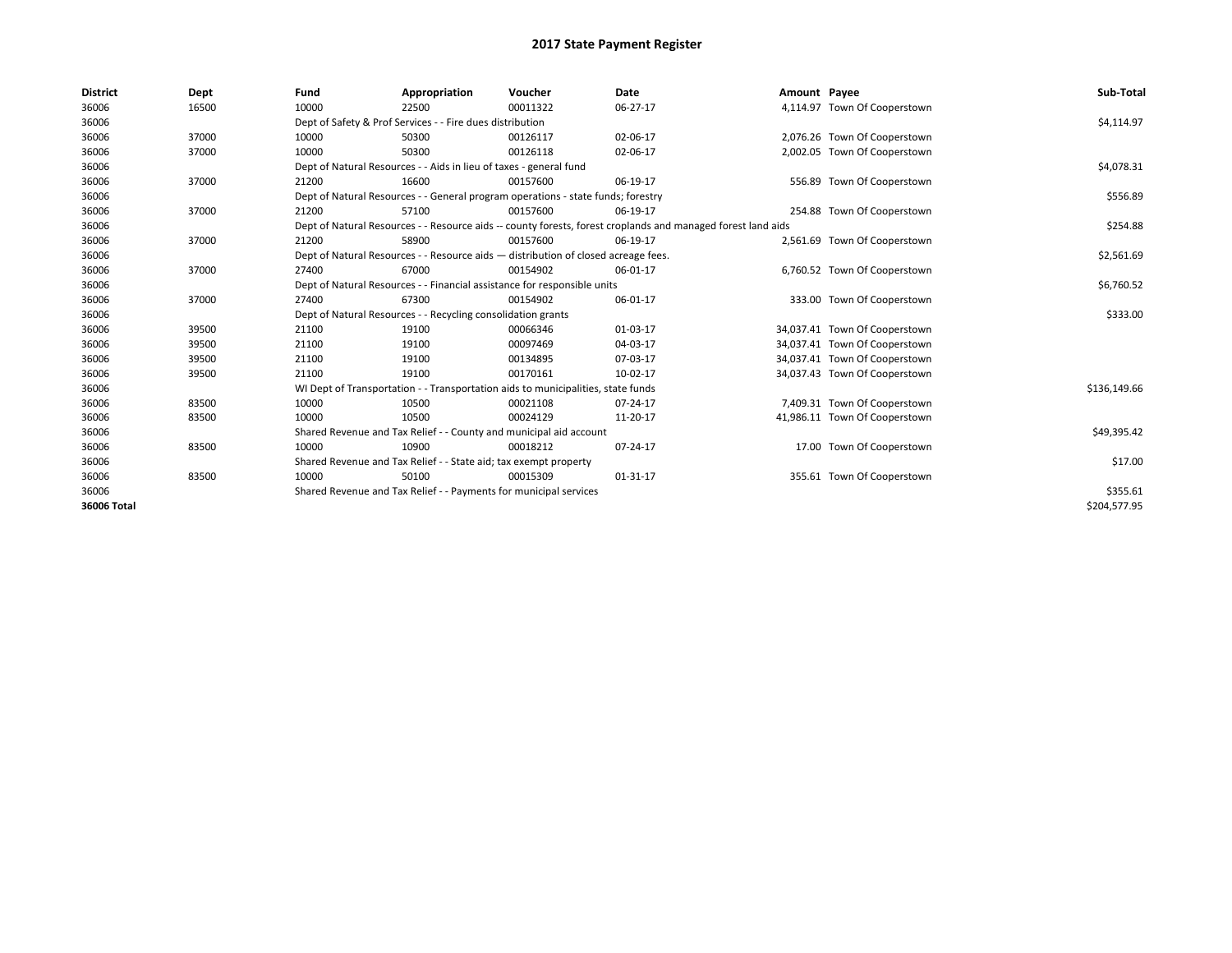| <b>District</b> | Dept  | Fund  | Appropriation                                                                                                | Voucher                                                                            | <b>Date</b> | Amount Payee |                               | Sub-Total    |  |  |  |
|-----------------|-------|-------|--------------------------------------------------------------------------------------------------------------|------------------------------------------------------------------------------------|-------------|--------------|-------------------------------|--------------|--|--|--|
| 36006           | 16500 | 10000 | 22500                                                                                                        | 00011322                                                                           | 06-27-17    |              | 4,114.97 Town Of Cooperstown  |              |  |  |  |
| 36006           |       |       | Dept of Safety & Prof Services - - Fire dues distribution                                                    |                                                                                    |             |              |                               | \$4,114.97   |  |  |  |
| 36006           | 37000 | 10000 | 50300                                                                                                        | 00126117                                                                           | 02-06-17    |              | 2,076.26 Town Of Cooperstown  |              |  |  |  |
| 36006           | 37000 | 10000 | 50300                                                                                                        | 00126118                                                                           | 02-06-17    |              | 2,002.05 Town Of Cooperstown  |              |  |  |  |
| 36006           |       |       | Dept of Natural Resources - - Aids in lieu of taxes - general fund                                           |                                                                                    |             |              |                               | \$4,078.31   |  |  |  |
| 36006           | 37000 | 21200 | 16600                                                                                                        | 00157600                                                                           | 06-19-17    |              | 556.89 Town Of Cooperstown    |              |  |  |  |
| 36006           |       |       |                                                                                                              | Dept of Natural Resources - - General program operations - state funds; forestry   |             |              |                               | \$556.89     |  |  |  |
| 36006           | 37000 | 21200 | 57100                                                                                                        | 00157600                                                                           | 06-19-17    |              | 254.88 Town Of Cooperstown    |              |  |  |  |
| 36006           |       |       | Dept of Natural Resources - - Resource aids -- county forests, forest croplands and managed forest land aids |                                                                                    |             |              |                               |              |  |  |  |
| 36006           | 37000 | 21200 | 58900                                                                                                        | 00157600                                                                           | 06-19-17    |              | 2,561.69 Town Of Cooperstown  |              |  |  |  |
| 36006           |       |       |                                                                                                              | Dept of Natural Resources - - Resource aids - distribution of closed acreage fees. |             |              |                               | \$2,561.69   |  |  |  |
| 36006           | 37000 | 27400 | 67000                                                                                                        | 00154902                                                                           | 06-01-17    |              | 6,760.52 Town Of Cooperstown  |              |  |  |  |
| 36006           |       |       |                                                                                                              | Dept of Natural Resources - - Financial assistance for responsible units           |             |              |                               | \$6,760.52   |  |  |  |
| 36006           | 37000 | 27400 | 67300                                                                                                        | 00154902                                                                           | 06-01-17    |              | 333.00 Town Of Cooperstown    |              |  |  |  |
| 36006           |       |       | Dept of Natural Resources - - Recycling consolidation grants                                                 |                                                                                    |             |              |                               | \$333.00     |  |  |  |
| 36006           | 39500 | 21100 | 19100                                                                                                        | 00066346                                                                           | 01-03-17    |              | 34,037.41 Town Of Cooperstown |              |  |  |  |
| 36006           | 39500 | 21100 | 19100                                                                                                        | 00097469                                                                           | 04-03-17    |              | 34,037.41 Town Of Cooperstown |              |  |  |  |
| 36006           | 39500 | 21100 | 19100                                                                                                        | 00134895                                                                           | 07-03-17    |              | 34,037.41 Town Of Cooperstown |              |  |  |  |
| 36006           | 39500 | 21100 | 19100                                                                                                        | 00170161                                                                           | 10-02-17    |              | 34,037.43 Town Of Cooperstown |              |  |  |  |
| 36006           |       |       |                                                                                                              | WI Dept of Transportation - - Transportation aids to municipalities, state funds   |             |              |                               | \$136,149.66 |  |  |  |
| 36006           | 83500 | 10000 | 10500                                                                                                        | 00021108                                                                           | 07-24-17    |              | 7,409.31 Town Of Cooperstown  |              |  |  |  |
| 36006           | 83500 | 10000 | 10500                                                                                                        | 00024129                                                                           | 11-20-17    |              | 41,986.11 Town Of Cooperstown |              |  |  |  |
| 36006           |       |       |                                                                                                              | Shared Revenue and Tax Relief - - County and municipal aid account                 |             |              |                               | \$49,395.42  |  |  |  |
| 36006           | 83500 | 10000 | 10900                                                                                                        | 00018212                                                                           | 07-24-17    |              | 17.00 Town Of Cooperstown     |              |  |  |  |
| 36006           |       |       | Shared Revenue and Tax Relief - - State aid; tax exempt property                                             |                                                                                    |             |              |                               | \$17.00      |  |  |  |
| 36006           | 83500 | 10000 | 50100                                                                                                        | 00015309                                                                           | 01-31-17    |              | 355.61 Town Of Cooperstown    |              |  |  |  |
| 36006           |       |       | Shared Revenue and Tax Relief - - Payments for municipal services                                            |                                                                                    |             |              |                               | \$355.61     |  |  |  |
| 36006 Total     |       |       |                                                                                                              |                                                                                    |             |              |                               | \$204,577.95 |  |  |  |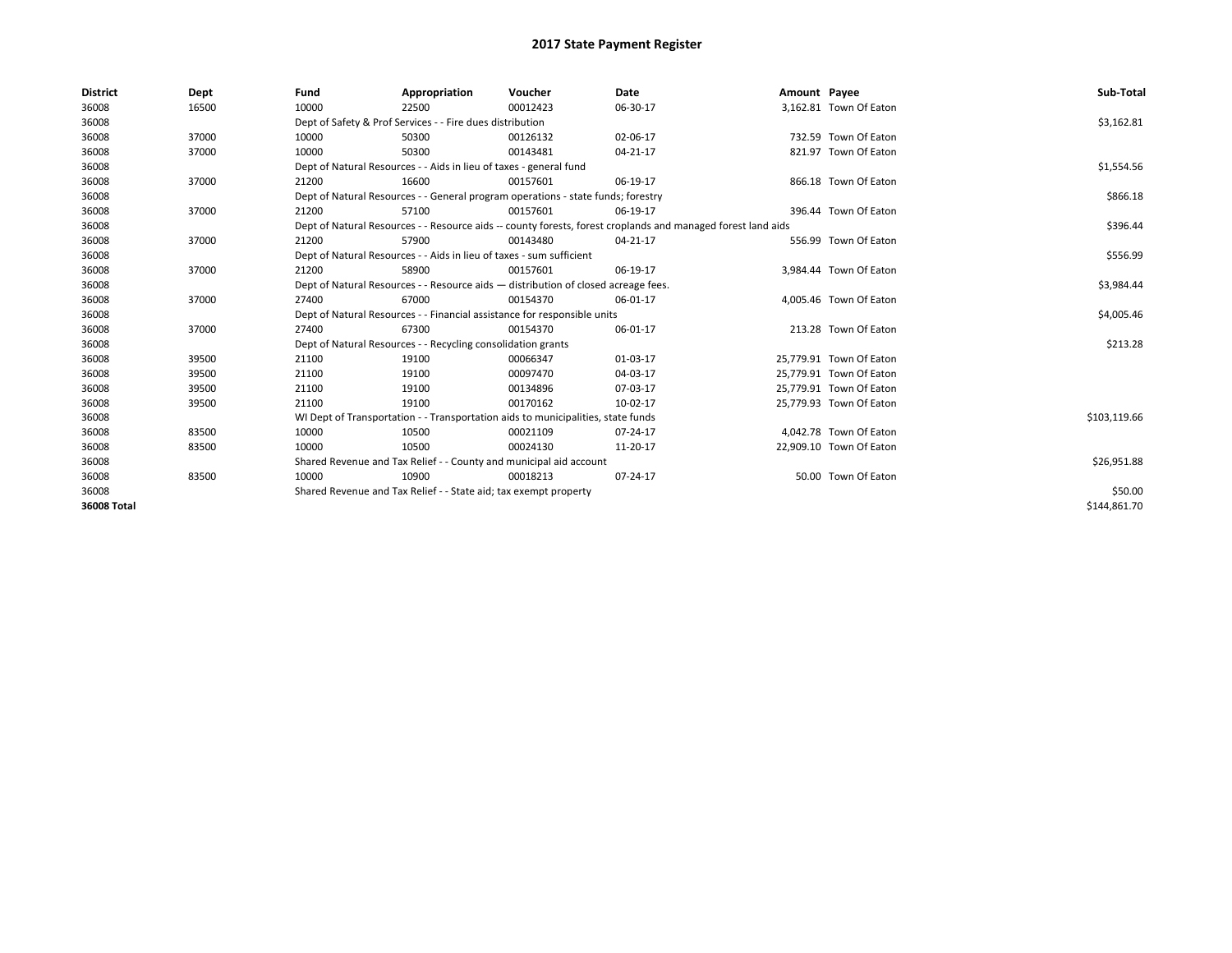| <b>District</b> | Dept  | Fund                                                                                                         | Appropriation                                                                      | Voucher  | Date     | Amount Payee |                         | Sub-Total    |
|-----------------|-------|--------------------------------------------------------------------------------------------------------------|------------------------------------------------------------------------------------|----------|----------|--------------|-------------------------|--------------|
| 36008           | 16500 | 10000                                                                                                        | 22500                                                                              | 00012423 | 06-30-17 |              | 3,162.81 Town Of Eaton  |              |
| 36008           |       |                                                                                                              | Dept of Safety & Prof Services - - Fire dues distribution                          |          |          |              |                         | \$3,162.81   |
| 36008           | 37000 | 10000                                                                                                        | 50300                                                                              | 00126132 | 02-06-17 |              | 732.59 Town Of Eaton    |              |
| 36008           | 37000 | 10000                                                                                                        | 50300                                                                              | 00143481 | 04-21-17 |              | 821.97 Town Of Eaton    |              |
| 36008           |       |                                                                                                              | Dept of Natural Resources - - Aids in lieu of taxes - general fund                 |          |          |              |                         | \$1,554.56   |
| 36008           | 37000 | 21200                                                                                                        | 16600                                                                              | 00157601 | 06-19-17 |              | 866.18 Town Of Eaton    |              |
| 36008           |       |                                                                                                              | Dept of Natural Resources - - General program operations - state funds; forestry   |          |          |              |                         | \$866.18     |
| 36008           | 37000 | 21200                                                                                                        | 57100                                                                              | 00157601 | 06-19-17 |              | 396.44 Town Of Eaton    |              |
| 36008           |       | Dept of Natural Resources - - Resource aids -- county forests, forest croplands and managed forest land aids |                                                                                    | \$396.44 |          |              |                         |              |
| 36008           | 37000 | 21200                                                                                                        | 57900                                                                              | 00143480 | 04-21-17 |              | 556.99 Town Of Eaton    |              |
| 36008           |       |                                                                                                              | Dept of Natural Resources - - Aids in lieu of taxes - sum sufficient               |          |          |              |                         | \$556.99     |
| 36008           | 37000 | 21200                                                                                                        | 58900                                                                              | 00157601 | 06-19-17 |              | 3,984.44 Town Of Eaton  |              |
| 36008           |       |                                                                                                              | Dept of Natural Resources - - Resource aids - distribution of closed acreage fees. |          |          |              |                         | \$3,984.44   |
| 36008           | 37000 | 27400                                                                                                        | 67000                                                                              | 00154370 | 06-01-17 |              | 4,005.46 Town Of Eaton  |              |
| 36008           |       |                                                                                                              | Dept of Natural Resources - - Financial assistance for responsible units           |          |          |              |                         | \$4,005.46   |
| 36008           | 37000 | 27400                                                                                                        | 67300                                                                              | 00154370 | 06-01-17 |              | 213.28 Town Of Eaton    |              |
| 36008           |       |                                                                                                              | Dept of Natural Resources - - Recycling consolidation grants                       |          |          |              |                         | \$213.28     |
| 36008           | 39500 | 21100                                                                                                        | 19100                                                                              | 00066347 | 01-03-17 |              | 25,779.91 Town Of Eaton |              |
| 36008           | 39500 | 21100                                                                                                        | 19100                                                                              | 00097470 | 04-03-17 |              | 25,779.91 Town Of Eaton |              |
| 36008           | 39500 | 21100                                                                                                        | 19100                                                                              | 00134896 | 07-03-17 |              | 25,779.91 Town Of Eaton |              |
| 36008           | 39500 | 21100                                                                                                        | 19100                                                                              | 00170162 | 10-02-17 |              | 25,779.93 Town Of Eaton |              |
| 36008           |       |                                                                                                              | WI Dept of Transportation - - Transportation aids to municipalities, state funds   |          |          |              |                         | \$103,119.66 |
| 36008           | 83500 | 10000                                                                                                        | 10500                                                                              | 00021109 | 07-24-17 |              | 4,042.78 Town Of Eaton  |              |
| 36008           | 83500 | 10000                                                                                                        | 10500                                                                              | 00024130 | 11-20-17 |              | 22,909.10 Town Of Eaton |              |
| 36008           |       |                                                                                                              | Shared Revenue and Tax Relief - - County and municipal aid account                 |          |          |              |                         | \$26,951.88  |
| 36008           | 83500 | 10000                                                                                                        | 10900                                                                              | 00018213 | 07-24-17 |              | 50.00 Town Of Eaton     |              |
| 36008           |       |                                                                                                              | Shared Revenue and Tax Relief - - State aid; tax exempt property                   |          |          |              |                         | \$50.00      |
| 36008 Total     |       |                                                                                                              |                                                                                    |          |          |              |                         | \$144.861.70 |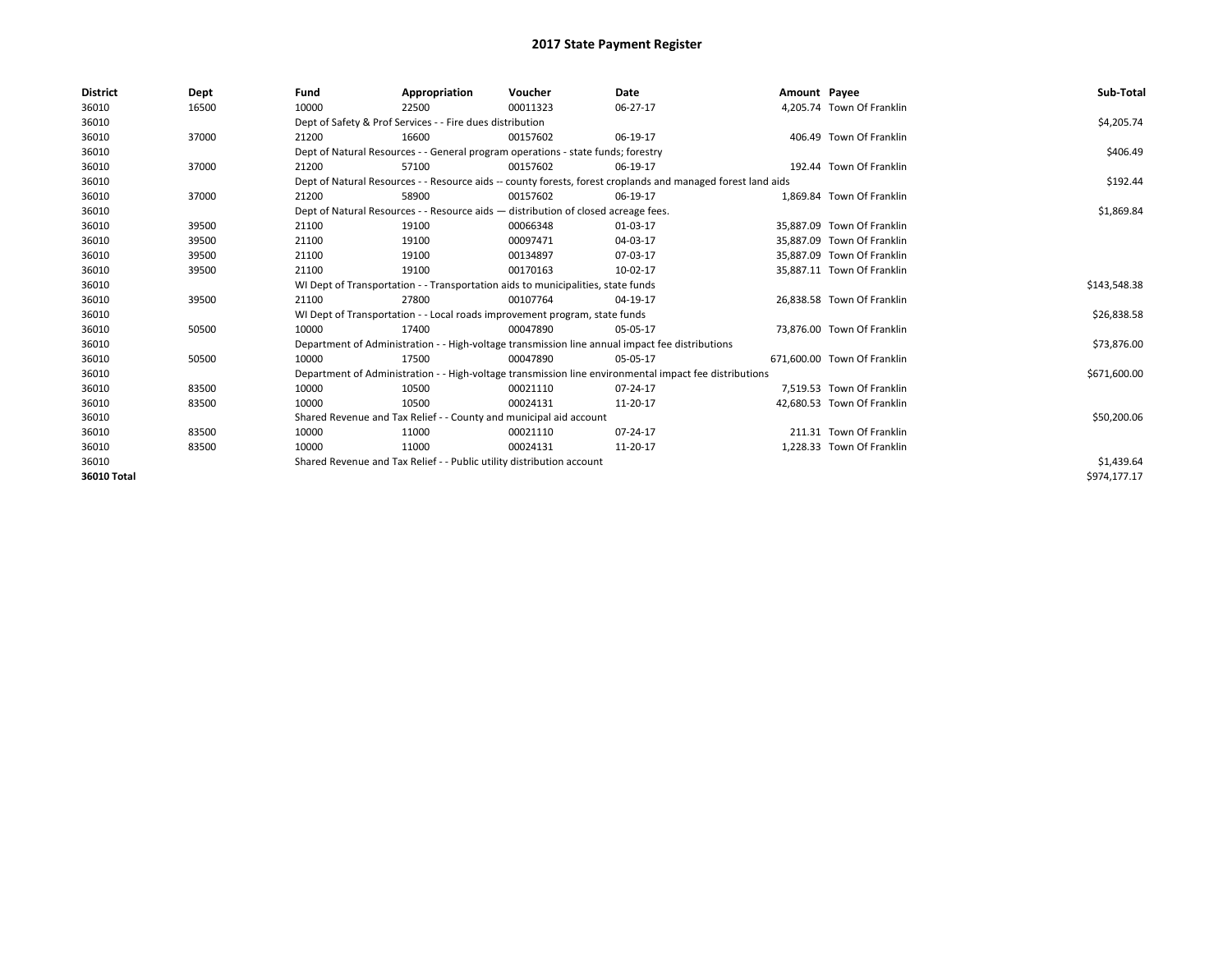| <b>District</b> | Dept  | Fund  | Appropriation                                                                      | Voucher  | Date                                                                                                         | Amount Payee |                             | Sub-Total    |  |  |  |
|-----------------|-------|-------|------------------------------------------------------------------------------------|----------|--------------------------------------------------------------------------------------------------------------|--------------|-----------------------------|--------------|--|--|--|
| 36010           | 16500 | 10000 | 22500                                                                              | 00011323 | 06-27-17                                                                                                     |              | 4,205.74 Town Of Franklin   |              |  |  |  |
| 36010           |       |       | Dept of Safety & Prof Services - - Fire dues distribution                          |          |                                                                                                              |              |                             | \$4,205.74   |  |  |  |
| 36010           | 37000 | 21200 | 16600                                                                              | 00157602 | 06-19-17                                                                                                     |              | 406.49 Town Of Franklin     |              |  |  |  |
| 36010           |       |       | Dept of Natural Resources - - General program operations - state funds; forestry   |          |                                                                                                              |              |                             | \$406.49     |  |  |  |
| 36010           | 37000 | 21200 | 57100                                                                              | 00157602 | 06-19-17                                                                                                     |              | 192.44 Town Of Franklin     |              |  |  |  |
| 36010           |       |       |                                                                                    |          | Dept of Natural Resources - - Resource aids -- county forests, forest croplands and managed forest land aids |              |                             | \$192.44     |  |  |  |
| 36010           | 37000 | 21200 | 58900                                                                              | 00157602 | 06-19-17                                                                                                     |              | 1,869.84 Town Of Franklin   |              |  |  |  |
| 36010           |       |       | Dept of Natural Resources - - Resource aids - distribution of closed acreage fees. |          |                                                                                                              |              |                             | \$1,869.84   |  |  |  |
| 36010           | 39500 | 21100 | 19100                                                                              | 00066348 | 01-03-17                                                                                                     |              | 35.887.09 Town Of Franklin  |              |  |  |  |
| 36010           | 39500 | 21100 | 19100                                                                              | 00097471 | 04-03-17                                                                                                     |              | 35.887.09 Town Of Franklin  |              |  |  |  |
| 36010           | 39500 | 21100 | 19100                                                                              | 00134897 | 07-03-17                                                                                                     |              | 35.887.09 Town Of Franklin  |              |  |  |  |
| 36010           | 39500 | 21100 | 19100                                                                              | 00170163 | 10-02-17                                                                                                     |              | 35,887.11 Town Of Franklin  |              |  |  |  |
| 36010           |       |       | WI Dept of Transportation - - Transportation aids to municipalities, state funds   |          |                                                                                                              |              |                             |              |  |  |  |
| 36010           | 39500 | 21100 | 27800                                                                              | 00107764 | 04-19-17                                                                                                     |              | 26,838.58 Town Of Franklin  |              |  |  |  |
| 36010           |       |       | WI Dept of Transportation - - Local roads improvement program, state funds         |          |                                                                                                              |              |                             | \$26,838.58  |  |  |  |
| 36010           | 50500 | 10000 | 17400                                                                              | 00047890 | 05-05-17                                                                                                     |              | 73.876.00 Town Of Franklin  |              |  |  |  |
| 36010           |       |       |                                                                                    |          | Department of Administration - - High-voltage transmission line annual impact fee distributions              |              |                             | \$73,876.00  |  |  |  |
| 36010           | 50500 | 10000 | 17500                                                                              | 00047890 | 05-05-17                                                                                                     |              | 671,600.00 Town Of Franklin |              |  |  |  |
| 36010           |       |       |                                                                                    |          | Department of Administration - - High-voltage transmission line environmental impact fee distributions       |              |                             | \$671,600.00 |  |  |  |
| 36010           | 83500 | 10000 | 10500                                                                              | 00021110 | 07-24-17                                                                                                     |              | 7.519.53 Town Of Franklin   |              |  |  |  |
| 36010           | 83500 | 10000 | 10500                                                                              | 00024131 | 11-20-17                                                                                                     |              | 42.680.53 Town Of Franklin  |              |  |  |  |
| 36010           |       |       | Shared Revenue and Tax Relief - - County and municipal aid account                 |          |                                                                                                              |              |                             | \$50,200.06  |  |  |  |
| 36010           | 83500 | 10000 | 11000                                                                              | 00021110 | 07-24-17                                                                                                     |              | 211.31 Town Of Franklin     |              |  |  |  |
| 36010           | 83500 | 10000 | 11000                                                                              | 00024131 | 11-20-17                                                                                                     |              | 1,228.33 Town Of Franklin   |              |  |  |  |
| 36010           |       |       | Shared Revenue and Tax Relief - - Public utility distribution account              |          |                                                                                                              |              |                             | \$1,439.64   |  |  |  |
| 36010 Total     |       |       |                                                                                    |          |                                                                                                              |              |                             | \$974,177.17 |  |  |  |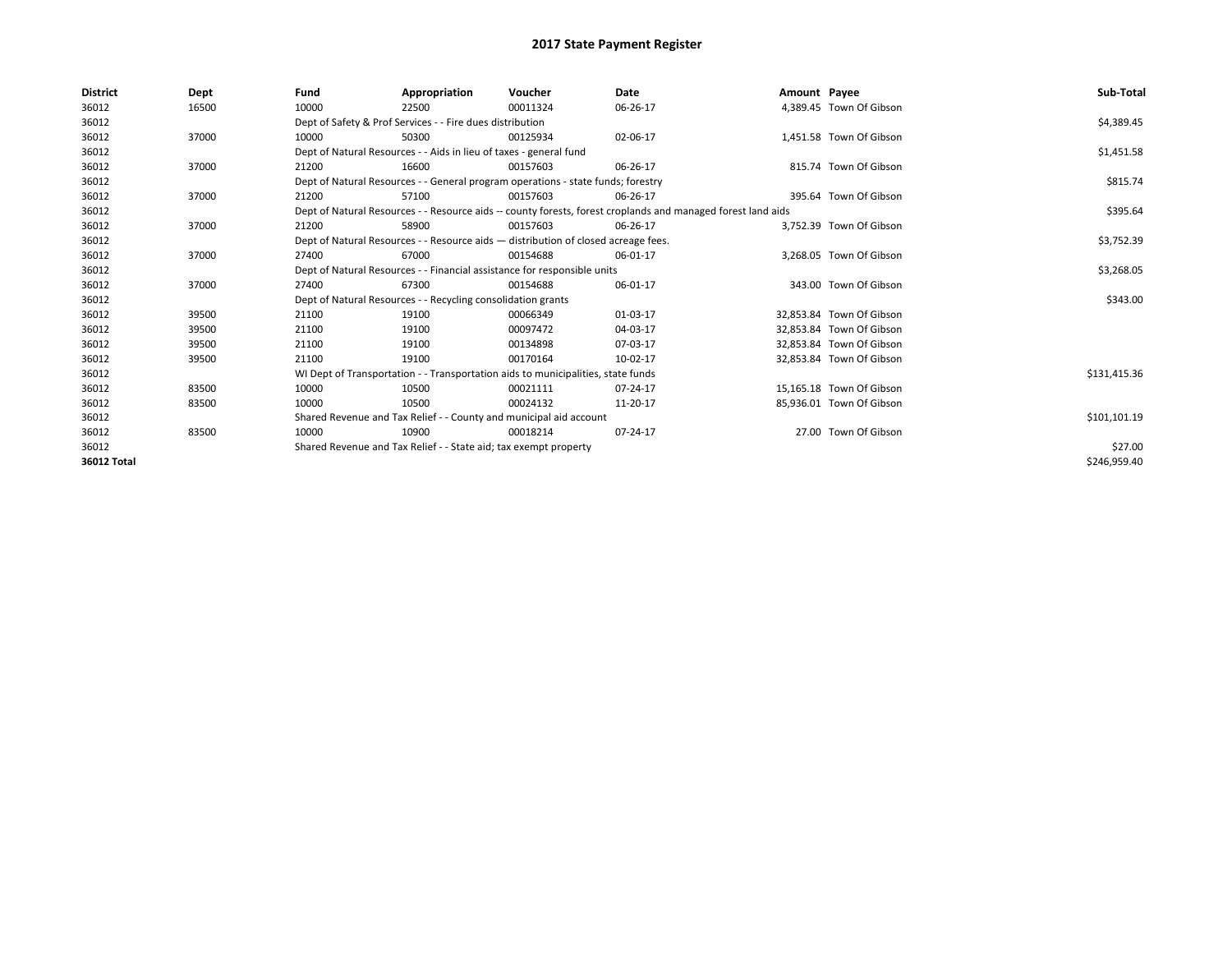| <b>District</b> | Dept  | Fund  | Appropriation                                                                      | Voucher  | Date                                                                                                         | Amount Payee |                          | Sub-Total    |
|-----------------|-------|-------|------------------------------------------------------------------------------------|----------|--------------------------------------------------------------------------------------------------------------|--------------|--------------------------|--------------|
| 36012           | 16500 | 10000 | 22500                                                                              | 00011324 | 06-26-17                                                                                                     |              | 4,389.45 Town Of Gibson  |              |
| 36012           |       |       | Dept of Safety & Prof Services - - Fire dues distribution                          |          |                                                                                                              |              |                          | \$4,389.45   |
| 36012           | 37000 | 10000 | 50300                                                                              | 00125934 | 02-06-17                                                                                                     |              | 1,451.58 Town Of Gibson  |              |
| 36012           |       |       | Dept of Natural Resources - - Aids in lieu of taxes - general fund                 |          |                                                                                                              |              |                          | \$1,451.58   |
| 36012           | 37000 | 21200 | 16600                                                                              | 00157603 | 06-26-17                                                                                                     |              | 815.74 Town Of Gibson    |              |
| 36012           |       |       | Dept of Natural Resources - - General program operations - state funds; forestry   |          |                                                                                                              |              |                          | \$815.74     |
| 36012           | 37000 | 21200 | 57100                                                                              | 00157603 | 06-26-17                                                                                                     |              | 395.64 Town Of Gibson    |              |
| 36012           |       |       |                                                                                    |          | Dept of Natural Resources - - Resource aids -- county forests, forest croplands and managed forest land aids |              |                          | \$395.64     |
| 36012           | 37000 | 21200 | 58900                                                                              | 00157603 | 06-26-17                                                                                                     |              | 3,752.39 Town Of Gibson  |              |
| 36012           |       |       | Dept of Natural Resources - - Resource aids - distribution of closed acreage fees. |          |                                                                                                              |              |                          | \$3,752.39   |
| 36012           | 37000 | 27400 | 67000                                                                              | 00154688 | 06-01-17                                                                                                     |              | 3,268.05 Town Of Gibson  |              |
| 36012           |       |       | Dept of Natural Resources - - Financial assistance for responsible units           |          |                                                                                                              |              |                          | \$3,268.05   |
| 36012           | 37000 | 27400 | 67300                                                                              | 00154688 | 06-01-17                                                                                                     |              | 343.00 Town Of Gibson    |              |
| 36012           |       |       | Dept of Natural Resources - - Recycling consolidation grants                       |          |                                                                                                              |              |                          | \$343.00     |
| 36012           | 39500 | 21100 | 19100                                                                              | 00066349 | 01-03-17                                                                                                     |              | 32,853.84 Town Of Gibson |              |
| 36012           | 39500 | 21100 | 19100                                                                              | 00097472 | 04-03-17                                                                                                     |              | 32,853.84 Town Of Gibson |              |
| 36012           | 39500 | 21100 | 19100                                                                              | 00134898 | 07-03-17                                                                                                     |              | 32.853.84 Town Of Gibson |              |
| 36012           | 39500 | 21100 | 19100                                                                              | 00170164 | 10-02-17                                                                                                     |              | 32,853.84 Town Of Gibson |              |
| 36012           |       |       | WI Dept of Transportation - - Transportation aids to municipalities, state funds   |          |                                                                                                              |              |                          | \$131,415.36 |
| 36012           | 83500 | 10000 | 10500                                                                              | 00021111 | $07 - 24 - 17$                                                                                               |              | 15,165.18 Town Of Gibson |              |
| 36012           | 83500 | 10000 | 10500                                                                              | 00024132 | 11-20-17                                                                                                     |              | 85,936.01 Town Of Gibson |              |
| 36012           |       |       | Shared Revenue and Tax Relief - - County and municipal aid account                 |          |                                                                                                              |              |                          | \$101,101.19 |
| 36012           | 83500 | 10000 | 10900                                                                              | 00018214 | 07-24-17                                                                                                     |              | 27.00 Town Of Gibson     |              |
| 36012           |       |       | Shared Revenue and Tax Relief - - State aid; tax exempt property                   |          |                                                                                                              |              |                          | \$27.00      |
| 36012 Total     |       |       |                                                                                    |          |                                                                                                              |              |                          | \$246,959.40 |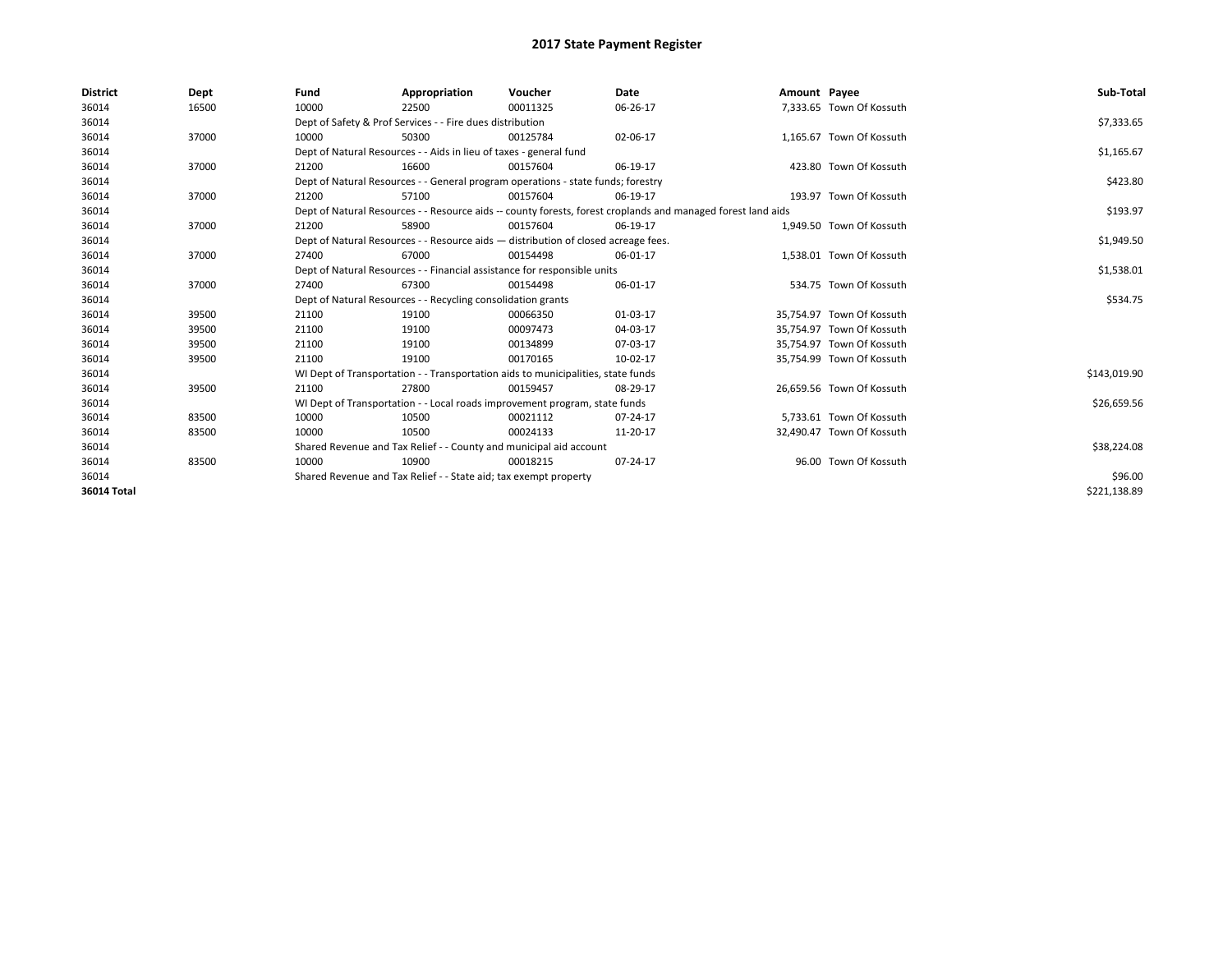| <b>District</b> | Dept  | Fund  | Appropriation                                                                      | Voucher  | Date                                                                                                         | Amount Payee |                           | Sub-Total    |  |  |
|-----------------|-------|-------|------------------------------------------------------------------------------------|----------|--------------------------------------------------------------------------------------------------------------|--------------|---------------------------|--------------|--|--|
| 36014           | 16500 | 10000 | 22500                                                                              | 00011325 | 06-26-17                                                                                                     |              | 7,333.65 Town Of Kossuth  |              |  |  |
| 36014           |       |       | Dept of Safety & Prof Services - - Fire dues distribution                          |          |                                                                                                              |              |                           | \$7,333.65   |  |  |
| 36014           | 37000 | 10000 | 50300                                                                              | 00125784 | 02-06-17                                                                                                     |              | 1.165.67 Town Of Kossuth  |              |  |  |
| 36014           |       |       | Dept of Natural Resources - - Aids in lieu of taxes - general fund                 |          |                                                                                                              |              |                           | \$1,165.67   |  |  |
| 36014           | 37000 | 21200 | 16600                                                                              | 00157604 | 06-19-17                                                                                                     |              | 423.80 Town Of Kossuth    |              |  |  |
| 36014           |       |       | Dept of Natural Resources - - General program operations - state funds; forestry   |          |                                                                                                              |              |                           |              |  |  |
| 36014           | 37000 | 21200 | 57100                                                                              | 00157604 | 06-19-17                                                                                                     |              | 193.97 Town Of Kossuth    |              |  |  |
| 36014           |       |       |                                                                                    |          | Dept of Natural Resources - - Resource aids -- county forests, forest croplands and managed forest land aids |              |                           | \$193.97     |  |  |
| 36014           | 37000 | 21200 | 58900                                                                              | 00157604 | 06-19-17                                                                                                     |              | 1,949.50 Town Of Kossuth  |              |  |  |
| 36014           |       |       | Dept of Natural Resources - - Resource aids - distribution of closed acreage fees. |          |                                                                                                              |              |                           | \$1,949.50   |  |  |
| 36014           | 37000 | 27400 | 67000                                                                              | 00154498 | 06-01-17                                                                                                     |              | 1,538.01 Town Of Kossuth  |              |  |  |
| 36014           |       |       | Dept of Natural Resources - - Financial assistance for responsible units           |          |                                                                                                              |              |                           | \$1,538.01   |  |  |
| 36014           | 37000 | 27400 | 67300                                                                              | 00154498 | 06-01-17                                                                                                     |              | 534.75 Town Of Kossuth    |              |  |  |
| 36014           |       |       | Dept of Natural Resources - - Recycling consolidation grants                       |          |                                                                                                              |              |                           | \$534.75     |  |  |
| 36014           | 39500 | 21100 | 19100                                                                              | 00066350 | 01-03-17                                                                                                     |              | 35,754.97 Town Of Kossuth |              |  |  |
| 36014           | 39500 | 21100 | 19100                                                                              | 00097473 | 04-03-17                                                                                                     |              | 35.754.97 Town Of Kossuth |              |  |  |
| 36014           | 39500 | 21100 | 19100                                                                              | 00134899 | 07-03-17                                                                                                     |              | 35,754.97 Town Of Kossuth |              |  |  |
| 36014           | 39500 | 21100 | 19100                                                                              | 00170165 | 10-02-17                                                                                                     |              | 35,754.99 Town Of Kossuth |              |  |  |
| 36014           |       |       | WI Dept of Transportation - - Transportation aids to municipalities, state funds   |          |                                                                                                              |              |                           | \$143,019.90 |  |  |
| 36014           | 39500 | 21100 | 27800                                                                              | 00159457 | 08-29-17                                                                                                     |              | 26,659.56 Town Of Kossuth |              |  |  |
| 36014           |       |       | WI Dept of Transportation - - Local roads improvement program, state funds         |          |                                                                                                              |              |                           | \$26,659.56  |  |  |
| 36014           | 83500 | 10000 | 10500                                                                              | 00021112 | 07-24-17                                                                                                     |              | 5,733.61 Town Of Kossuth  |              |  |  |
| 36014           | 83500 | 10000 | 10500                                                                              | 00024133 | 11-20-17                                                                                                     |              | 32,490.47 Town Of Kossuth |              |  |  |
| 36014           |       |       | Shared Revenue and Tax Relief - - County and municipal aid account                 |          |                                                                                                              |              |                           | \$38,224.08  |  |  |
| 36014           | 83500 | 10000 | 10900                                                                              | 00018215 | 07-24-17                                                                                                     |              | 96.00 Town Of Kossuth     |              |  |  |
| 36014           |       |       | Shared Revenue and Tax Relief - - State aid; tax exempt property                   |          |                                                                                                              |              |                           | \$96.00      |  |  |
| 36014 Total     |       |       |                                                                                    |          |                                                                                                              |              |                           | \$221,138.89 |  |  |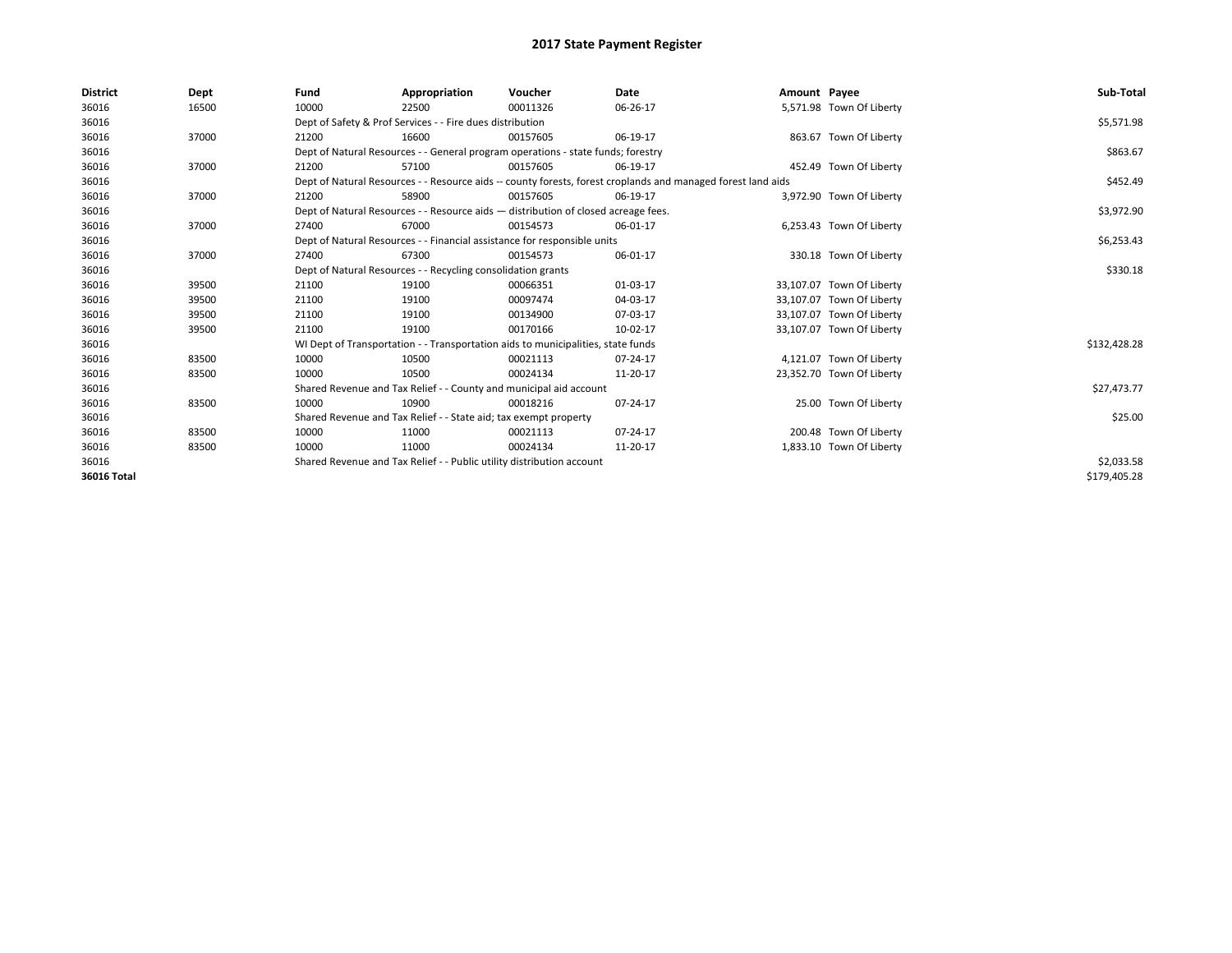| <b>District</b> | Dept  | Fund  | Appropriation                                                                      | Voucher  | Date                                                                                                         | Amount Payee |                           | Sub-Total    |  |  |  |
|-----------------|-------|-------|------------------------------------------------------------------------------------|----------|--------------------------------------------------------------------------------------------------------------|--------------|---------------------------|--------------|--|--|--|
| 36016           | 16500 | 10000 | 22500                                                                              | 00011326 | 06-26-17                                                                                                     |              | 5,571.98 Town Of Liberty  |              |  |  |  |
| 36016           |       |       | Dept of Safety & Prof Services - - Fire dues distribution                          |          |                                                                                                              |              |                           | \$5,571.98   |  |  |  |
| 36016           | 37000 | 21200 | 16600                                                                              | 00157605 | 06-19-17                                                                                                     |              | 863.67 Town Of Liberty    |              |  |  |  |
| 36016           |       |       | Dept of Natural Resources - - General program operations - state funds; forestry   |          |                                                                                                              |              |                           | \$863.67     |  |  |  |
| 36016           | 37000 | 21200 | 57100                                                                              | 00157605 | 06-19-17                                                                                                     |              | 452.49 Town Of Liberty    |              |  |  |  |
| 36016           |       |       |                                                                                    |          | Dept of Natural Resources - - Resource aids -- county forests, forest croplands and managed forest land aids |              |                           | \$452.49     |  |  |  |
| 36016           | 37000 | 21200 | 58900                                                                              | 00157605 | 06-19-17                                                                                                     |              | 3,972.90 Town Of Liberty  |              |  |  |  |
| 36016           |       |       | Dept of Natural Resources - - Resource aids - distribution of closed acreage fees. |          | \$3,972.90                                                                                                   |              |                           |              |  |  |  |
| 36016           | 37000 | 27400 | 67000                                                                              | 00154573 | 06-01-17                                                                                                     |              | 6,253.43 Town Of Liberty  |              |  |  |  |
| 36016           |       |       | Dept of Natural Resources - - Financial assistance for responsible units           |          |                                                                                                              |              |                           |              |  |  |  |
| 36016           | 37000 | 27400 | 67300                                                                              | 00154573 | 06-01-17                                                                                                     |              | 330.18 Town Of Liberty    |              |  |  |  |
| 36016           |       |       | Dept of Natural Resources - - Recycling consolidation grants                       |          |                                                                                                              |              |                           |              |  |  |  |
| 36016           | 39500 | 21100 | 19100                                                                              | 00066351 | 01-03-17                                                                                                     |              | 33,107.07 Town Of Liberty |              |  |  |  |
| 36016           | 39500 | 21100 | 19100                                                                              | 00097474 | 04-03-17                                                                                                     |              | 33,107.07 Town Of Liberty |              |  |  |  |
| 36016           | 39500 | 21100 | 19100                                                                              | 00134900 | 07-03-17                                                                                                     |              | 33,107.07 Town Of Liberty |              |  |  |  |
| 36016           | 39500 | 21100 | 19100                                                                              | 00170166 | 10-02-17                                                                                                     |              | 33,107.07 Town Of Liberty |              |  |  |  |
| 36016           |       |       | WI Dept of Transportation - - Transportation aids to municipalities, state funds   |          |                                                                                                              |              |                           | \$132,428.28 |  |  |  |
| 36016           | 83500 | 10000 | 10500                                                                              | 00021113 | 07-24-17                                                                                                     |              | 4,121.07 Town Of Liberty  |              |  |  |  |
| 36016           | 83500 | 10000 | 10500                                                                              | 00024134 | 11-20-17                                                                                                     |              | 23,352.70 Town Of Liberty |              |  |  |  |
| 36016           |       |       | Shared Revenue and Tax Relief - - County and municipal aid account                 |          |                                                                                                              |              |                           | \$27,473.77  |  |  |  |
| 36016           | 83500 | 10000 | 10900                                                                              | 00018216 | 07-24-17                                                                                                     |              | 25.00 Town Of Liberty     |              |  |  |  |
| 36016           |       |       | Shared Revenue and Tax Relief - - State aid; tax exempt property                   |          |                                                                                                              |              |                           | \$25.00      |  |  |  |
| 36016           | 83500 | 10000 | 11000                                                                              | 00021113 | 07-24-17                                                                                                     |              | 200.48 Town Of Liberty    |              |  |  |  |
| 36016           | 83500 | 10000 | 11000                                                                              | 00024134 | 11-20-17                                                                                                     |              | 1,833.10 Town Of Liberty  |              |  |  |  |
| 36016           |       |       | Shared Revenue and Tax Relief - - Public utility distribution account              |          |                                                                                                              |              |                           |              |  |  |  |
| 36016 Total     |       |       |                                                                                    |          |                                                                                                              |              |                           | \$179,405.28 |  |  |  |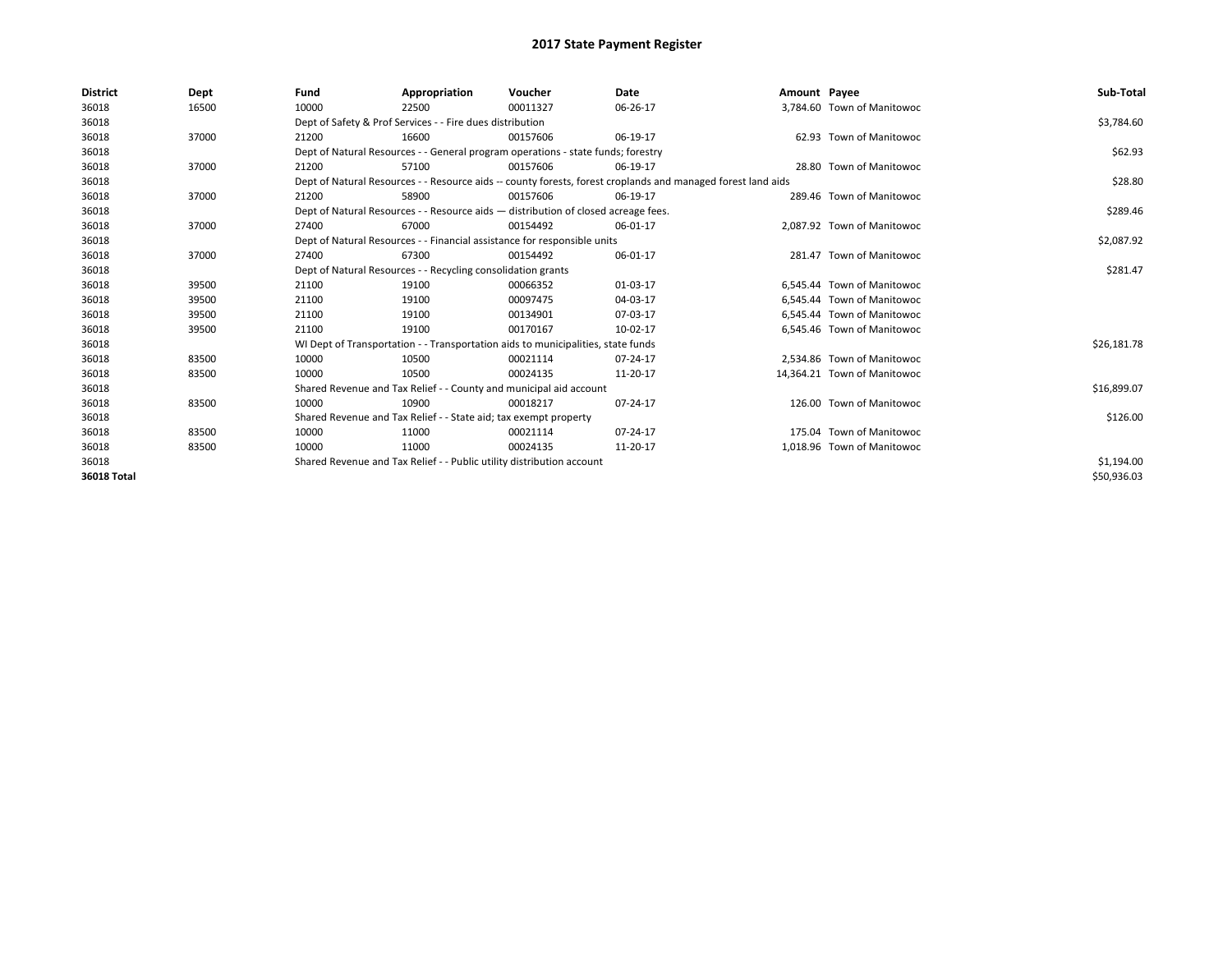| <b>District</b> | Dept  | Fund  | Appropriation                                                                                                | Voucher  | Date     | Amount Payee |                             | Sub-Total   |  |  |  |
|-----------------|-------|-------|--------------------------------------------------------------------------------------------------------------|----------|----------|--------------|-----------------------------|-------------|--|--|--|
| 36018           | 16500 | 10000 | 22500                                                                                                        | 00011327 | 06-26-17 |              | 3,784.60 Town of Manitowoc  |             |  |  |  |
| 36018           |       |       | Dept of Safety & Prof Services - - Fire dues distribution                                                    |          |          |              |                             | \$3,784.60  |  |  |  |
| 36018           | 37000 | 21200 | 16600                                                                                                        | 00157606 | 06-19-17 |              | 62.93 Town of Manitowoc     |             |  |  |  |
| 36018           |       |       | Dept of Natural Resources - - General program operations - state funds; forestry                             |          |          |              |                             | \$62.93     |  |  |  |
| 36018           | 37000 | 21200 | 57100                                                                                                        | 00157606 | 06-19-17 |              | 28.80 Town of Manitowoc     |             |  |  |  |
| 36018           |       |       | Dept of Natural Resources - - Resource aids -- county forests, forest croplands and managed forest land aids |          |          |              |                             |             |  |  |  |
| 36018           | 37000 | 21200 | 58900                                                                                                        | 00157606 | 06-19-17 |              | 289.46 Town of Manitowoc    |             |  |  |  |
| 36018           |       |       | Dept of Natural Resources - - Resource aids - distribution of closed acreage fees.                           |          |          |              |                             |             |  |  |  |
| 36018           | 37000 | 27400 | 67000                                                                                                        | 00154492 | 06-01-17 |              | 2,087.92 Town of Manitowoc  |             |  |  |  |
| 36018           |       |       | Dept of Natural Resources - - Financial assistance for responsible units                                     |          |          |              |                             | \$2,087.92  |  |  |  |
| 36018           | 37000 | 27400 | 67300                                                                                                        | 00154492 | 06-01-17 |              | 281.47 Town of Manitowoc    |             |  |  |  |
| 36018           |       |       | Dept of Natural Resources - - Recycling consolidation grants                                                 |          |          |              |                             |             |  |  |  |
| 36018           | 39500 | 21100 | 19100                                                                                                        | 00066352 | 01-03-17 |              | 6.545.44 Town of Manitowoc  |             |  |  |  |
| 36018           | 39500 | 21100 | 19100                                                                                                        | 00097475 | 04-03-17 |              | 6.545.44 Town of Manitowoc  |             |  |  |  |
| 36018           | 39500 | 21100 | 19100                                                                                                        | 00134901 | 07-03-17 |              | 6,545.44 Town of Manitowoc  |             |  |  |  |
| 36018           | 39500 | 21100 | 19100                                                                                                        | 00170167 | 10-02-17 |              | 6,545.46 Town of Manitowoc  |             |  |  |  |
| 36018           |       |       | WI Dept of Transportation - - Transportation aids to municipalities, state funds                             |          |          |              |                             | \$26,181.78 |  |  |  |
| 36018           | 83500 | 10000 | 10500                                                                                                        | 00021114 | 07-24-17 |              | 2.534.86 Town of Manitowoc  |             |  |  |  |
| 36018           | 83500 | 10000 | 10500                                                                                                        | 00024135 | 11-20-17 |              | 14,364.21 Town of Manitowoc |             |  |  |  |
| 36018           |       |       | Shared Revenue and Tax Relief - - County and municipal aid account                                           |          |          |              |                             | \$16,899.07 |  |  |  |
| 36018           | 83500 | 10000 | 10900                                                                                                        | 00018217 | 07-24-17 |              | 126.00 Town of Manitowoc    |             |  |  |  |
| 36018           |       |       | Shared Revenue and Tax Relief - - State aid; tax exempt property                                             |          |          |              |                             | \$126.00    |  |  |  |
| 36018           | 83500 | 10000 | 11000                                                                                                        | 00021114 | 07-24-17 |              | 175.04 Town of Manitowoc    |             |  |  |  |
| 36018           | 83500 | 10000 | 11000                                                                                                        | 00024135 | 11-20-17 |              | 1.018.96 Town of Manitowoc  |             |  |  |  |
| 36018           |       |       | Shared Revenue and Tax Relief - - Public utility distribution account                                        |          |          |              |                             |             |  |  |  |
| 36018 Total     |       |       |                                                                                                              |          |          |              |                             | \$50,936.03 |  |  |  |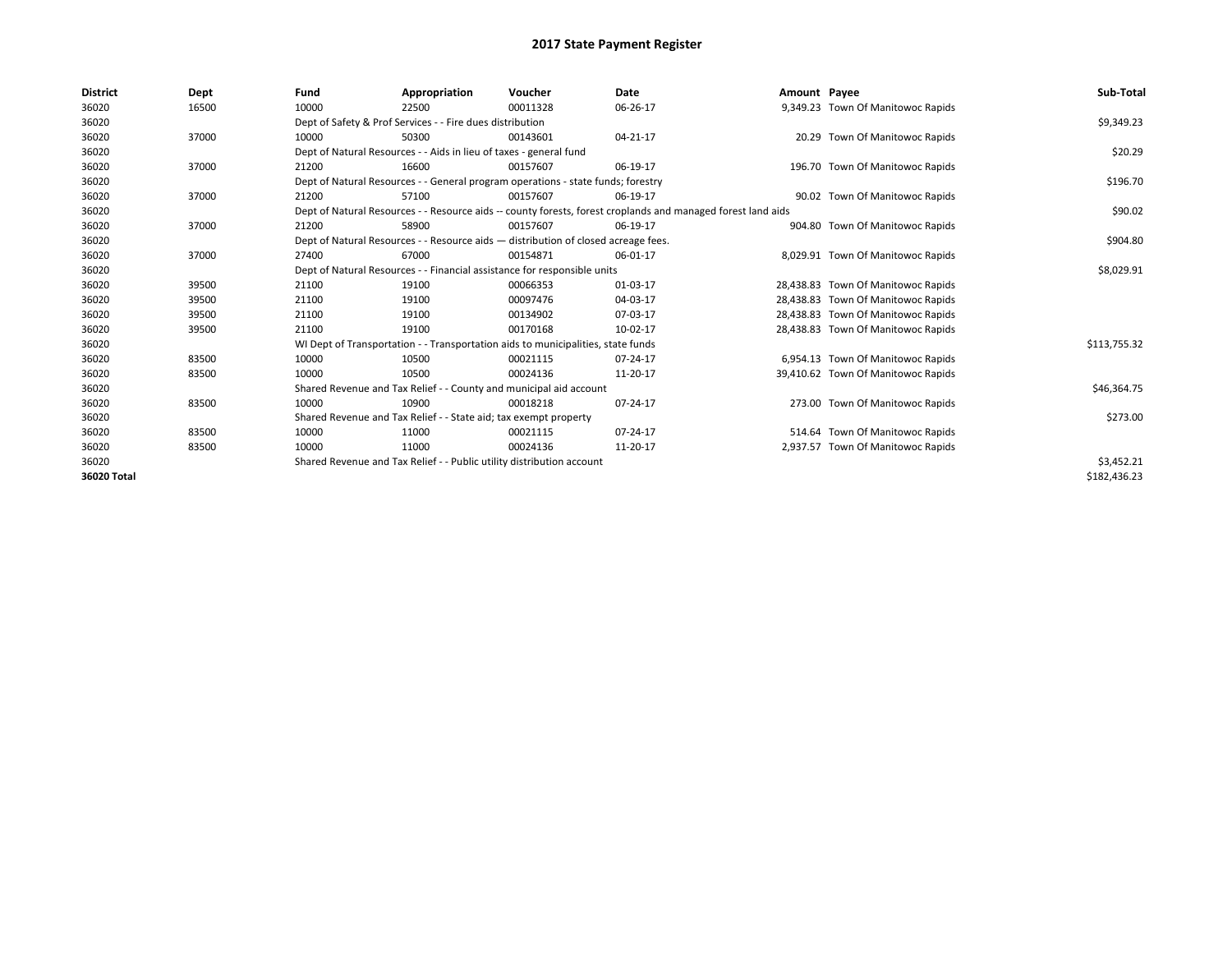| <b>District</b> | Dept  | Fund  | Appropriation                                                                                                | Voucher  | Date     | Amount Payee |                                    | Sub-Total    |  |  |
|-----------------|-------|-------|--------------------------------------------------------------------------------------------------------------|----------|----------|--------------|------------------------------------|--------------|--|--|
| 36020           | 16500 | 10000 | 22500                                                                                                        | 00011328 | 06-26-17 |              | 9,349.23 Town Of Manitowoc Rapids  |              |  |  |
| 36020           |       |       | Dept of Safety & Prof Services - - Fire dues distribution                                                    |          |          |              |                                    | \$9,349.23   |  |  |
| 36020           | 37000 | 10000 | 50300                                                                                                        | 00143601 | 04-21-17 |              | 20.29 Town Of Manitowoc Rapids     |              |  |  |
| 36020           |       |       | Dept of Natural Resources - - Aids in lieu of taxes - general fund                                           |          |          |              |                                    | \$20.29      |  |  |
| 36020           | 37000 | 21200 | 16600                                                                                                        | 00157607 | 06-19-17 |              | 196.70 Town Of Manitowoc Rapids    |              |  |  |
| 36020           |       |       | Dept of Natural Resources - - General program operations - state funds; forestry                             |          |          |              |                                    | \$196.70     |  |  |
| 36020           | 37000 | 21200 | 57100                                                                                                        | 00157607 | 06-19-17 |              | 90.02 Town Of Manitowoc Rapids     |              |  |  |
| 36020           |       |       | Dept of Natural Resources - - Resource aids -- county forests, forest croplands and managed forest land aids |          |          |              |                                    |              |  |  |
| 36020           | 37000 | 21200 | 58900                                                                                                        | 00157607 | 06-19-17 |              | 904.80 Town Of Manitowoc Rapids    |              |  |  |
| 36020           |       |       | Dept of Natural Resources - - Resource aids - distribution of closed acreage fees.                           |          |          |              |                                    | \$904.80     |  |  |
| 36020           | 37000 | 27400 | 67000                                                                                                        | 00154871 | 06-01-17 |              | 8,029.91 Town Of Manitowoc Rapids  |              |  |  |
| 36020           |       |       | Dept of Natural Resources - - Financial assistance for responsible units                                     |          |          |              |                                    | \$8,029.91   |  |  |
| 36020           | 39500 | 21100 | 19100                                                                                                        | 00066353 | 01-03-17 |              | 28,438.83 Town Of Manitowoc Rapids |              |  |  |
| 36020           | 39500 | 21100 | 19100                                                                                                        | 00097476 | 04-03-17 |              | 28,438.83 Town Of Manitowoc Rapids |              |  |  |
| 36020           | 39500 | 21100 | 19100                                                                                                        | 00134902 | 07-03-17 |              | 28,438.83 Town Of Manitowoc Rapids |              |  |  |
| 36020           | 39500 | 21100 | 19100                                                                                                        | 00170168 | 10-02-17 |              | 28,438.83 Town Of Manitowoc Rapids |              |  |  |
| 36020           |       |       | WI Dept of Transportation - - Transportation aids to municipalities, state funds                             |          |          |              |                                    | \$113,755.32 |  |  |
| 36020           | 83500 | 10000 | 10500                                                                                                        | 00021115 | 07-24-17 |              | 6,954.13 Town Of Manitowoc Rapids  |              |  |  |
| 36020           | 83500 | 10000 | 10500                                                                                                        | 00024136 | 11-20-17 |              | 39,410.62 Town Of Manitowoc Rapids |              |  |  |
| 36020           |       |       | Shared Revenue and Tax Relief - - County and municipal aid account                                           |          |          |              |                                    | \$46,364.75  |  |  |
| 36020           | 83500 | 10000 | 10900                                                                                                        | 00018218 | 07-24-17 |              | 273.00 Town Of Manitowoc Rapids    |              |  |  |
| 36020           |       |       | Shared Revenue and Tax Relief - - State aid; tax exempt property                                             |          |          |              |                                    | \$273.00     |  |  |
| 36020           | 83500 | 10000 | 11000                                                                                                        | 00021115 | 07-24-17 |              | 514.64 Town Of Manitowoc Rapids    |              |  |  |
| 36020           | 83500 | 10000 | 11000                                                                                                        | 00024136 | 11-20-17 |              | 2,937.57 Town Of Manitowoc Rapids  |              |  |  |
| 36020           |       |       | Shared Revenue and Tax Relief - - Public utility distribution account                                        |          |          |              |                                    |              |  |  |
| 36020 Total     |       |       |                                                                                                              |          |          |              |                                    | \$182,436.23 |  |  |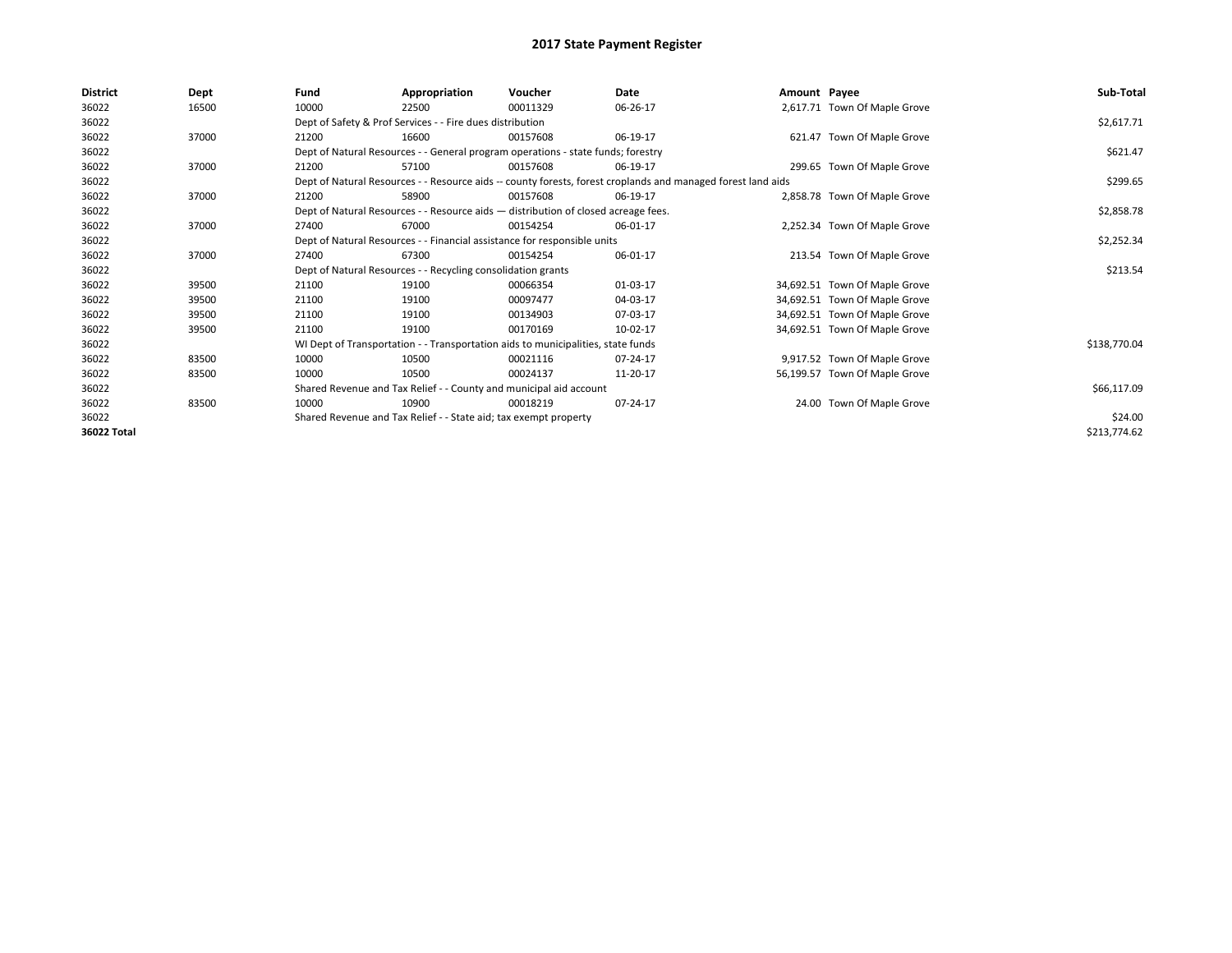| <b>District</b> | Dept  | Fund  | Appropriation                                                                      | Voucher  | Date                                                                                                         | Amount Payee |                               | Sub-Total    |  |  |
|-----------------|-------|-------|------------------------------------------------------------------------------------|----------|--------------------------------------------------------------------------------------------------------------|--------------|-------------------------------|--------------|--|--|
| 36022           | 16500 | 10000 | 22500                                                                              | 00011329 | 06-26-17                                                                                                     |              | 2,617.71 Town Of Maple Grove  |              |  |  |
| 36022           |       |       | Dept of Safety & Prof Services - - Fire dues distribution                          |          |                                                                                                              |              |                               | \$2,617.71   |  |  |
| 36022           | 37000 | 21200 | 16600                                                                              | 00157608 | 06-19-17                                                                                                     |              | 621.47 Town Of Maple Grove    |              |  |  |
| 36022           |       |       | Dept of Natural Resources - - General program operations - state funds; forestry   |          |                                                                                                              |              |                               | \$621.47     |  |  |
| 36022           | 37000 | 21200 | 57100                                                                              | 00157608 | 06-19-17                                                                                                     |              | 299.65 Town Of Maple Grove    |              |  |  |
| 36022           |       |       |                                                                                    |          | Dept of Natural Resources - - Resource aids -- county forests, forest croplands and managed forest land aids |              |                               | \$299.65     |  |  |
| 36022           | 37000 | 21200 | 58900                                                                              | 00157608 | 06-19-17                                                                                                     |              | 2,858.78 Town Of Maple Grove  |              |  |  |
| 36022           |       |       | Dept of Natural Resources - - Resource aids - distribution of closed acreage fees. |          |                                                                                                              |              |                               | \$2,858.78   |  |  |
| 36022           | 37000 | 27400 | 67000                                                                              | 00154254 | 06-01-17                                                                                                     |              | 2,252.34 Town Of Maple Grove  |              |  |  |
| 36022           |       |       | Dept of Natural Resources - - Financial assistance for responsible units           |          |                                                                                                              |              |                               |              |  |  |
| 36022           | 37000 | 27400 | 67300                                                                              | 00154254 | 06-01-17                                                                                                     |              | 213.54 Town Of Maple Grove    |              |  |  |
| 36022           |       |       | Dept of Natural Resources - - Recycling consolidation grants                       |          |                                                                                                              |              |                               | \$213.54     |  |  |
| 36022           | 39500 | 21100 | 19100                                                                              | 00066354 | 01-03-17                                                                                                     |              | 34,692.51 Town Of Maple Grove |              |  |  |
| 36022           | 39500 | 21100 | 19100                                                                              | 00097477 | 04-03-17                                                                                                     |              | 34,692.51 Town Of Maple Grove |              |  |  |
| 36022           | 39500 | 21100 | 19100                                                                              | 00134903 | 07-03-17                                                                                                     |              | 34,692.51 Town Of Maple Grove |              |  |  |
| 36022           | 39500 | 21100 | 19100                                                                              | 00170169 | 10-02-17                                                                                                     |              | 34,692.51 Town Of Maple Grove |              |  |  |
| 36022           |       |       | WI Dept of Transportation - - Transportation aids to municipalities, state funds   |          |                                                                                                              |              |                               | \$138,770.04 |  |  |
| 36022           | 83500 | 10000 | 10500                                                                              | 00021116 | 07-24-17                                                                                                     |              | 9,917.52 Town Of Maple Grove  |              |  |  |
| 36022           | 83500 | 10000 | 10500                                                                              | 00024137 | 11-20-17                                                                                                     |              | 56,199.57 Town Of Maple Grove |              |  |  |
| 36022           |       |       | Shared Revenue and Tax Relief - - County and municipal aid account                 |          |                                                                                                              |              |                               | \$66,117.09  |  |  |
| 36022           | 83500 | 10000 | 10900                                                                              | 00018219 | 07-24-17                                                                                                     |              | 24.00 Town Of Maple Grove     |              |  |  |
| 36022           |       |       | Shared Revenue and Tax Relief - - State aid; tax exempt property                   |          |                                                                                                              |              |                               | \$24.00      |  |  |
| 36022 Total     |       |       |                                                                                    |          |                                                                                                              |              |                               | \$213,774.62 |  |  |
|                 |       |       |                                                                                    |          |                                                                                                              |              |                               |              |  |  |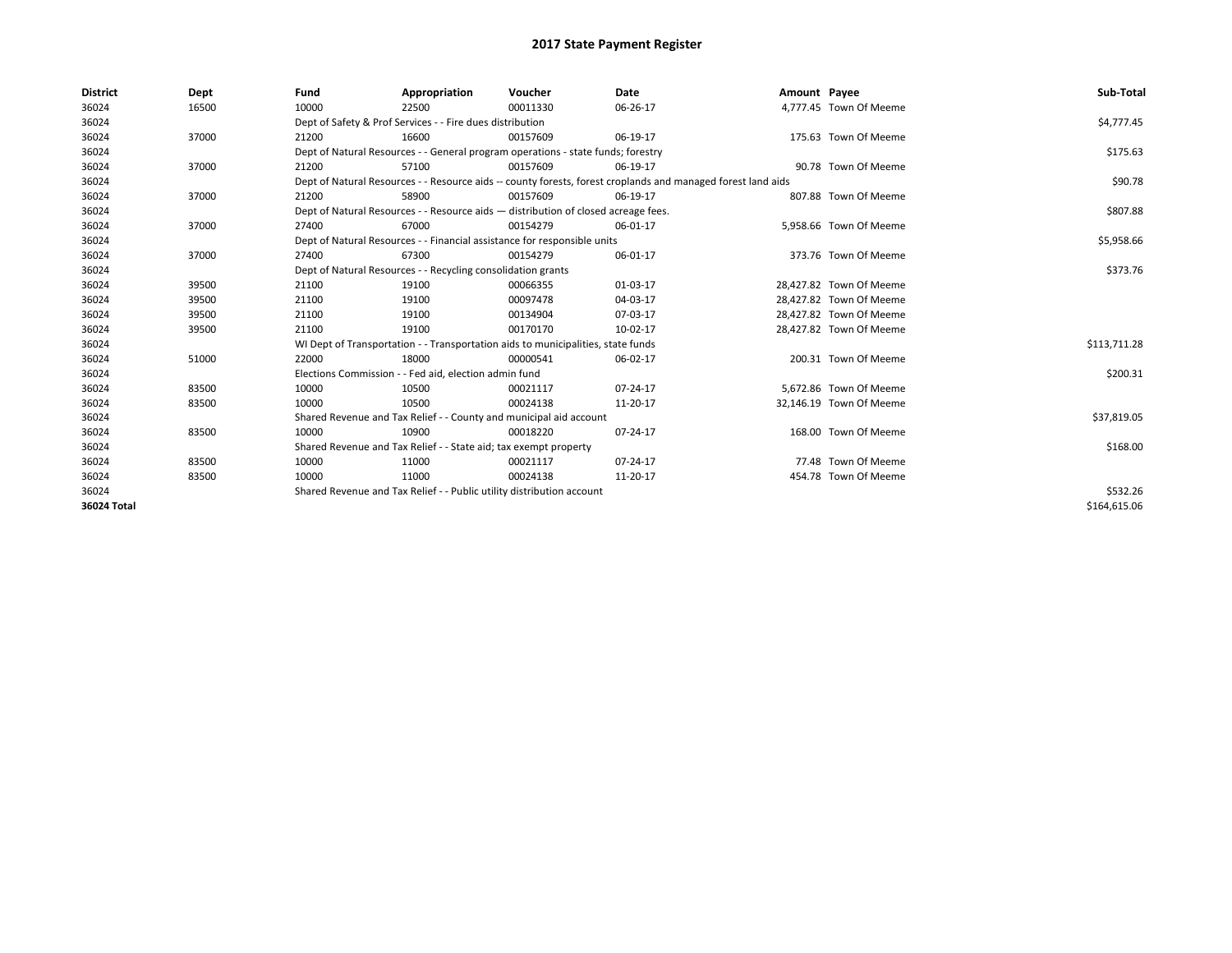| <b>District</b> | Dept  | Fund  | Appropriation                                                                                                | Voucher  | Date           | Amount Payee |                         | Sub-Total    |  |  |  |
|-----------------|-------|-------|--------------------------------------------------------------------------------------------------------------|----------|----------------|--------------|-------------------------|--------------|--|--|--|
| 36024           | 16500 | 10000 | 22500                                                                                                        | 00011330 | 06-26-17       |              | 4,777.45 Town Of Meeme  |              |  |  |  |
| 36024           |       |       | Dept of Safety & Prof Services - - Fire dues distribution                                                    |          |                |              |                         | \$4,777.45   |  |  |  |
| 36024           | 37000 | 21200 | 16600                                                                                                        | 00157609 | 06-19-17       |              | 175.63 Town Of Meeme    |              |  |  |  |
| 36024           |       |       | Dept of Natural Resources - - General program operations - state funds; forestry                             |          |                |              |                         | \$175.63     |  |  |  |
| 36024           | 37000 | 21200 | 57100                                                                                                        | 00157609 | 06-19-17       |              | 90.78 Town Of Meeme     |              |  |  |  |
| 36024           |       |       | Dept of Natural Resources - - Resource aids -- county forests, forest croplands and managed forest land aids |          |                |              |                         |              |  |  |  |
| 36024           | 37000 | 21200 | 58900                                                                                                        | 00157609 | 06-19-17       |              | 807.88 Town Of Meeme    |              |  |  |  |
| 36024           |       |       | Dept of Natural Resources - - Resource aids - distribution of closed acreage fees.                           |          |                |              |                         |              |  |  |  |
| 36024           | 37000 | 27400 | 67000                                                                                                        | 00154279 | 06-01-17       |              | 5,958.66 Town Of Meeme  |              |  |  |  |
| 36024           |       |       | Dept of Natural Resources - - Financial assistance for responsible units                                     |          |                |              |                         |              |  |  |  |
| 36024           | 37000 | 27400 | 67300                                                                                                        | 00154279 | 06-01-17       |              | 373.76 Town Of Meeme    |              |  |  |  |
| 36024           |       |       | Dept of Natural Resources - - Recycling consolidation grants                                                 |          |                |              |                         |              |  |  |  |
| 36024           | 39500 | 21100 | 19100                                                                                                        | 00066355 | 01-03-17       |              | 28,427.82 Town Of Meeme |              |  |  |  |
| 36024           | 39500 | 21100 | 19100                                                                                                        | 00097478 | 04-03-17       |              | 28,427.82 Town Of Meeme |              |  |  |  |
| 36024           | 39500 | 21100 | 19100                                                                                                        | 00134904 | 07-03-17       |              | 28,427.82 Town Of Meeme |              |  |  |  |
| 36024           | 39500 | 21100 | 19100                                                                                                        | 00170170 | 10-02-17       |              | 28,427.82 Town Of Meeme |              |  |  |  |
| 36024           |       |       | WI Dept of Transportation - - Transportation aids to municipalities, state funds                             |          |                |              |                         | \$113,711.28 |  |  |  |
| 36024           | 51000 | 22000 | 18000                                                                                                        | 00000541 | 06-02-17       |              | 200.31 Town Of Meeme    |              |  |  |  |
| 36024           |       |       | Elections Commission - - Fed aid, election admin fund                                                        |          |                |              |                         | \$200.31     |  |  |  |
| 36024           | 83500 | 10000 | 10500                                                                                                        | 00021117 | $07 - 24 - 17$ |              | 5,672.86 Town Of Meeme  |              |  |  |  |
| 36024           | 83500 | 10000 | 10500                                                                                                        | 00024138 | 11-20-17       |              | 32,146.19 Town Of Meeme |              |  |  |  |
| 36024           |       |       | Shared Revenue and Tax Relief - - County and municipal aid account                                           |          |                |              |                         | \$37,819.05  |  |  |  |
| 36024           | 83500 | 10000 | 10900                                                                                                        | 00018220 | 07-24-17       |              | 168.00 Town Of Meeme    |              |  |  |  |
| 36024           |       |       | Shared Revenue and Tax Relief - - State aid; tax exempt property                                             |          |                |              |                         | \$168.00     |  |  |  |
| 36024           | 83500 | 10000 | 11000                                                                                                        | 00021117 | 07-24-17       |              | 77.48 Town Of Meeme     |              |  |  |  |
| 36024           | 83500 | 10000 | 11000                                                                                                        | 00024138 | 11-20-17       |              | 454.78 Town Of Meeme    |              |  |  |  |
| 36024           |       |       | Shared Revenue and Tax Relief - - Public utility distribution account                                        |          |                |              |                         | \$532.26     |  |  |  |
| 36024 Total     |       |       |                                                                                                              |          |                |              |                         | \$164.615.06 |  |  |  |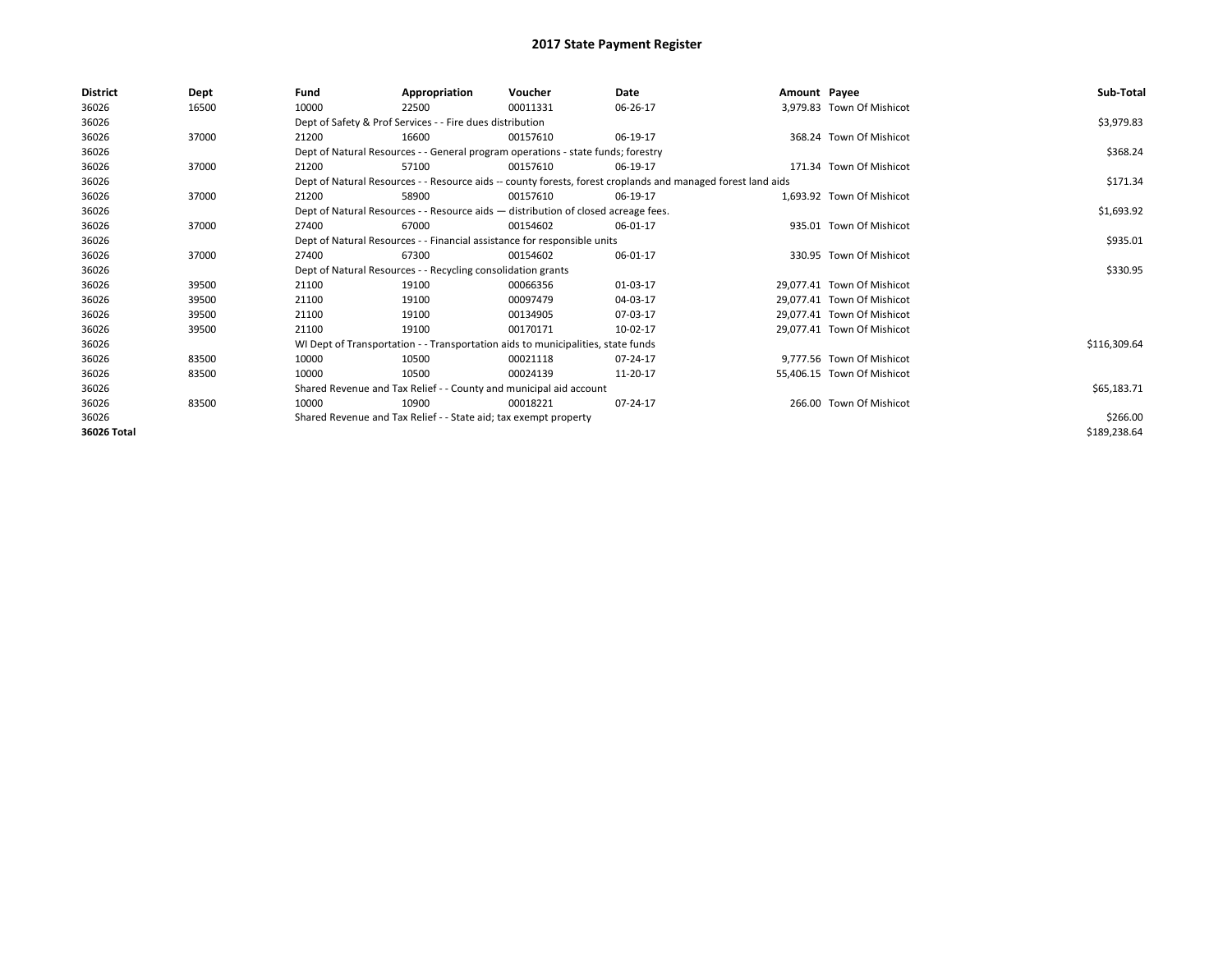| <b>District</b> | Dept  | Fund  | Appropriation                                                                      | Voucher  | Date                                                                                                         | Amount Payee |                            | Sub-Total    |  |  |  |
|-----------------|-------|-------|------------------------------------------------------------------------------------|----------|--------------------------------------------------------------------------------------------------------------|--------------|----------------------------|--------------|--|--|--|
| 36026           | 16500 | 10000 | 22500                                                                              | 00011331 | 06-26-17                                                                                                     |              | 3,979.83 Town Of Mishicot  |              |  |  |  |
| 36026           |       |       | Dept of Safety & Prof Services - - Fire dues distribution                          |          |                                                                                                              |              |                            | \$3,979.83   |  |  |  |
| 36026           | 37000 | 21200 | 16600                                                                              | 00157610 | 06-19-17                                                                                                     |              | 368.24 Town Of Mishicot    |              |  |  |  |
| 36026           |       |       | Dept of Natural Resources - - General program operations - state funds; forestry   |          |                                                                                                              |              |                            | \$368.24     |  |  |  |
| 36026           | 37000 | 21200 | 57100                                                                              | 00157610 | 06-19-17                                                                                                     |              | 171.34 Town Of Mishicot    |              |  |  |  |
| 36026           |       |       |                                                                                    |          | Dept of Natural Resources - - Resource aids -- county forests, forest croplands and managed forest land aids |              |                            | \$171.34     |  |  |  |
| 36026           | 37000 | 21200 | 58900                                                                              | 00157610 | 06-19-17                                                                                                     |              | 1,693.92 Town Of Mishicot  |              |  |  |  |
| 36026           |       |       | Dept of Natural Resources - - Resource aids - distribution of closed acreage fees. |          |                                                                                                              |              |                            | \$1,693.92   |  |  |  |
| 36026           | 37000 | 27400 | 67000                                                                              | 00154602 | 06-01-17                                                                                                     |              | 935.01 Town Of Mishicot    |              |  |  |  |
| 36026           |       |       | Dept of Natural Resources - - Financial assistance for responsible units           |          |                                                                                                              |              |                            |              |  |  |  |
| 36026           | 37000 | 27400 | 67300                                                                              | 00154602 | 06-01-17                                                                                                     |              | 330.95 Town Of Mishicot    |              |  |  |  |
| 36026           |       |       | Dept of Natural Resources - - Recycling consolidation grants                       |          |                                                                                                              |              |                            | \$330.95     |  |  |  |
| 36026           | 39500 | 21100 | 19100                                                                              | 00066356 | 01-03-17                                                                                                     |              | 29,077.41 Town Of Mishicot |              |  |  |  |
| 36026           | 39500 | 21100 | 19100                                                                              | 00097479 | 04-03-17                                                                                                     |              | 29,077.41 Town Of Mishicot |              |  |  |  |
| 36026           | 39500 | 21100 | 19100                                                                              | 00134905 | 07-03-17                                                                                                     |              | 29.077.41 Town Of Mishicot |              |  |  |  |
| 36026           | 39500 | 21100 | 19100                                                                              | 00170171 | 10-02-17                                                                                                     |              | 29.077.41 Town Of Mishicot |              |  |  |  |
| 36026           |       |       | WI Dept of Transportation - - Transportation aids to municipalities, state funds   |          |                                                                                                              |              |                            | \$116,309.64 |  |  |  |
| 36026           | 83500 | 10000 | 10500                                                                              | 00021118 | 07-24-17                                                                                                     |              | 9,777.56 Town Of Mishicot  |              |  |  |  |
| 36026           | 83500 | 10000 | 10500                                                                              | 00024139 | 11-20-17                                                                                                     |              | 55,406.15 Town Of Mishicot |              |  |  |  |
| 36026           |       |       | Shared Revenue and Tax Relief - - County and municipal aid account                 |          |                                                                                                              |              |                            | \$65,183.71  |  |  |  |
| 36026           | 83500 | 10000 | 10900                                                                              | 00018221 | 07-24-17                                                                                                     |              | 266.00 Town Of Mishicot    |              |  |  |  |
| 36026           |       |       | Shared Revenue and Tax Relief - - State aid; tax exempt property                   |          |                                                                                                              |              |                            | \$266.00     |  |  |  |
| 36026 Total     |       |       |                                                                                    |          |                                                                                                              |              |                            | \$189,238.64 |  |  |  |
|                 |       |       |                                                                                    |          |                                                                                                              |              |                            |              |  |  |  |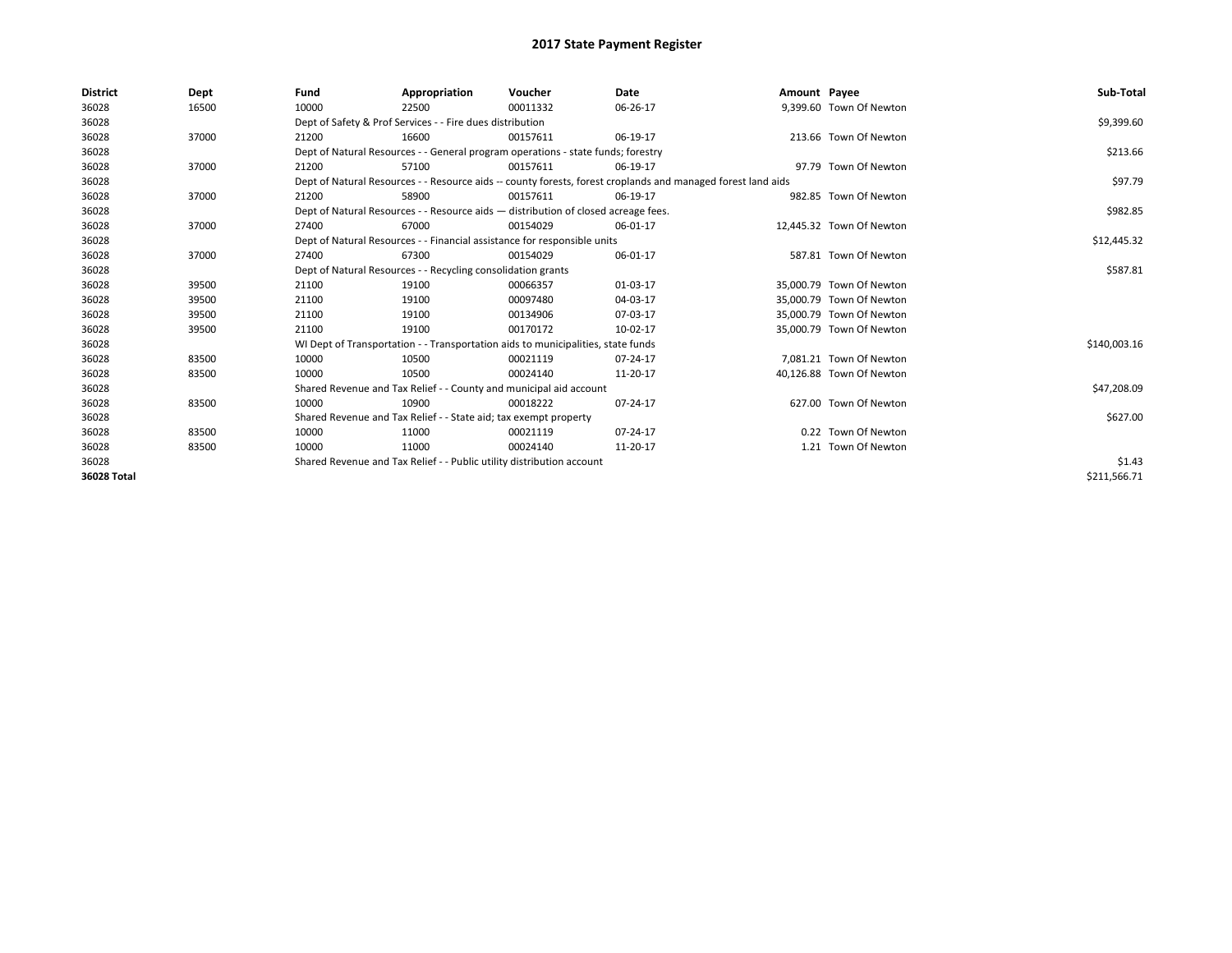| <b>District</b> | Dept  | Fund  | Appropriation                                                                                                | Voucher  | Date        | Amount Payee |                          | Sub-Total    |  |  |  |
|-----------------|-------|-------|--------------------------------------------------------------------------------------------------------------|----------|-------------|--------------|--------------------------|--------------|--|--|--|
| 36028           | 16500 | 10000 | 22500                                                                                                        | 00011332 | 06-26-17    |              | 9,399.60 Town Of Newton  |              |  |  |  |
| 36028           |       |       | Dept of Safety & Prof Services - - Fire dues distribution                                                    |          |             |              |                          | \$9,399.60   |  |  |  |
| 36028           | 37000 | 21200 | 16600                                                                                                        | 00157611 | 06-19-17    |              | 213.66 Town Of Newton    |              |  |  |  |
| 36028           |       |       | Dept of Natural Resources - - General program operations - state funds; forestry                             |          |             |              |                          | \$213.66     |  |  |  |
| 36028           | 37000 | 21200 | 57100                                                                                                        | 00157611 | 06-19-17    |              | 97.79 Town Of Newton     |              |  |  |  |
| 36028           |       |       | Dept of Natural Resources - - Resource aids -- county forests, forest croplands and managed forest land aids |          |             |              |                          | \$97.79      |  |  |  |
| 36028           | 37000 | 21200 | 58900                                                                                                        | 00157611 | 06-19-17    |              | 982.85 Town Of Newton    |              |  |  |  |
| 36028           |       |       | Dept of Natural Resources - - Resource aids - distribution of closed acreage fees.                           |          |             |              |                          |              |  |  |  |
| 36028           | 37000 | 27400 | 67000                                                                                                        | 00154029 | 06-01-17    |              | 12,445.32 Town Of Newton |              |  |  |  |
| 36028           |       |       | Dept of Natural Resources - - Financial assistance for responsible units                                     |          | \$12,445.32 |              |                          |              |  |  |  |
| 36028           | 37000 | 27400 | 67300                                                                                                        | 00154029 | 06-01-17    |              | 587.81 Town Of Newton    |              |  |  |  |
| 36028           |       |       | Dept of Natural Resources - - Recycling consolidation grants                                                 |          |             |              |                          |              |  |  |  |
| 36028           | 39500 | 21100 | 19100                                                                                                        | 00066357 | 01-03-17    |              | 35,000.79 Town Of Newton |              |  |  |  |
| 36028           | 39500 | 21100 | 19100                                                                                                        | 00097480 | 04-03-17    |              | 35,000.79 Town Of Newton |              |  |  |  |
| 36028           | 39500 | 21100 | 19100                                                                                                        | 00134906 | 07-03-17    |              | 35,000.79 Town Of Newton |              |  |  |  |
| 36028           | 39500 | 21100 | 19100                                                                                                        | 00170172 | 10-02-17    |              | 35.000.79 Town Of Newton |              |  |  |  |
| 36028           |       |       | WI Dept of Transportation - - Transportation aids to municipalities, state funds                             |          |             |              |                          | \$140,003.16 |  |  |  |
| 36028           | 83500 | 10000 | 10500                                                                                                        | 00021119 | 07-24-17    |              | 7.081.21 Town Of Newton  |              |  |  |  |
| 36028           | 83500 | 10000 | 10500                                                                                                        | 00024140 | 11-20-17    |              | 40,126.88 Town Of Newton |              |  |  |  |
| 36028           |       |       | Shared Revenue and Tax Relief - - County and municipal aid account                                           |          |             |              |                          | \$47,208.09  |  |  |  |
| 36028           | 83500 | 10000 | 10900                                                                                                        | 00018222 | 07-24-17    |              | 627.00 Town Of Newton    |              |  |  |  |
| 36028           |       |       | Shared Revenue and Tax Relief - - State aid; tax exempt property                                             |          |             |              |                          | \$627.00     |  |  |  |
| 36028           | 83500 | 10000 | 11000                                                                                                        | 00021119 | 07-24-17    |              | 0.22 Town Of Newton      |              |  |  |  |
| 36028           | 83500 | 10000 | 11000                                                                                                        | 00024140 | 11-20-17    |              | 1.21 Town Of Newton      |              |  |  |  |
| 36028           |       |       | Shared Revenue and Tax Relief - - Public utility distribution account                                        |          |             |              |                          |              |  |  |  |
| 36028 Total     |       |       |                                                                                                              |          |             |              |                          | \$211,566.71 |  |  |  |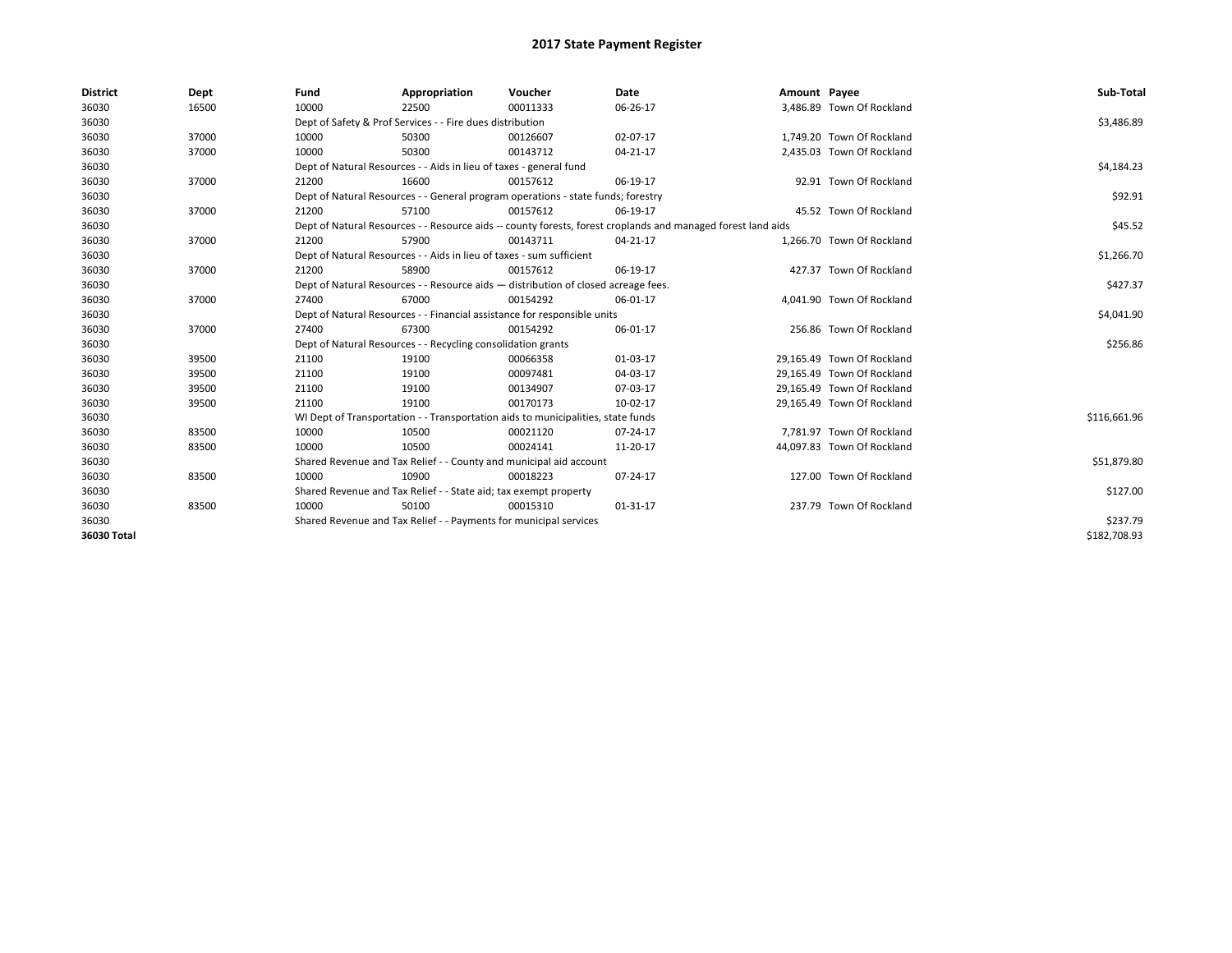| <b>District</b> | Dept  | Fund                                                                               | Appropriation                                                                    | Voucher    | Date                                                                                                         | Amount Payee |                            | Sub-Total    |
|-----------------|-------|------------------------------------------------------------------------------------|----------------------------------------------------------------------------------|------------|--------------------------------------------------------------------------------------------------------------|--------------|----------------------------|--------------|
| 36030           | 16500 | 10000                                                                              | 22500                                                                            | 00011333   | 06-26-17                                                                                                     |              | 3,486.89 Town Of Rockland  |              |
| 36030           |       |                                                                                    | Dept of Safety & Prof Services - - Fire dues distribution                        |            |                                                                                                              |              |                            | \$3,486.89   |
| 36030           | 37000 | 10000                                                                              | 50300                                                                            | 00126607   | 02-07-17                                                                                                     |              | 1,749.20 Town Of Rockland  |              |
| 36030           | 37000 | 10000                                                                              | 50300                                                                            | 00143712   | 04-21-17                                                                                                     |              | 2,435.03 Town Of Rockland  |              |
| 36030           |       |                                                                                    | Dept of Natural Resources - - Aids in lieu of taxes - general fund               |            |                                                                                                              |              |                            | \$4,184.23   |
| 36030           | 37000 | 21200                                                                              | 16600                                                                            | 00157612   | 06-19-17                                                                                                     |              | 92.91 Town Of Rockland     |              |
| 36030           |       |                                                                                    | Dept of Natural Resources - - General program operations - state funds; forestry |            |                                                                                                              |              |                            | \$92.91      |
| 36030           | 37000 | 21200                                                                              | 57100                                                                            | 00157612   | 06-19-17                                                                                                     |              | 45.52 Town Of Rockland     |              |
| 36030           |       |                                                                                    |                                                                                  |            | Dept of Natural Resources - - Resource aids -- county forests, forest croplands and managed forest land aids |              |                            | \$45.52      |
| 36030           | 37000 | 21200                                                                              | 57900                                                                            | 00143711   | 04-21-17                                                                                                     |              | 1,266.70 Town Of Rockland  |              |
| 36030           |       | Dept of Natural Resources - - Aids in lieu of taxes - sum sufficient               |                                                                                  | \$1,266.70 |                                                                                                              |              |                            |              |
| 36030           | 37000 | 21200                                                                              | 58900                                                                            | 00157612   | 06-19-17                                                                                                     |              | 427.37 Town Of Rockland    |              |
| 36030           |       | Dept of Natural Resources - - Resource aids - distribution of closed acreage fees. |                                                                                  | \$427.37   |                                                                                                              |              |                            |              |
| 36030           | 37000 | 27400                                                                              | 67000                                                                            | 00154292   | 06-01-17                                                                                                     |              | 4,041.90 Town Of Rockland  |              |
| 36030           |       | Dept of Natural Resources - - Financial assistance for responsible units           |                                                                                  | \$4,041.90 |                                                                                                              |              |                            |              |
| 36030           | 37000 | 27400                                                                              | 67300                                                                            | 00154292   | 06-01-17                                                                                                     |              | 256.86 Town Of Rockland    |              |
| 36030           |       |                                                                                    | Dept of Natural Resources - - Recycling consolidation grants                     |            |                                                                                                              |              |                            | \$256.86     |
| 36030           | 39500 | 21100                                                                              | 19100                                                                            | 00066358   | 01-03-17                                                                                                     |              | 29,165.49 Town Of Rockland |              |
| 36030           | 39500 | 21100                                                                              | 19100                                                                            | 00097481   | 04-03-17                                                                                                     |              | 29,165.49 Town Of Rockland |              |
| 36030           | 39500 | 21100                                                                              | 19100                                                                            | 00134907   | 07-03-17                                                                                                     |              | 29.165.49 Town Of Rockland |              |
| 36030           | 39500 | 21100                                                                              | 19100                                                                            | 00170173   | 10-02-17                                                                                                     |              | 29,165.49 Town Of Rockland |              |
| 36030           |       |                                                                                    | WI Dept of Transportation - - Transportation aids to municipalities, state funds |            |                                                                                                              |              |                            | \$116,661.96 |
| 36030           | 83500 | 10000                                                                              | 10500                                                                            | 00021120   | 07-24-17                                                                                                     |              | 7,781.97 Town Of Rockland  |              |
| 36030           | 83500 | 10000                                                                              | 10500                                                                            | 00024141   | 11-20-17                                                                                                     |              | 44,097.83 Town Of Rockland |              |
| 36030           |       |                                                                                    | Shared Revenue and Tax Relief - - County and municipal aid account               |            |                                                                                                              |              |                            | \$51,879.80  |
| 36030           | 83500 | 10000                                                                              | 10900                                                                            | 00018223   | 07-24-17                                                                                                     |              | 127.00 Town Of Rockland    |              |
| 36030           |       |                                                                                    | Shared Revenue and Tax Relief - - State aid; tax exempt property                 |            |                                                                                                              |              |                            | \$127.00     |
| 36030           | 83500 | 10000                                                                              | 50100                                                                            | 00015310   | 01-31-17                                                                                                     |              | 237.79 Town Of Rockland    |              |
| 36030           |       |                                                                                    | Shared Revenue and Tax Relief - - Payments for municipal services                |            |                                                                                                              |              |                            | \$237.79     |
| 36030 Total     |       |                                                                                    |                                                                                  |            |                                                                                                              |              |                            | \$182,708.93 |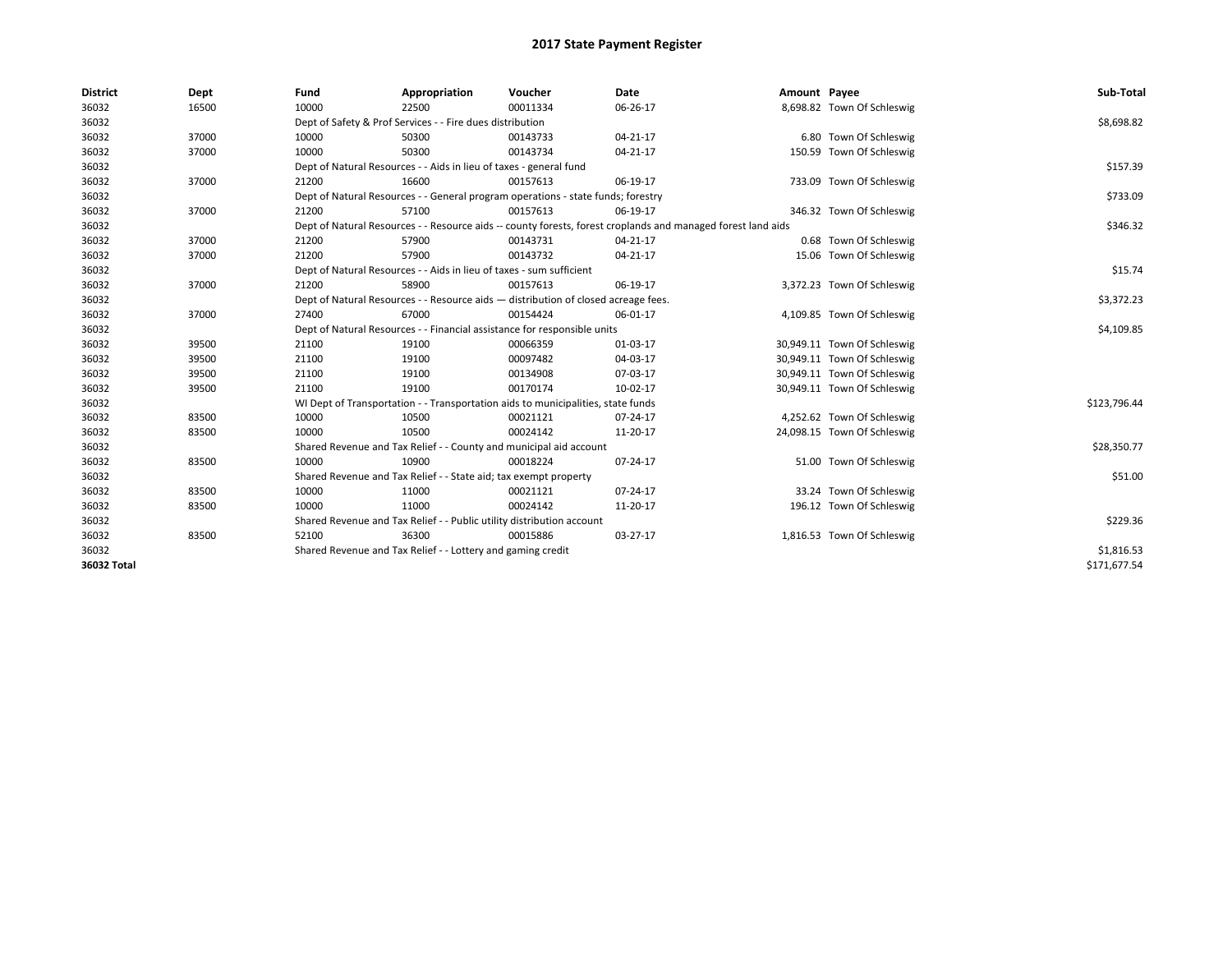| <b>District</b> | Dept  | Fund  | Appropriation                                                                      | Voucher  | Date                                                                                                         | Amount Payee |                             | Sub-Total    |  |  |
|-----------------|-------|-------|------------------------------------------------------------------------------------|----------|--------------------------------------------------------------------------------------------------------------|--------------|-----------------------------|--------------|--|--|
| 36032           | 16500 | 10000 | 22500                                                                              | 00011334 | 06-26-17                                                                                                     |              | 8,698.82 Town Of Schleswig  |              |  |  |
| 36032           |       |       | Dept of Safety & Prof Services - - Fire dues distribution                          |          |                                                                                                              |              |                             | \$8,698.82   |  |  |
| 36032           | 37000 | 10000 | 50300                                                                              | 00143733 | $04 - 21 - 17$                                                                                               |              | 6.80 Town Of Schleswig      |              |  |  |
| 36032           | 37000 | 10000 | 50300                                                                              | 00143734 | $04 - 21 - 17$                                                                                               |              | 150.59 Town Of Schleswig    |              |  |  |
| 36032           |       |       | Dept of Natural Resources - - Aids in lieu of taxes - general fund                 |          |                                                                                                              |              |                             | \$157.39     |  |  |
| 36032           | 37000 | 21200 | 16600                                                                              | 00157613 | 06-19-17                                                                                                     |              | 733.09 Town Of Schleswig    |              |  |  |
| 36032           |       |       | Dept of Natural Resources - - General program operations - state funds; forestry   |          |                                                                                                              |              |                             | \$733.09     |  |  |
| 36032           | 37000 | 21200 | 57100                                                                              | 00157613 | 06-19-17                                                                                                     |              | 346.32 Town Of Schleswig    |              |  |  |
| 36032           |       |       |                                                                                    |          | Dept of Natural Resources - - Resource aids -- county forests, forest croplands and managed forest land aids |              |                             | \$346.32     |  |  |
| 36032           | 37000 | 21200 | 57900                                                                              | 00143731 | $04 - 21 - 17$                                                                                               |              | 0.68 Town Of Schleswig      |              |  |  |
| 36032           | 37000 | 21200 | 57900                                                                              | 00143732 | 04-21-17                                                                                                     |              | 15.06 Town Of Schleswig     |              |  |  |
| 36032           |       |       | Dept of Natural Resources - - Aids in lieu of taxes - sum sufficient               |          |                                                                                                              |              |                             |              |  |  |
| 36032           | 37000 | 21200 | 58900                                                                              | 00157613 | 06-19-17                                                                                                     |              | 3,372.23 Town Of Schleswig  |              |  |  |
| 36032           |       |       | Dept of Natural Resources - - Resource aids - distribution of closed acreage fees. |          |                                                                                                              |              |                             |              |  |  |
| 36032           | 37000 | 27400 | 67000                                                                              | 00154424 | 06-01-17                                                                                                     |              | 4,109.85 Town Of Schleswig  |              |  |  |
| 36032           |       |       | Dept of Natural Resources - - Financial assistance for responsible units           |          |                                                                                                              |              |                             |              |  |  |
| 36032           | 39500 | 21100 | 19100                                                                              | 00066359 | 01-03-17                                                                                                     |              | 30,949.11 Town Of Schleswig |              |  |  |
| 36032           | 39500 | 21100 | 19100                                                                              | 00097482 | 04-03-17                                                                                                     |              | 30,949.11 Town Of Schleswig |              |  |  |
| 36032           | 39500 | 21100 | 19100                                                                              | 00134908 | 07-03-17                                                                                                     |              | 30,949.11 Town Of Schleswig |              |  |  |
| 36032           | 39500 | 21100 | 19100                                                                              | 00170174 | 10-02-17                                                                                                     |              | 30,949.11 Town Of Schleswig |              |  |  |
| 36032           |       |       | WI Dept of Transportation - - Transportation aids to municipalities, state funds   |          |                                                                                                              |              |                             | \$123,796.44 |  |  |
| 36032           | 83500 | 10000 | 10500                                                                              | 00021121 | 07-24-17                                                                                                     |              | 4,252.62 Town Of Schleswig  |              |  |  |
| 36032           | 83500 | 10000 | 10500                                                                              | 00024142 | 11-20-17                                                                                                     |              | 24,098.15 Town Of Schleswig |              |  |  |
| 36032           |       |       | Shared Revenue and Tax Relief - - County and municipal aid account                 |          |                                                                                                              |              |                             | \$28,350.77  |  |  |
| 36032           | 83500 | 10000 | 10900                                                                              | 00018224 | 07-24-17                                                                                                     |              | 51.00 Town Of Schleswig     |              |  |  |
| 36032           |       |       | Shared Revenue and Tax Relief - - State aid; tax exempt property                   |          |                                                                                                              |              |                             | \$51.00      |  |  |
| 36032           | 83500 | 10000 | 11000                                                                              | 00021121 | 07-24-17                                                                                                     |              | 33.24 Town Of Schleswig     |              |  |  |
| 36032           | 83500 | 10000 | 11000                                                                              | 00024142 | 11-20-17                                                                                                     |              | 196.12 Town Of Schleswig    |              |  |  |
| 36032           |       |       | Shared Revenue and Tax Relief - - Public utility distribution account              |          |                                                                                                              |              |                             | \$229.36     |  |  |
| 36032           | 83500 | 52100 | 36300                                                                              | 00015886 | 03-27-17                                                                                                     |              | 1,816.53 Town Of Schleswig  |              |  |  |
| 36032           |       |       | Shared Revenue and Tax Relief - - Lottery and gaming credit                        |          |                                                                                                              |              |                             | \$1,816.53   |  |  |
| 36032 Total     |       |       |                                                                                    |          |                                                                                                              |              |                             | \$171,677.54 |  |  |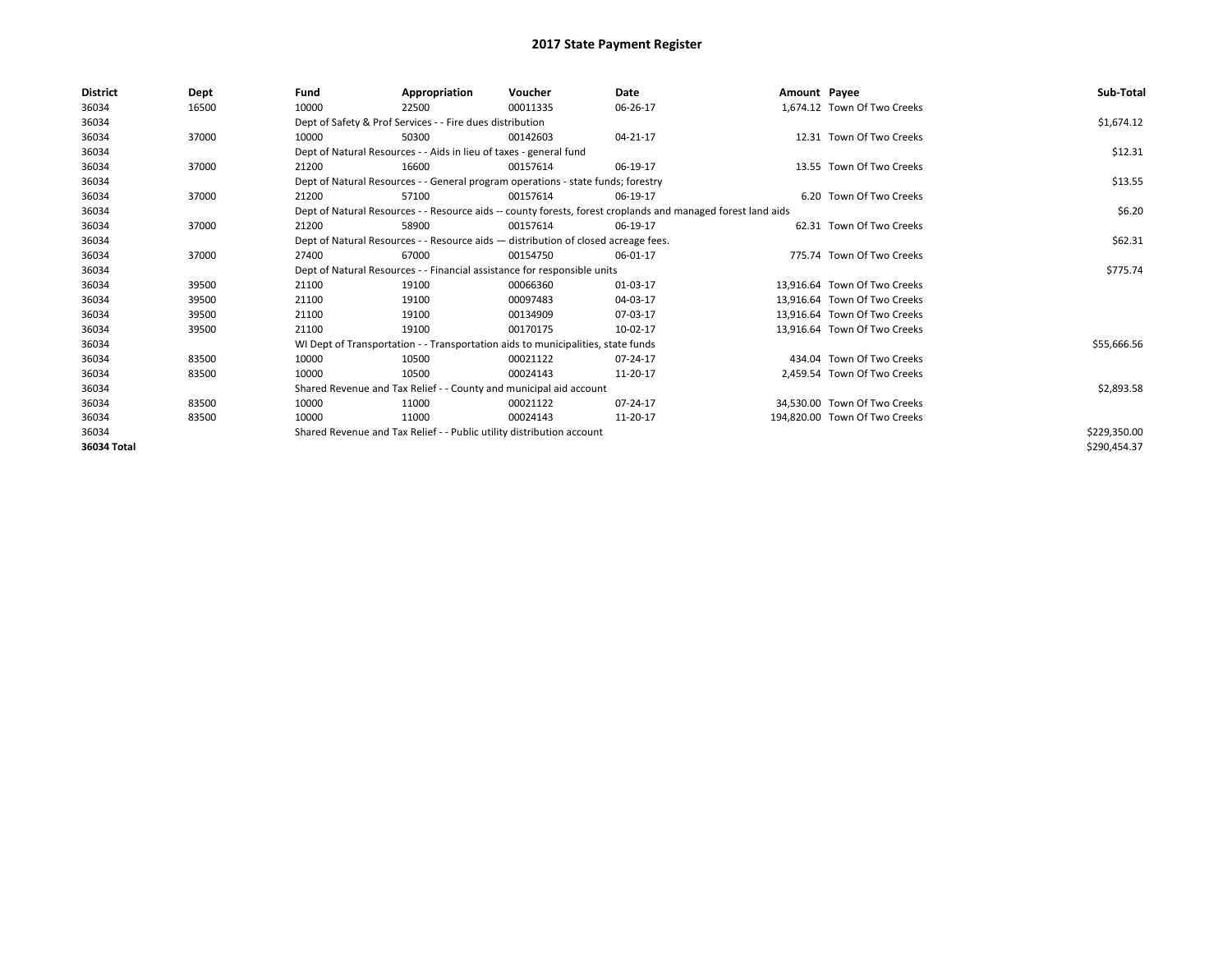| <b>District</b> | Dept  | Fund  | Appropriation                                                         | Voucher                                                                            | Date                                                                                                         | Amount Payee |                               | Sub-Total    |
|-----------------|-------|-------|-----------------------------------------------------------------------|------------------------------------------------------------------------------------|--------------------------------------------------------------------------------------------------------------|--------------|-------------------------------|--------------|
| 36034           | 16500 | 10000 | 22500                                                                 | 00011335                                                                           | 06-26-17                                                                                                     |              | 1.674.12 Town Of Two Creeks   |              |
| 36034           |       |       | Dept of Safety & Prof Services - - Fire dues distribution             |                                                                                    |                                                                                                              |              |                               | \$1,674.12   |
| 36034           | 37000 | 10000 | 50300                                                                 | 00142603                                                                           | 04-21-17                                                                                                     |              | 12.31 Town Of Two Creeks      |              |
| 36034           |       |       | Dept of Natural Resources - - Aids in lieu of taxes - general fund    |                                                                                    |                                                                                                              |              |                               | \$12.31      |
| 36034           | 37000 | 21200 | 16600                                                                 | 00157614                                                                           | 06-19-17                                                                                                     |              | 13.55 Town Of Two Creeks      |              |
| 36034           |       |       |                                                                       | Dept of Natural Resources - - General program operations - state funds; forestry   |                                                                                                              |              |                               | \$13.55      |
| 36034           | 37000 | 21200 | 57100                                                                 | 00157614                                                                           | 06-19-17                                                                                                     |              | 6.20 Town Of Two Creeks       |              |
| 36034           |       |       |                                                                       |                                                                                    | Dept of Natural Resources - - Resource aids -- county forests, forest croplands and managed forest land aids |              |                               | \$6.20       |
| 36034           | 37000 | 21200 | 58900                                                                 | 00157614                                                                           | 06-19-17                                                                                                     |              | 62.31 Town Of Two Creeks      |              |
| 36034           |       |       |                                                                       | Dept of Natural Resources - - Resource aids - distribution of closed acreage fees. |                                                                                                              |              |                               | \$62.31      |
| 36034           | 37000 | 27400 | 67000                                                                 | 00154750                                                                           | 06-01-17                                                                                                     |              | 775.74 Town Of Two Creeks     |              |
| 36034           |       |       |                                                                       | Dept of Natural Resources - - Financial assistance for responsible units           |                                                                                                              |              |                               | \$775.74     |
| 36034           | 39500 | 21100 | 19100                                                                 | 00066360                                                                           | 01-03-17                                                                                                     |              | 13,916.64 Town Of Two Creeks  |              |
| 36034           | 39500 | 21100 | 19100                                                                 | 00097483                                                                           | 04-03-17                                                                                                     |              | 13,916.64 Town Of Two Creeks  |              |
| 36034           | 39500 | 21100 | 19100                                                                 | 00134909                                                                           | 07-03-17                                                                                                     |              | 13,916.64 Town Of Two Creeks  |              |
| 36034           | 39500 | 21100 | 19100                                                                 | 00170175                                                                           | 10-02-17                                                                                                     |              | 13,916.64 Town Of Two Creeks  |              |
| 36034           |       |       |                                                                       | WI Dept of Transportation - - Transportation aids to municipalities, state funds   |                                                                                                              |              |                               | \$55,666.56  |
| 36034           | 83500 | 10000 | 10500                                                                 | 00021122                                                                           | 07-24-17                                                                                                     |              | 434.04 Town Of Two Creeks     |              |
| 36034           | 83500 | 10000 | 10500                                                                 | 00024143                                                                           | 11-20-17                                                                                                     |              | 2,459.54 Town Of Two Creeks   |              |
| 36034           |       |       | Shared Revenue and Tax Relief - - County and municipal aid account    |                                                                                    |                                                                                                              |              |                               | \$2,893.58   |
| 36034           | 83500 | 10000 | 11000                                                                 | 00021122                                                                           | $07 - 24 - 17$                                                                                               |              | 34.530.00 Town Of Two Creeks  |              |
| 36034           | 83500 | 10000 | 11000                                                                 | 00024143                                                                           | 11-20-17                                                                                                     |              | 194,820.00 Town Of Two Creeks |              |
| 36034           |       |       | Shared Revenue and Tax Relief - - Public utility distribution account |                                                                                    |                                                                                                              |              |                               | \$229,350.00 |
| 36034 Total     |       |       |                                                                       |                                                                                    |                                                                                                              |              |                               | \$290,454.37 |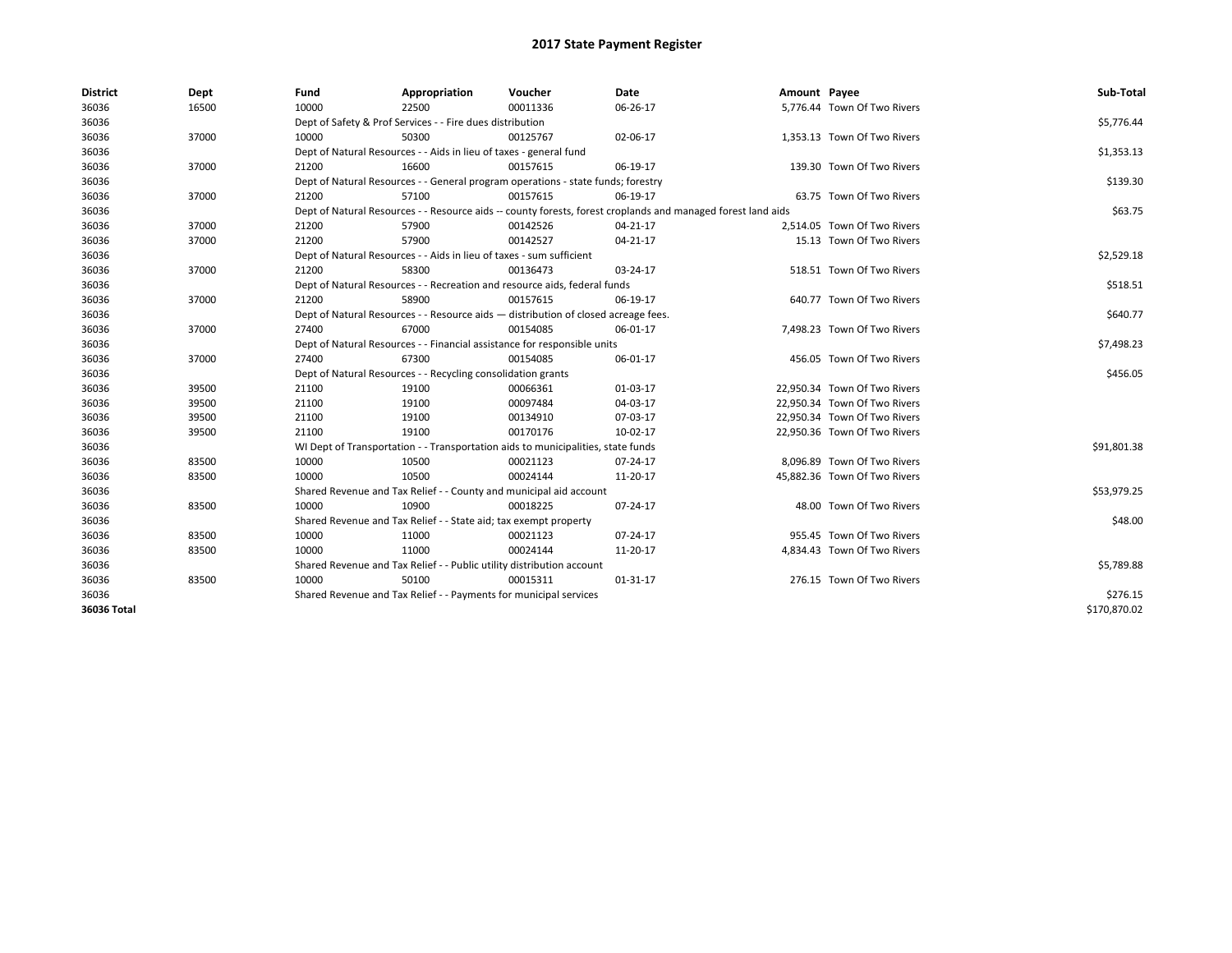| <b>District</b> | Dept  | Fund  | Appropriation                                                                      | Voucher  | Date                                                                                                         | Amount Payee |                              | Sub-Total    |  |  |  |
|-----------------|-------|-------|------------------------------------------------------------------------------------|----------|--------------------------------------------------------------------------------------------------------------|--------------|------------------------------|--------------|--|--|--|
| 36036           | 16500 | 10000 | 22500                                                                              | 00011336 | 06-26-17                                                                                                     |              | 5,776.44 Town Of Two Rivers  |              |  |  |  |
| 36036           |       |       | Dept of Safety & Prof Services - - Fire dues distribution                          |          |                                                                                                              |              |                              | \$5,776.44   |  |  |  |
| 36036           | 37000 | 10000 | 50300                                                                              | 00125767 | 02-06-17                                                                                                     |              | 1,353.13 Town Of Two Rivers  |              |  |  |  |
| 36036           |       |       | Dept of Natural Resources - - Aids in lieu of taxes - general fund                 |          |                                                                                                              |              |                              | \$1,353.13   |  |  |  |
| 36036           | 37000 | 21200 | 16600                                                                              | 00157615 | 06-19-17                                                                                                     |              | 139.30 Town Of Two Rivers    |              |  |  |  |
| 36036           |       |       | Dept of Natural Resources - - General program operations - state funds; forestry   |          |                                                                                                              |              |                              | \$139.30     |  |  |  |
| 36036           | 37000 | 21200 | 57100                                                                              | 00157615 | 06-19-17                                                                                                     |              | 63.75 Town Of Two Rivers     |              |  |  |  |
| 36036           |       |       |                                                                                    |          | Dept of Natural Resources - - Resource aids -- county forests, forest croplands and managed forest land aids |              |                              | \$63.75      |  |  |  |
| 36036           | 37000 | 21200 | 57900                                                                              | 00142526 | 04-21-17                                                                                                     |              | 2,514.05 Town Of Two Rivers  |              |  |  |  |
| 36036           | 37000 | 21200 | 57900                                                                              | 00142527 | 04-21-17                                                                                                     |              | 15.13 Town Of Two Rivers     |              |  |  |  |
| 36036           |       |       | Dept of Natural Resources - - Aids in lieu of taxes - sum sufficient               |          |                                                                                                              |              |                              |              |  |  |  |
| 36036           | 37000 | 21200 | 58300                                                                              | 00136473 | 03-24-17                                                                                                     |              | 518.51 Town Of Two Rivers    |              |  |  |  |
| 36036           |       |       | Dept of Natural Resources - - Recreation and resource aids, federal funds          |          |                                                                                                              |              |                              |              |  |  |  |
| 36036           | 37000 | 21200 | 58900                                                                              | 00157615 | 06-19-17                                                                                                     |              | 640.77 Town Of Two Rivers    |              |  |  |  |
| 36036           |       |       | Dept of Natural Resources - - Resource aids - distribution of closed acreage fees. |          |                                                                                                              |              |                              |              |  |  |  |
| 36036           | 37000 | 27400 | 67000                                                                              | 00154085 | 06-01-17                                                                                                     |              | 7,498.23 Town Of Two Rivers  |              |  |  |  |
| 36036           |       |       | Dept of Natural Resources - - Financial assistance for responsible units           |          |                                                                                                              |              |                              |              |  |  |  |
| 36036           | 37000 | 27400 | 67300                                                                              | 00154085 | 06-01-17                                                                                                     |              | 456.05 Town Of Two Rivers    |              |  |  |  |
| 36036           |       |       | Dept of Natural Resources - - Recycling consolidation grants                       |          |                                                                                                              |              |                              | \$456.05     |  |  |  |
| 36036           | 39500 | 21100 | 19100                                                                              | 00066361 | 01-03-17                                                                                                     |              | 22,950.34 Town Of Two Rivers |              |  |  |  |
| 36036           | 39500 | 21100 | 19100                                                                              | 00097484 | 04-03-17                                                                                                     |              | 22,950.34 Town Of Two Rivers |              |  |  |  |
| 36036           | 39500 | 21100 | 19100                                                                              | 00134910 | 07-03-17                                                                                                     |              | 22,950.34 Town Of Two Rivers |              |  |  |  |
| 36036           | 39500 | 21100 | 19100                                                                              | 00170176 | 10-02-17                                                                                                     |              | 22,950.36 Town Of Two Rivers |              |  |  |  |
| 36036           |       |       | WI Dept of Transportation - - Transportation aids to municipalities, state funds   |          |                                                                                                              |              |                              | \$91,801.38  |  |  |  |
| 36036           | 83500 | 10000 | 10500                                                                              | 00021123 | 07-24-17                                                                                                     |              | 8.096.89 Town Of Two Rivers  |              |  |  |  |
| 36036           | 83500 | 10000 | 10500                                                                              | 00024144 | 11-20-17                                                                                                     |              | 45.882.36 Town Of Two Rivers |              |  |  |  |
| 36036           |       |       | Shared Revenue and Tax Relief - - County and municipal aid account                 |          |                                                                                                              |              |                              | \$53,979.25  |  |  |  |
| 36036           | 83500 | 10000 | 10900                                                                              | 00018225 | 07-24-17                                                                                                     |              | 48.00 Town Of Two Rivers     |              |  |  |  |
| 36036           |       |       | Shared Revenue and Tax Relief - - State aid; tax exempt property                   |          |                                                                                                              |              |                              | \$48.00      |  |  |  |
| 36036           | 83500 | 10000 | 11000                                                                              | 00021123 | 07-24-17                                                                                                     |              | 955.45 Town Of Two Rivers    |              |  |  |  |
| 36036           | 83500 | 10000 | 11000                                                                              | 00024144 | 11-20-17                                                                                                     |              | 4,834.43 Town Of Two Rivers  |              |  |  |  |
| 36036           |       |       | Shared Revenue and Tax Relief - - Public utility distribution account              |          |                                                                                                              |              |                              | \$5,789.88   |  |  |  |
| 36036           | 83500 | 10000 | 50100                                                                              | 00015311 | 01-31-17                                                                                                     |              | 276.15 Town Of Two Rivers    |              |  |  |  |
| 36036           |       |       | Shared Revenue and Tax Relief - - Payments for municipal services                  |          |                                                                                                              |              |                              | \$276.15     |  |  |  |
| 36036 Total     |       |       |                                                                                    |          |                                                                                                              |              |                              | \$170,870.02 |  |  |  |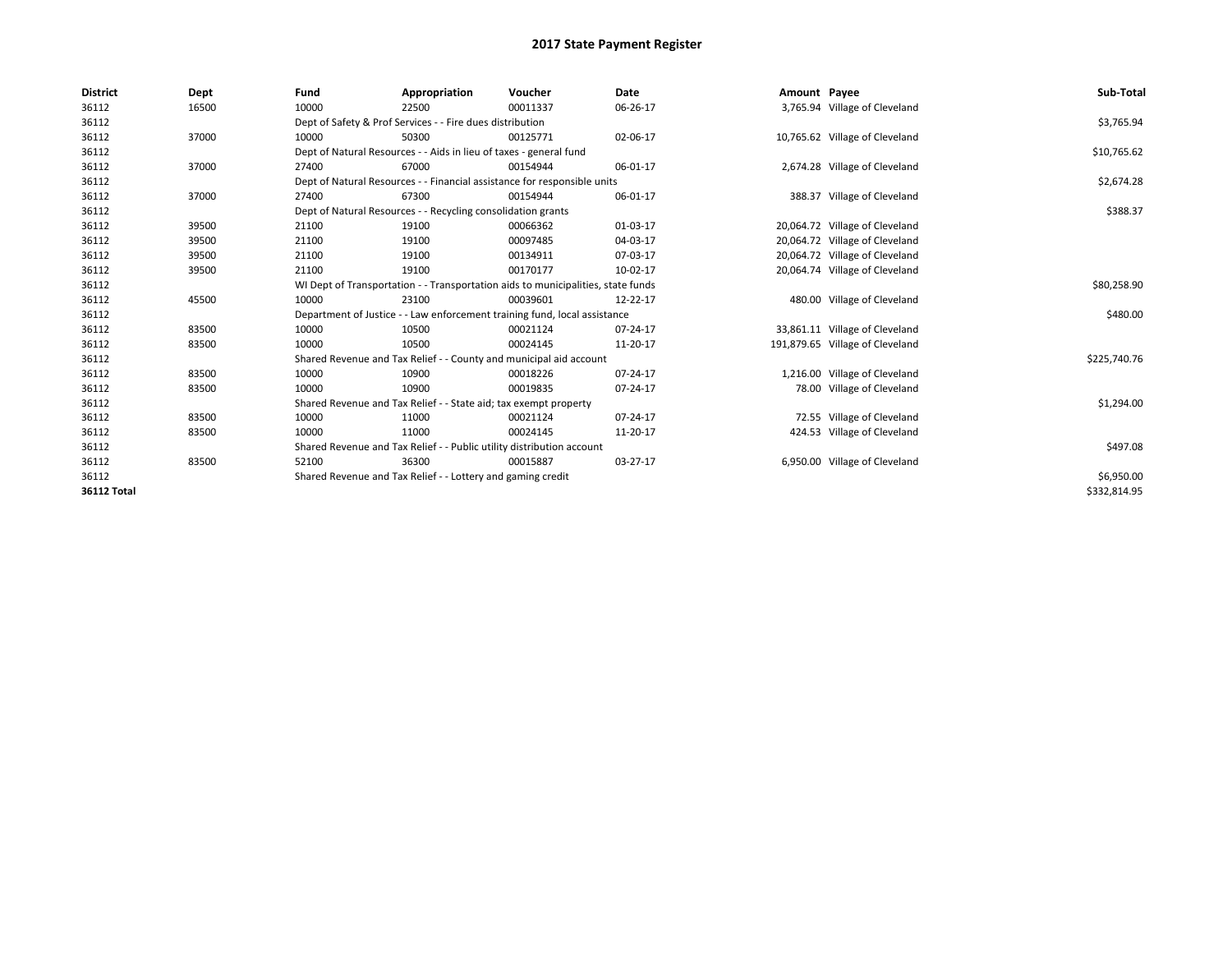| <b>District</b>    | Dept  | Fund  | Appropriation                                                                    | Voucher  | Date     | Amount Payee |                                 | Sub-Total    |  |  |
|--------------------|-------|-------|----------------------------------------------------------------------------------|----------|----------|--------------|---------------------------------|--------------|--|--|
| 36112              | 16500 | 10000 | 22500                                                                            | 00011337 | 06-26-17 |              | 3,765.94 Village of Cleveland   |              |  |  |
| 36112              |       |       | Dept of Safety & Prof Services - - Fire dues distribution                        |          |          |              |                                 | \$3,765.94   |  |  |
| 36112              | 37000 | 10000 | 50300                                                                            | 00125771 | 02-06-17 |              | 10,765.62 Village of Cleveland  |              |  |  |
| 36112              |       |       | Dept of Natural Resources - - Aids in lieu of taxes - general fund               |          |          |              |                                 | \$10,765.62  |  |  |
| 36112              | 37000 | 27400 | 67000                                                                            | 00154944 | 06-01-17 |              | 2,674.28 Village of Cleveland   |              |  |  |
| 36112              |       |       | Dept of Natural Resources - - Financial assistance for responsible units         |          |          |              |                                 | \$2,674.28   |  |  |
| 36112              | 37000 | 27400 | 67300                                                                            | 00154944 | 06-01-17 |              | 388.37 Village of Cleveland     |              |  |  |
| 36112              |       |       | Dept of Natural Resources - - Recycling consolidation grants                     |          |          |              |                                 |              |  |  |
| 36112              | 39500 | 21100 | 19100                                                                            | 00066362 | 01-03-17 |              | 20,064.72 Village of Cleveland  |              |  |  |
| 36112              | 39500 | 21100 | 19100                                                                            | 00097485 | 04-03-17 |              | 20,064.72 Village of Cleveland  |              |  |  |
| 36112              | 39500 | 21100 | 19100                                                                            | 00134911 | 07-03-17 |              | 20,064.72 Village of Cleveland  |              |  |  |
| 36112              | 39500 | 21100 | 19100                                                                            | 00170177 | 10-02-17 |              | 20,064.74 Village of Cleveland  |              |  |  |
| 36112              |       |       | WI Dept of Transportation - - Transportation aids to municipalities, state funds |          |          |              |                                 |              |  |  |
| 36112              | 45500 | 10000 | 23100                                                                            | 00039601 | 12-22-17 |              | 480.00 Village of Cleveland     |              |  |  |
| 36112              |       |       | Department of Justice - - Law enforcement training fund, local assistance        |          |          |              |                                 | \$480.00     |  |  |
| 36112              | 83500 | 10000 | 10500                                                                            | 00021124 | 07-24-17 |              | 33,861.11 Village of Cleveland  |              |  |  |
| 36112              | 83500 | 10000 | 10500                                                                            | 00024145 | 11-20-17 |              | 191,879.65 Village of Cleveland |              |  |  |
| 36112              |       |       | Shared Revenue and Tax Relief - - County and municipal aid account               |          |          |              |                                 | \$225,740.76 |  |  |
| 36112              | 83500 | 10000 | 10900                                                                            | 00018226 | 07-24-17 |              | 1,216.00 Village of Cleveland   |              |  |  |
| 36112              | 83500 | 10000 | 10900                                                                            | 00019835 | 07-24-17 |              | 78.00 Village of Cleveland      |              |  |  |
| 36112              |       |       | Shared Revenue and Tax Relief - - State aid; tax exempt property                 |          |          |              |                                 | \$1,294.00   |  |  |
| 36112              | 83500 | 10000 | 11000                                                                            | 00021124 | 07-24-17 |              | 72.55 Village of Cleveland      |              |  |  |
| 36112              | 83500 | 10000 | 11000                                                                            | 00024145 | 11-20-17 |              | 424.53 Village of Cleveland     |              |  |  |
| 36112              |       |       | Shared Revenue and Tax Relief - - Public utility distribution account            |          |          |              |                                 | \$497.08     |  |  |
| 36112              | 83500 | 52100 | 36300                                                                            | 00015887 | 03-27-17 |              | 6,950.00 Village of Cleveland   |              |  |  |
| 36112              |       |       | Shared Revenue and Tax Relief - - Lottery and gaming credit                      |          |          |              |                                 |              |  |  |
| <b>36112 Total</b> |       |       |                                                                                  |          |          |              |                                 | \$332,814.95 |  |  |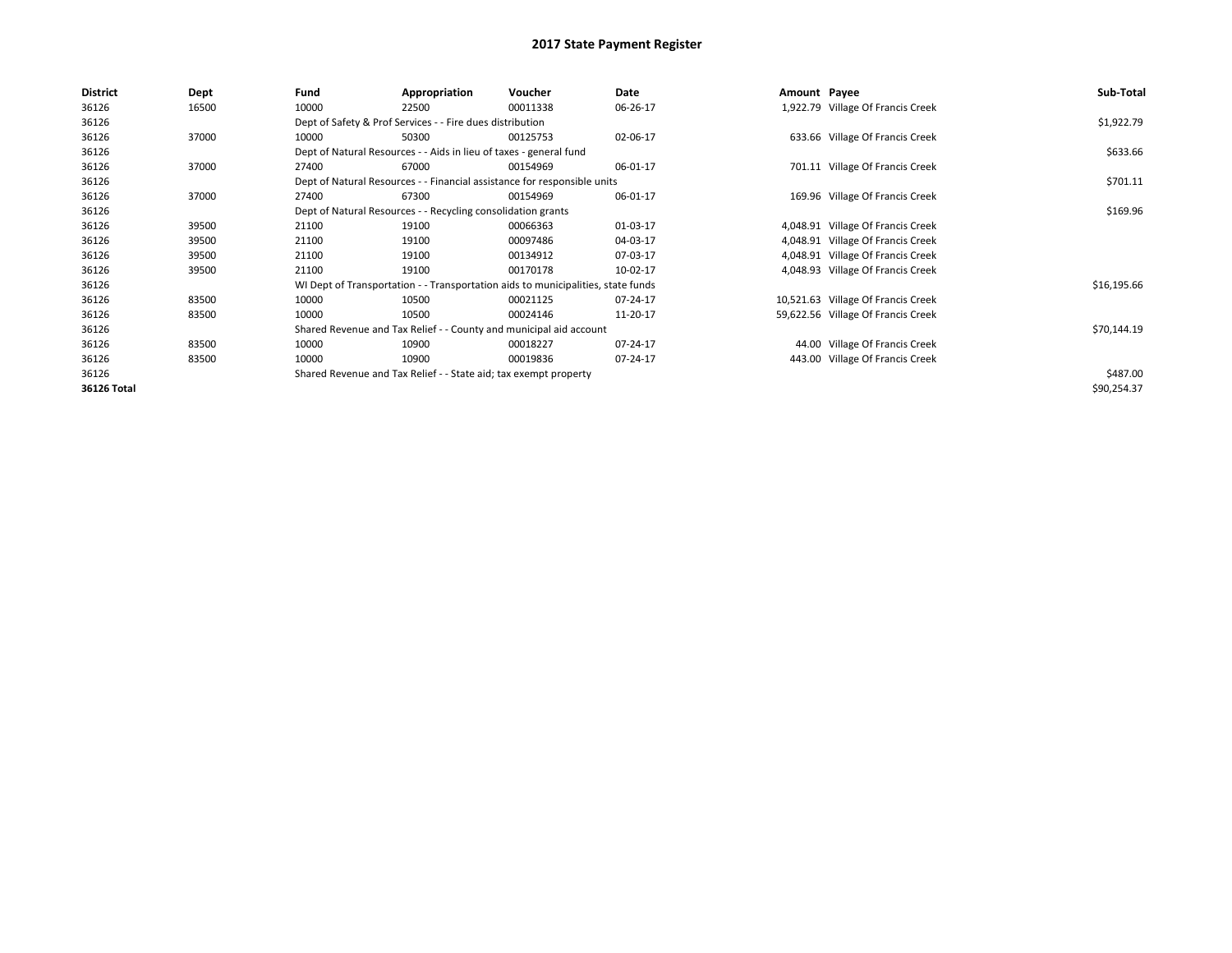| <b>District</b>    | Dept  | Fund                                                                     | Appropriation                                                                    | Voucher  | Date     | Amount Payee |                                    | Sub-Total   |
|--------------------|-------|--------------------------------------------------------------------------|----------------------------------------------------------------------------------|----------|----------|--------------|------------------------------------|-------------|
| 36126              | 16500 | 10000                                                                    | 22500                                                                            | 00011338 | 06-26-17 |              | 1,922.79 Village Of Francis Creek  |             |
| 36126              |       |                                                                          | Dept of Safety & Prof Services - - Fire dues distribution                        |          |          |              |                                    | \$1,922.79  |
| 36126              | 37000 | 10000                                                                    | 50300                                                                            | 00125753 | 02-06-17 |              | 633.66 Village Of Francis Creek    |             |
| 36126              |       | Dept of Natural Resources - - Aids in lieu of taxes - general fund       |                                                                                  | \$633.66 |          |              |                                    |             |
| 36126              | 37000 | 27400                                                                    | 67000                                                                            | 00154969 | 06-01-17 |              | 701.11 Village Of Francis Creek    |             |
| 36126              |       | Dept of Natural Resources - - Financial assistance for responsible units |                                                                                  | \$701.11 |          |              |                                    |             |
| 36126              | 37000 | 27400                                                                    | 67300                                                                            | 00154969 | 06-01-17 |              | 169.96 Village Of Francis Creek    |             |
| 36126              |       |                                                                          | Dept of Natural Resources - - Recycling consolidation grants                     |          |          |              |                                    | \$169.96    |
| 36126              | 39500 | 21100                                                                    | 19100                                                                            | 00066363 | 01-03-17 |              | 4,048.91 Village Of Francis Creek  |             |
| 36126              | 39500 | 21100                                                                    | 19100                                                                            | 00097486 | 04-03-17 |              | 4,048.91 Village Of Francis Creek  |             |
| 36126              | 39500 | 21100                                                                    | 19100                                                                            | 00134912 | 07-03-17 |              | 4,048.91 Village Of Francis Creek  |             |
| 36126              | 39500 | 21100                                                                    | 19100                                                                            | 00170178 | 10-02-17 |              | 4,048.93 Village Of Francis Creek  |             |
| 36126              |       |                                                                          | WI Dept of Transportation - - Transportation aids to municipalities, state funds |          |          |              |                                    | \$16,195.66 |
| 36126              | 83500 | 10000                                                                    | 10500                                                                            | 00021125 | 07-24-17 |              | 10,521.63 Village Of Francis Creek |             |
| 36126              | 83500 | 10000                                                                    | 10500                                                                            | 00024146 | 11-20-17 |              | 59,622.56 Village Of Francis Creek |             |
| 36126              |       |                                                                          | Shared Revenue and Tax Relief - - County and municipal aid account               |          |          |              |                                    | \$70,144.19 |
| 36126              | 83500 | 10000                                                                    | 10900                                                                            | 00018227 | 07-24-17 |              | 44.00 Village Of Francis Creek     |             |
| 36126              | 83500 | 10000                                                                    | 10900                                                                            | 00019836 | 07-24-17 |              | 443.00 Village Of Francis Creek    |             |
| 36126              |       |                                                                          | Shared Revenue and Tax Relief - - State aid; tax exempt property                 |          |          |              |                                    | \$487.00    |
| <b>36126 Total</b> |       |                                                                          |                                                                                  |          |          |              |                                    | \$90,254.37 |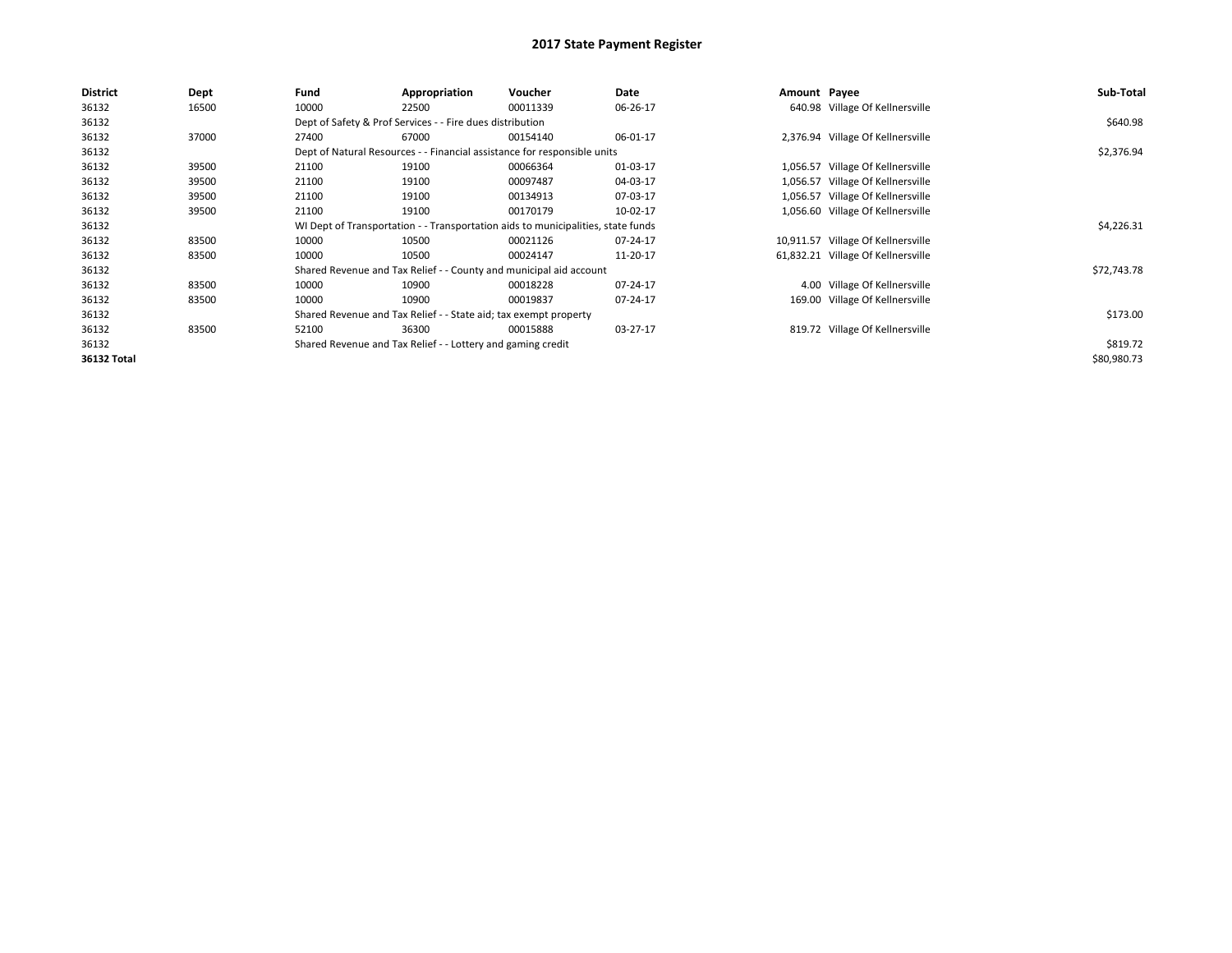| <b>District</b> | Dept  | Fund                                                        | Appropriation                                                    | Voucher                                                                          | Date     | Amount Payee |                                    | Sub-Total   |
|-----------------|-------|-------------------------------------------------------------|------------------------------------------------------------------|----------------------------------------------------------------------------------|----------|--------------|------------------------------------|-------------|
| 36132           | 16500 | 10000                                                       | 22500                                                            | 00011339                                                                         | 06-26-17 |              | 640.98 Village Of Kellnersville    |             |
| 36132           |       |                                                             | Dept of Safety & Prof Services - - Fire dues distribution        |                                                                                  |          |              |                                    | \$640.98    |
| 36132           | 37000 | 27400                                                       | 67000                                                            | 00154140                                                                         | 06-01-17 |              | 2,376.94 Village Of Kellnersville  |             |
| 36132           |       |                                                             |                                                                  | Dept of Natural Resources - - Financial assistance for responsible units         |          |              |                                    | \$2,376.94  |
| 36132           | 39500 | 21100                                                       | 19100                                                            | 00066364                                                                         | 01-03-17 |              | 1,056.57 Village Of Kellnersville  |             |
| 36132           | 39500 | 21100                                                       | 19100                                                            | 00097487                                                                         | 04-03-17 |              | 1,056.57 Village Of Kellnersville  |             |
| 36132           | 39500 | 21100                                                       | 19100                                                            | 00134913                                                                         | 07-03-17 |              | 1,056.57 Village Of Kellnersville  |             |
| 36132           | 39500 | 21100                                                       | 19100                                                            | 00170179                                                                         | 10-02-17 |              | 1,056.60 Village Of Kellnersville  |             |
| 36132           |       |                                                             |                                                                  | WI Dept of Transportation - - Transportation aids to municipalities, state funds |          |              |                                    | \$4,226.31  |
| 36132           | 83500 | 10000                                                       | 10500                                                            | 00021126                                                                         | 07-24-17 |              | 10,911.57 Village Of Kellnersville |             |
| 36132           | 83500 | 10000                                                       | 10500                                                            | 00024147                                                                         | 11-20-17 |              | 61,832.21 Village Of Kellnersville |             |
| 36132           |       |                                                             |                                                                  | Shared Revenue and Tax Relief - - County and municipal aid account               |          |              |                                    | \$72,743.78 |
| 36132           | 83500 | 10000                                                       | 10900                                                            | 00018228                                                                         | 07-24-17 | 4.00         | Village Of Kellnersville           |             |
| 36132           | 83500 | 10000                                                       | 10900                                                            | 00019837                                                                         | 07-24-17 |              | 169.00 Village Of Kellnersville    |             |
| 36132           |       |                                                             | Shared Revenue and Tax Relief - - State aid; tax exempt property |                                                                                  |          |              |                                    | \$173.00    |
| 36132           | 83500 | 52100                                                       | 36300                                                            | 00015888                                                                         | 03-27-17 |              | 819.72 Village Of Kellnersville    |             |
| 36132           |       | Shared Revenue and Tax Relief - - Lottery and gaming credit |                                                                  | \$819.72                                                                         |          |              |                                    |             |
| 36132 Total     |       |                                                             |                                                                  |                                                                                  |          |              |                                    | \$80,980.73 |
|                 |       |                                                             |                                                                  |                                                                                  |          |              |                                    |             |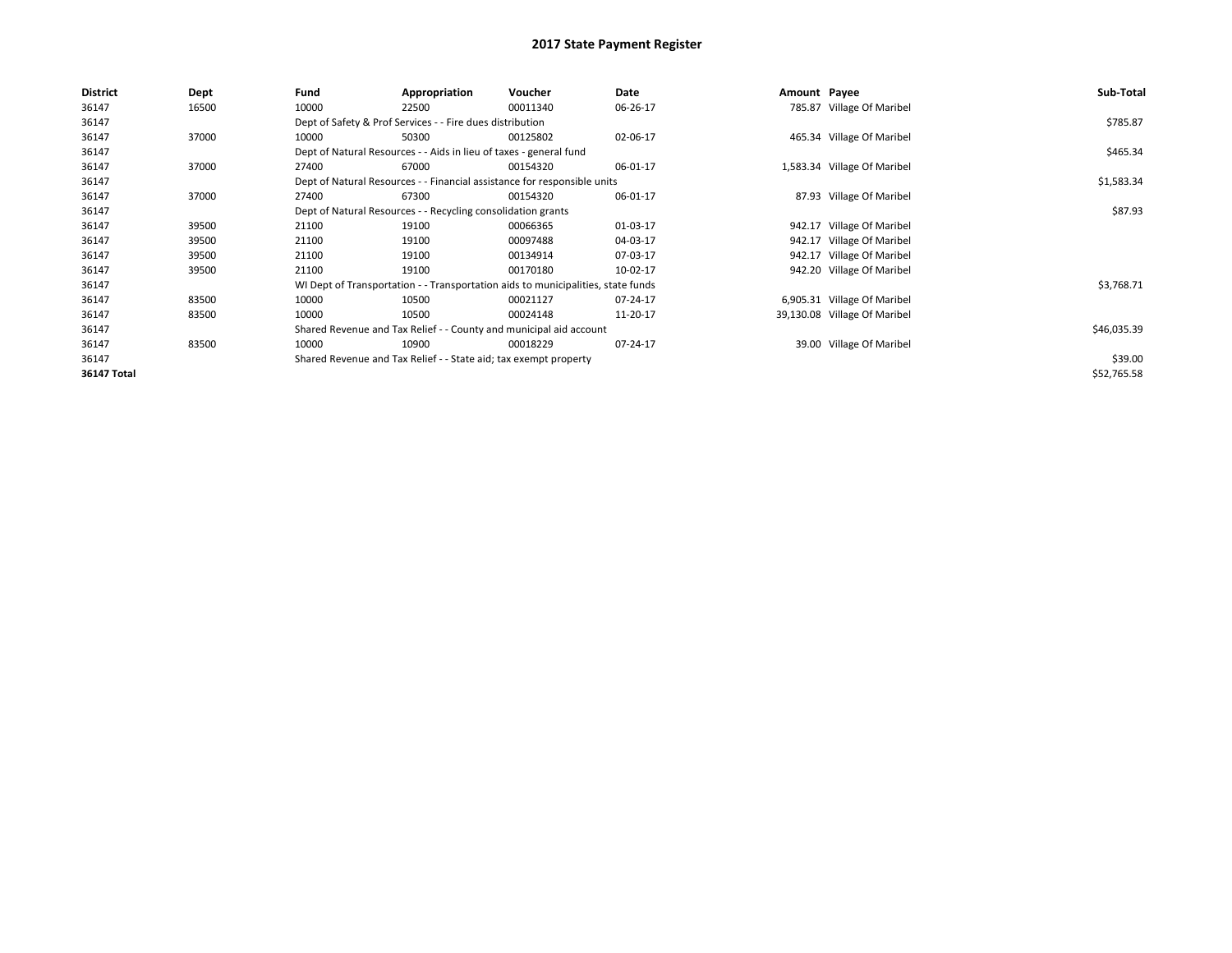| <b>District</b>    | Dept  | Fund                                                                     | Appropriation                                                                    | Voucher    | Date     | Amount Payee |                              | Sub-Total   |
|--------------------|-------|--------------------------------------------------------------------------|----------------------------------------------------------------------------------|------------|----------|--------------|------------------------------|-------------|
| 36147              | 16500 | 10000                                                                    | 22500                                                                            | 00011340   | 06-26-17 |              | 785.87 Village Of Maribel    |             |
| 36147              |       |                                                                          | Dept of Safety & Prof Services - - Fire dues distribution                        |            |          |              |                              | \$785.87    |
| 36147              | 37000 | 10000                                                                    | 50300                                                                            | 00125802   | 02-06-17 |              | 465.34 Village Of Maribel    |             |
| 36147              |       |                                                                          | Dept of Natural Resources - - Aids in lieu of taxes - general fund               |            |          |              |                              | \$465.34    |
| 36147              | 37000 | 27400                                                                    | 67000                                                                            | 00154320   | 06-01-17 |              | 1,583.34 Village Of Maribel  |             |
| 36147              |       | Dept of Natural Resources - - Financial assistance for responsible units |                                                                                  | \$1,583.34 |          |              |                              |             |
| 36147              | 37000 | 27400                                                                    | 67300                                                                            | 00154320   | 06-01-17 |              | 87.93 Village Of Maribel     |             |
| 36147              |       |                                                                          | Dept of Natural Resources - - Recycling consolidation grants                     |            |          |              |                              | \$87.93     |
| 36147              | 39500 | 21100                                                                    | 19100                                                                            | 00066365   | 01-03-17 |              | 942.17 Village Of Maribel    |             |
| 36147              | 39500 | 21100                                                                    | 19100                                                                            | 00097488   | 04-03-17 |              | 942.17 Village Of Maribel    |             |
| 36147              | 39500 | 21100                                                                    | 19100                                                                            | 00134914   | 07-03-17 |              | 942.17 Village Of Maribel    |             |
| 36147              | 39500 | 21100                                                                    | 19100                                                                            | 00170180   | 10-02-17 |              | 942.20 Village Of Maribel    |             |
| 36147              |       |                                                                          | WI Dept of Transportation - - Transportation aids to municipalities, state funds |            |          |              |                              | \$3,768.71  |
| 36147              | 83500 | 10000                                                                    | 10500                                                                            | 00021127   | 07-24-17 |              | 6,905.31 Village Of Maribel  |             |
| 36147              | 83500 | 10000                                                                    | 10500                                                                            | 00024148   | 11-20-17 |              | 39,130.08 Village Of Maribel |             |
| 36147              |       |                                                                          | Shared Revenue and Tax Relief - - County and municipal aid account               |            |          |              |                              | \$46,035.39 |
| 36147              | 83500 | 10000                                                                    | 10900                                                                            | 00018229   | 07-24-17 |              | 39.00 Village Of Maribel     |             |
| 36147              |       |                                                                          | Shared Revenue and Tax Relief - - State aid; tax exempt property                 |            |          |              |                              | \$39.00     |
| <b>36147 Total</b> |       |                                                                          |                                                                                  |            |          |              |                              | \$52,765.58 |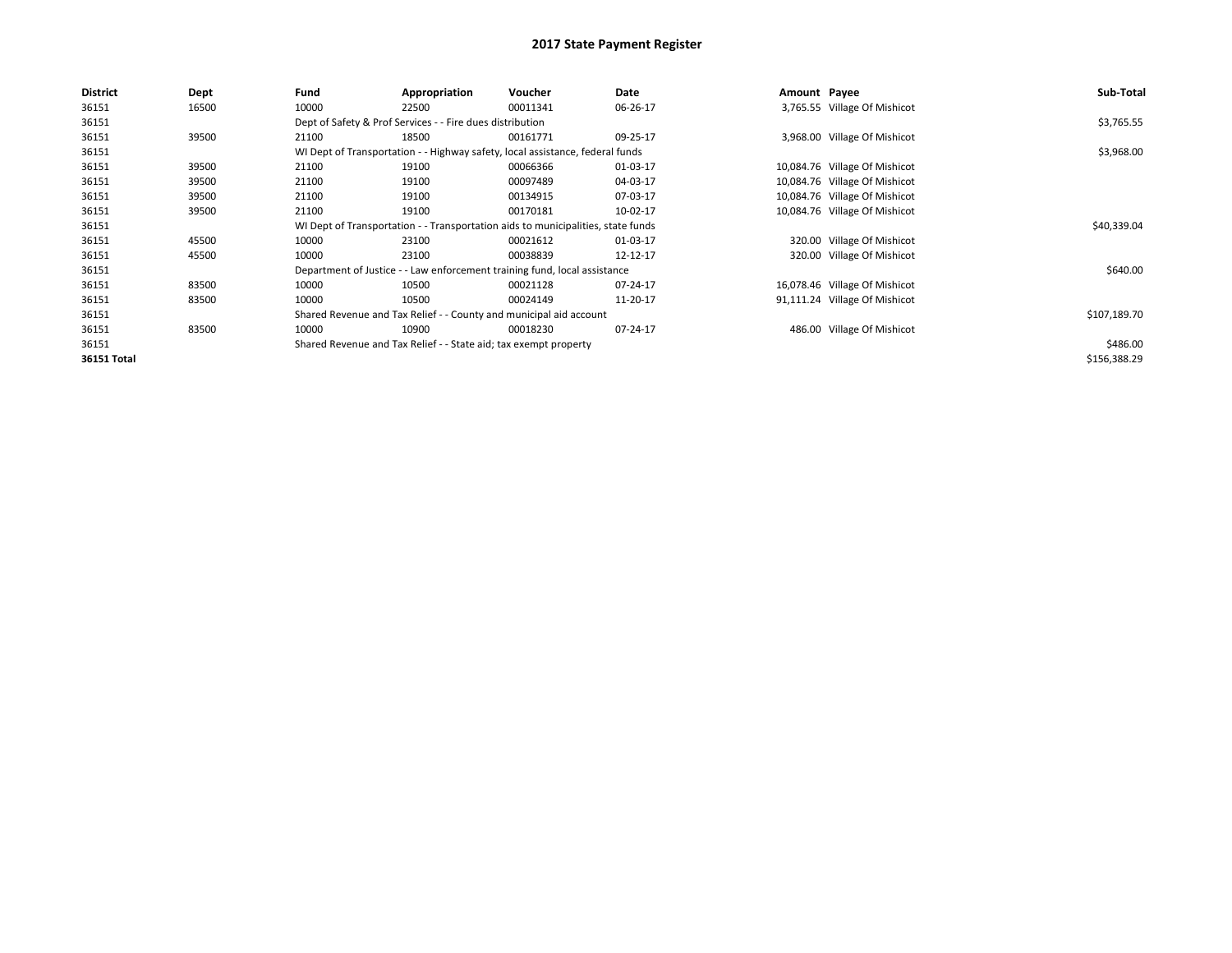| Dept  | Fund  | Appropriation | Voucher  | Date                                                                                                                          |                                                                                                                                                                                                                                                                                                                      | Sub-Total                                                                                                                                                                                                                                                                                                                                                                    |
|-------|-------|---------------|----------|-------------------------------------------------------------------------------------------------------------------------------|----------------------------------------------------------------------------------------------------------------------------------------------------------------------------------------------------------------------------------------------------------------------------------------------------------------------|------------------------------------------------------------------------------------------------------------------------------------------------------------------------------------------------------------------------------------------------------------------------------------------------------------------------------------------------------------------------------|
| 16500 | 10000 | 22500         | 00011341 | 06-26-17                                                                                                                      |                                                                                                                                                                                                                                                                                                                      |                                                                                                                                                                                                                                                                                                                                                                              |
|       |       |               |          |                                                                                                                               |                                                                                                                                                                                                                                                                                                                      | \$3,765.55                                                                                                                                                                                                                                                                                                                                                                   |
| 39500 | 21100 | 18500         | 00161771 | 09-25-17                                                                                                                      |                                                                                                                                                                                                                                                                                                                      |                                                                                                                                                                                                                                                                                                                                                                              |
|       |       |               |          |                                                                                                                               |                                                                                                                                                                                                                                                                                                                      | \$3,968.00                                                                                                                                                                                                                                                                                                                                                                   |
| 39500 | 21100 | 19100         | 00066366 | 01-03-17                                                                                                                      |                                                                                                                                                                                                                                                                                                                      |                                                                                                                                                                                                                                                                                                                                                                              |
| 39500 | 21100 | 19100         | 00097489 | 04-03-17                                                                                                                      |                                                                                                                                                                                                                                                                                                                      |                                                                                                                                                                                                                                                                                                                                                                              |
| 39500 | 21100 | 19100         | 00134915 | 07-03-17                                                                                                                      |                                                                                                                                                                                                                                                                                                                      |                                                                                                                                                                                                                                                                                                                                                                              |
| 39500 | 21100 | 19100         | 00170181 | 10-02-17                                                                                                                      |                                                                                                                                                                                                                                                                                                                      |                                                                                                                                                                                                                                                                                                                                                                              |
|       |       | \$40,339.04   |          |                                                                                                                               |                                                                                                                                                                                                                                                                                                                      |                                                                                                                                                                                                                                                                                                                                                                              |
| 45500 | 10000 | 23100         | 00021612 | 01-03-17                                                                                                                      |                                                                                                                                                                                                                                                                                                                      |                                                                                                                                                                                                                                                                                                                                                                              |
| 45500 | 10000 | 23100         | 00038839 | 12-12-17                                                                                                                      |                                                                                                                                                                                                                                                                                                                      |                                                                                                                                                                                                                                                                                                                                                                              |
|       |       |               |          |                                                                                                                               |                                                                                                                                                                                                                                                                                                                      | \$640.00                                                                                                                                                                                                                                                                                                                                                                     |
| 83500 | 10000 | 10500         | 00021128 | 07-24-17                                                                                                                      |                                                                                                                                                                                                                                                                                                                      |                                                                                                                                                                                                                                                                                                                                                                              |
| 83500 | 10000 | 10500         | 00024149 | 11-20-17                                                                                                                      |                                                                                                                                                                                                                                                                                                                      |                                                                                                                                                                                                                                                                                                                                                                              |
|       |       |               |          |                                                                                                                               |                                                                                                                                                                                                                                                                                                                      | \$107,189.70                                                                                                                                                                                                                                                                                                                                                                 |
| 83500 | 10000 | 10900         | 00018230 | 07-24-17                                                                                                                      |                                                                                                                                                                                                                                                                                                                      |                                                                                                                                                                                                                                                                                                                                                                              |
|       |       | \$486.00      |          |                                                                                                                               |                                                                                                                                                                                                                                                                                                                      |                                                                                                                                                                                                                                                                                                                                                                              |
|       |       |               |          |                                                                                                                               |                                                                                                                                                                                                                                                                                                                      | \$156,388.29                                                                                                                                                                                                                                                                                                                                                                 |
|       |       |               |          | Dept of Safety & Prof Services - - Fire dues distribution<br>Shared Revenue and Tax Relief - - State aid; tax exempt property | WI Dept of Transportation - - Highway safety, local assistance, federal funds<br>WI Dept of Transportation - - Transportation aids to municipalities, state funds<br>Department of Justice - - Law enforcement training fund, local assistance<br>Shared Revenue and Tax Relief - - County and municipal aid account | Amount Payee<br>3,765.55 Village Of Mishicot<br>3,968.00 Village Of Mishicot<br>10,084.76 Village Of Mishicot<br>10,084.76 Village Of Mishicot<br>10,084.76 Village Of Mishicot<br>10,084.76 Village Of Mishicot<br>320.00 Village Of Mishicot<br>320.00 Village Of Mishicot<br>16,078.46 Village Of Mishicot<br>91,111.24 Village Of Mishicot<br>486.00 Village Of Mishicot |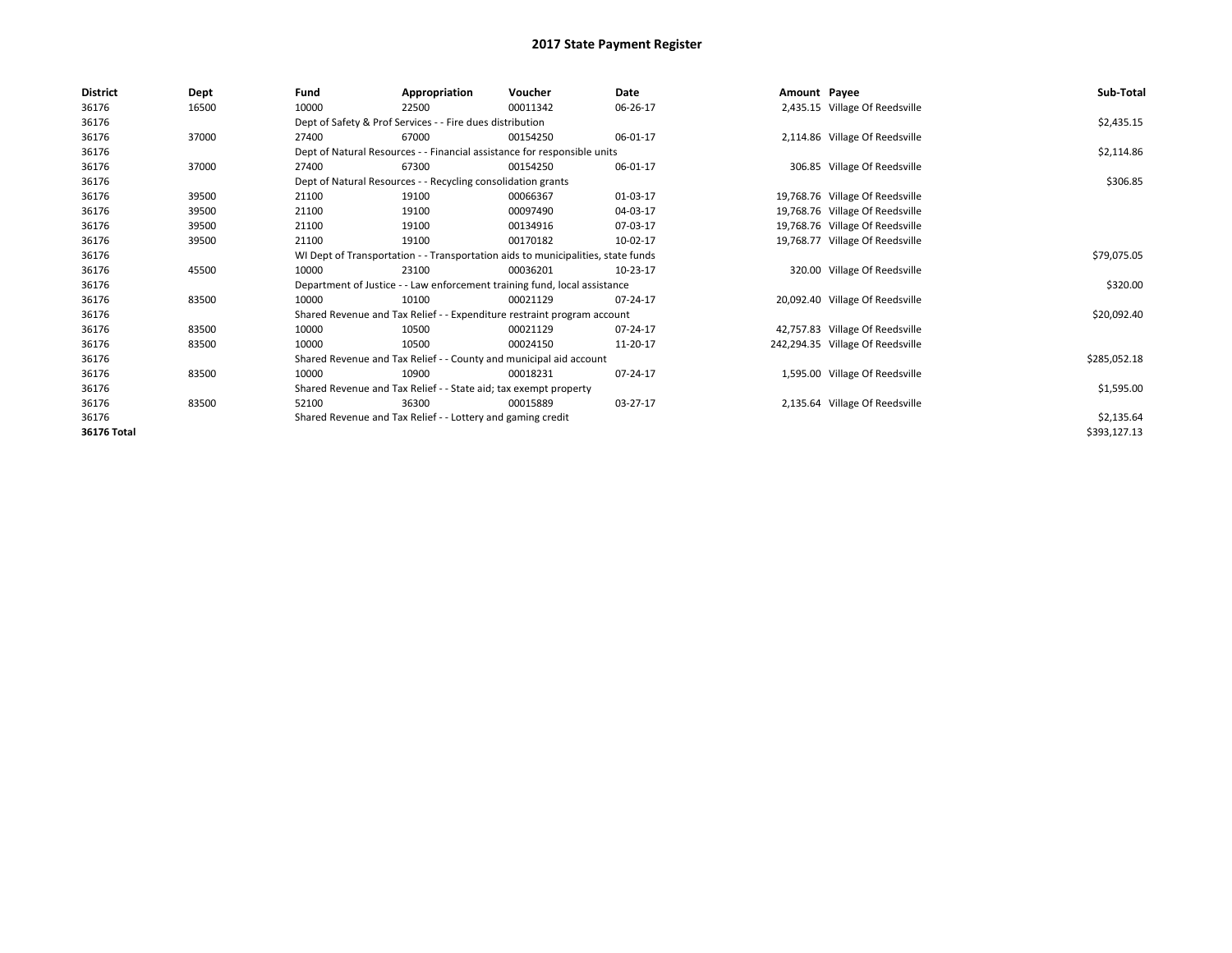| <b>District</b> | Dept  | Fund  | Appropriation                                                                    | Voucher  | Date     | Amount Payee |                                  | Sub-Total    |
|-----------------|-------|-------|----------------------------------------------------------------------------------|----------|----------|--------------|----------------------------------|--------------|
| 36176           | 16500 | 10000 | 22500                                                                            | 00011342 | 06-26-17 |              | 2,435.15 Village Of Reedsville   |              |
| 36176           |       |       | Dept of Safety & Prof Services - - Fire dues distribution                        |          |          |              |                                  | \$2,435.15   |
| 36176           | 37000 | 27400 | 67000                                                                            | 00154250 | 06-01-17 |              | 2,114.86 Village Of Reedsville   |              |
| 36176           |       |       | Dept of Natural Resources - - Financial assistance for responsible units         |          |          |              |                                  | \$2,114.86   |
| 36176           | 37000 | 27400 | 67300                                                                            | 00154250 | 06-01-17 |              | 306.85 Village Of Reedsville     |              |
| 36176           |       |       | Dept of Natural Resources - - Recycling consolidation grants                     |          |          |              |                                  | \$306.85     |
| 36176           | 39500 | 21100 | 19100                                                                            | 00066367 | 01-03-17 |              | 19,768.76 Village Of Reedsville  |              |
| 36176           | 39500 | 21100 | 19100                                                                            | 00097490 | 04-03-17 |              | 19,768.76 Village Of Reedsville  |              |
| 36176           | 39500 | 21100 | 19100                                                                            | 00134916 | 07-03-17 |              | 19,768.76 Village Of Reedsville  |              |
| 36176           | 39500 | 21100 | 19100                                                                            | 00170182 | 10-02-17 |              | 19,768.77 Village Of Reedsville  |              |
| 36176           |       |       | WI Dept of Transportation - - Transportation aids to municipalities, state funds |          |          |              |                                  | \$79,075.05  |
| 36176           | 45500 | 10000 | 23100                                                                            | 00036201 | 10-23-17 |              | 320.00 Village Of Reedsville     |              |
| 36176           |       |       | Department of Justice - - Law enforcement training fund, local assistance        |          |          |              |                                  | \$320.00     |
| 36176           | 83500 | 10000 | 10100                                                                            | 00021129 | 07-24-17 |              | 20,092.40 Village Of Reedsville  |              |
| 36176           |       |       | Shared Revenue and Tax Relief - - Expenditure restraint program account          |          |          |              |                                  | \$20,092.40  |
| 36176           | 83500 | 10000 | 10500                                                                            | 00021129 | 07-24-17 |              | 42,757.83 Village Of Reedsville  |              |
| 36176           | 83500 | 10000 | 10500                                                                            | 00024150 | 11-20-17 |              | 242,294.35 Village Of Reedsville |              |
| 36176           |       |       | Shared Revenue and Tax Relief - - County and municipal aid account               |          |          |              |                                  | \$285,052.18 |
| 36176           | 83500 | 10000 | 10900                                                                            | 00018231 | 07-24-17 |              | 1,595.00 Village Of Reedsville   |              |
| 36176           |       |       | Shared Revenue and Tax Relief - - State aid; tax exempt property                 |          |          |              |                                  | \$1,595.00   |
| 36176           | 83500 | 52100 | 36300                                                                            | 00015889 | 03-27-17 |              | 2,135.64 Village Of Reedsville   |              |
| 36176           |       |       | Shared Revenue and Tax Relief - - Lottery and gaming credit                      |          |          |              |                                  | \$2,135.64   |
| 36176 Total     |       |       |                                                                                  |          |          |              |                                  | \$393,127.13 |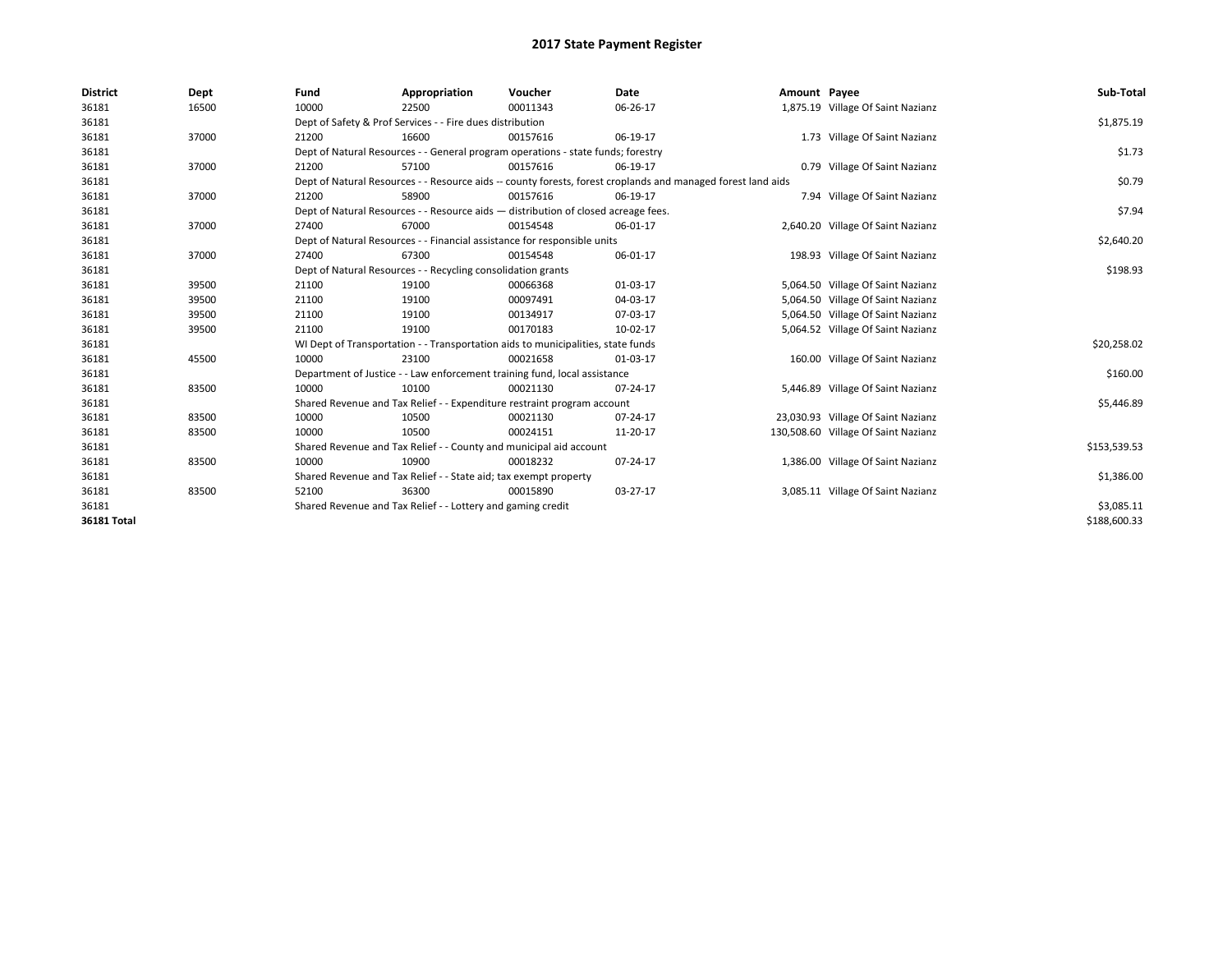| <b>District</b> | Dept  | Fund                                                                               | Appropriation                                                                    | Voucher  | Date                                                                                                         | Amount Payee |                                     | Sub-Total    |
|-----------------|-------|------------------------------------------------------------------------------------|----------------------------------------------------------------------------------|----------|--------------------------------------------------------------------------------------------------------------|--------------|-------------------------------------|--------------|
| 36181           | 16500 | 10000                                                                              | 22500                                                                            | 00011343 | 06-26-17                                                                                                     |              | 1,875.19 Village Of Saint Nazianz   |              |
| 36181           |       |                                                                                    | Dept of Safety & Prof Services - - Fire dues distribution                        |          |                                                                                                              |              |                                     | \$1,875.19   |
| 36181           | 37000 | 21200                                                                              | 16600                                                                            | 00157616 | 06-19-17                                                                                                     |              | 1.73 Village Of Saint Nazianz       |              |
| 36181           |       |                                                                                    | Dept of Natural Resources - - General program operations - state funds; forestry |          |                                                                                                              |              |                                     | \$1.73       |
| 36181           | 37000 | 21200                                                                              | 57100                                                                            | 00157616 | 06-19-17                                                                                                     |              | 0.79 Village Of Saint Nazianz       |              |
| 36181           |       |                                                                                    |                                                                                  |          | Dept of Natural Resources - - Resource aids -- county forests, forest croplands and managed forest land aids |              |                                     | \$0.79       |
| 36181           | 37000 | 21200                                                                              | 58900                                                                            | 00157616 | 06-19-17                                                                                                     |              | 7.94 Village Of Saint Nazianz       |              |
| 36181           |       | Dept of Natural Resources - - Resource aids - distribution of closed acreage fees. |                                                                                  | \$7.94   |                                                                                                              |              |                                     |              |
| 36181           | 37000 | 27400                                                                              | 67000                                                                            | 00154548 | 06-01-17                                                                                                     |              | 2,640.20 Village Of Saint Nazianz   |              |
| 36181           |       |                                                                                    | Dept of Natural Resources - - Financial assistance for responsible units         |          |                                                                                                              |              |                                     | \$2,640.20   |
| 36181           | 37000 | 27400                                                                              | 67300                                                                            | 00154548 | 06-01-17                                                                                                     |              | 198.93 Village Of Saint Nazianz     |              |
| 36181           |       |                                                                                    | Dept of Natural Resources - - Recycling consolidation grants                     |          |                                                                                                              |              |                                     | \$198.93     |
| 36181           | 39500 | 21100                                                                              | 19100                                                                            | 00066368 | 01-03-17                                                                                                     |              | 5,064.50 Village Of Saint Nazianz   |              |
| 36181           | 39500 | 21100                                                                              | 19100                                                                            | 00097491 | 04-03-17                                                                                                     |              | 5,064.50 Village Of Saint Nazianz   |              |
| 36181           | 39500 | 21100                                                                              | 19100                                                                            | 00134917 | 07-03-17                                                                                                     |              | 5,064.50 Village Of Saint Nazianz   |              |
| 36181           | 39500 | 21100                                                                              | 19100                                                                            | 00170183 | 10-02-17                                                                                                     |              | 5,064.52 Village Of Saint Nazianz   |              |
| 36181           |       |                                                                                    | WI Dept of Transportation - - Transportation aids to municipalities, state funds |          |                                                                                                              |              |                                     | \$20,258.02  |
| 36181           | 45500 | 10000                                                                              | 23100                                                                            | 00021658 | 01-03-17                                                                                                     |              | 160.00 Village Of Saint Nazianz     |              |
| 36181           |       |                                                                                    | Department of Justice - - Law enforcement training fund, local assistance        |          |                                                                                                              |              |                                     | \$160.00     |
| 36181           | 83500 | 10000                                                                              | 10100                                                                            | 00021130 | 07-24-17                                                                                                     |              | 5,446.89 Village Of Saint Nazianz   |              |
| 36181           |       |                                                                                    | Shared Revenue and Tax Relief - - Expenditure restraint program account          |          |                                                                                                              |              |                                     | \$5,446.89   |
| 36181           | 83500 | 10000                                                                              | 10500                                                                            | 00021130 | 07-24-17                                                                                                     |              | 23,030.93 Village Of Saint Nazianz  |              |
| 36181           | 83500 | 10000                                                                              | 10500                                                                            | 00024151 | 11-20-17                                                                                                     |              | 130,508.60 Village Of Saint Nazianz |              |
| 36181           |       |                                                                                    | Shared Revenue and Tax Relief - - County and municipal aid account               |          |                                                                                                              |              |                                     | \$153,539.53 |
| 36181           | 83500 | 10000                                                                              | 10900                                                                            | 00018232 | 07-24-17                                                                                                     |              | 1,386.00 Village Of Saint Nazianz   |              |
| 36181           |       |                                                                                    | Shared Revenue and Tax Relief - - State aid; tax exempt property                 |          |                                                                                                              |              |                                     | \$1,386.00   |
| 36181           | 83500 | 52100                                                                              | 36300                                                                            | 00015890 | 03-27-17                                                                                                     |              | 3,085.11 Village Of Saint Nazianz   |              |
| 36181           |       |                                                                                    | Shared Revenue and Tax Relief - - Lottery and gaming credit                      |          |                                                                                                              |              |                                     | \$3,085.11   |
| 36181 Total     |       |                                                                                    |                                                                                  |          |                                                                                                              |              |                                     | \$188,600.33 |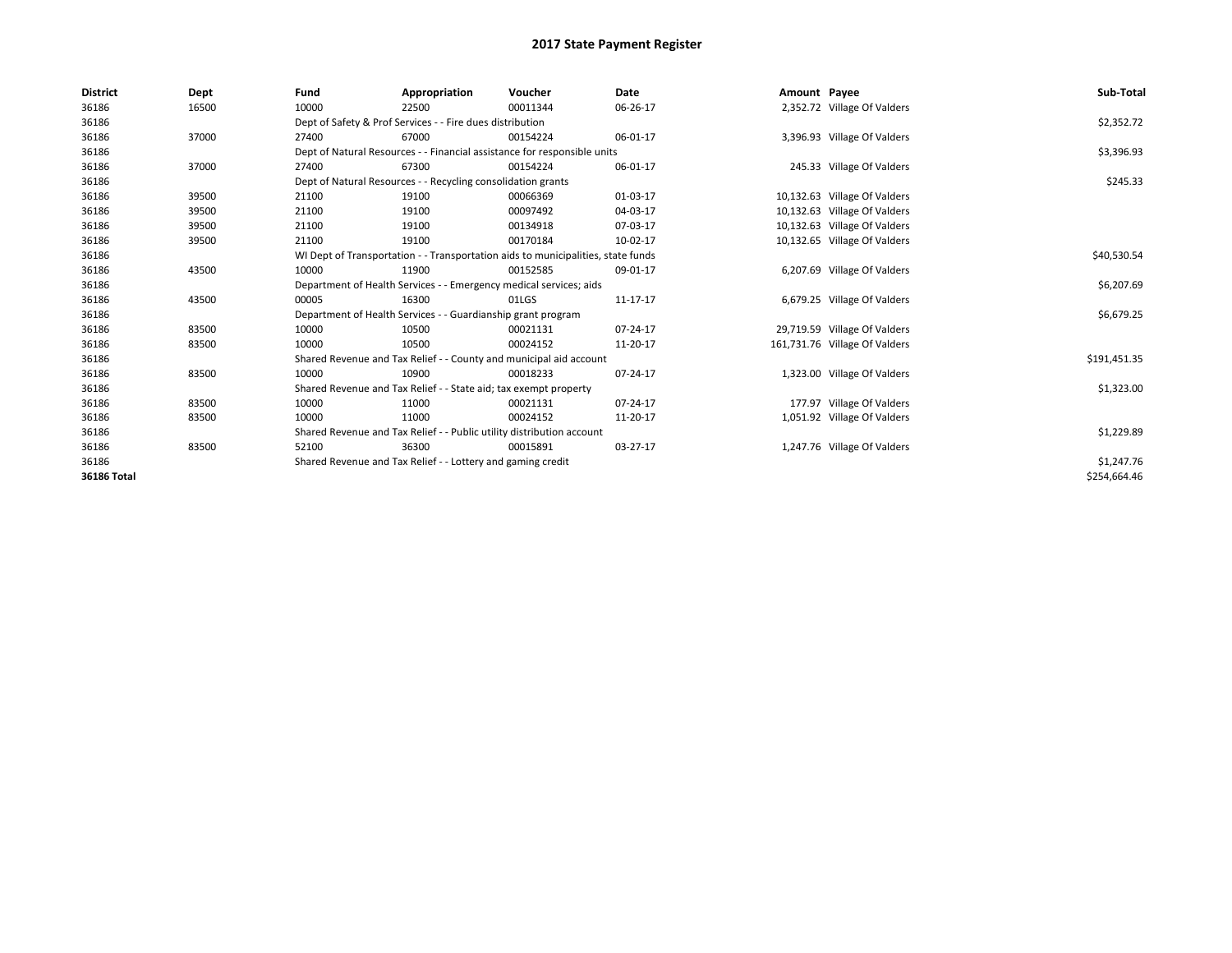| <b>District</b> | Dept  | Fund  | Appropriation                                                                    | Voucher  | Date           | Amount Payee |                               | Sub-Total    |  |  |
|-----------------|-------|-------|----------------------------------------------------------------------------------|----------|----------------|--------------|-------------------------------|--------------|--|--|
| 36186           | 16500 | 10000 | 22500                                                                            | 00011344 | 06-26-17       |              | 2,352.72 Village Of Valders   |              |  |  |
| 36186           |       |       | Dept of Safety & Prof Services - - Fire dues distribution                        |          |                |              |                               | \$2,352.72   |  |  |
| 36186           | 37000 | 27400 | 67000                                                                            | 00154224 | 06-01-17       |              | 3,396.93 Village Of Valders   |              |  |  |
| 36186           |       |       | Dept of Natural Resources - - Financial assistance for responsible units         |          |                |              |                               | \$3,396.93   |  |  |
| 36186           | 37000 | 27400 | 67300                                                                            | 00154224 | 06-01-17       |              | 245.33 Village Of Valders     |              |  |  |
| 36186           |       |       | Dept of Natural Resources - - Recycling consolidation grants                     |          |                |              |                               | \$245.33     |  |  |
| 36186           | 39500 | 21100 | 19100                                                                            | 00066369 | 01-03-17       |              | 10,132.63 Village Of Valders  |              |  |  |
| 36186           | 39500 | 21100 | 19100                                                                            | 00097492 | 04-03-17       |              | 10,132.63 Village Of Valders  |              |  |  |
| 36186           | 39500 | 21100 | 19100                                                                            | 00134918 | 07-03-17       |              | 10,132.63 Village Of Valders  |              |  |  |
| 36186           | 39500 | 21100 | 19100                                                                            | 00170184 | 10-02-17       |              | 10,132.65 Village Of Valders  |              |  |  |
| 36186           |       |       | WI Dept of Transportation - - Transportation aids to municipalities, state funds |          |                |              |                               |              |  |  |
| 36186           | 43500 | 10000 | 11900                                                                            | 00152585 | 09-01-17       |              | 6,207.69 Village Of Valders   |              |  |  |
| 36186           |       |       | Department of Health Services - - Emergency medical services; aids               |          |                |              |                               |              |  |  |
| 36186           | 43500 | 00005 | 16300                                                                            | 01LGS    | 11-17-17       |              | 6,679.25 Village Of Valders   |              |  |  |
| 36186           |       |       | Department of Health Services - - Guardianship grant program                     |          |                |              |                               | \$6,679.25   |  |  |
| 36186           | 83500 | 10000 | 10500                                                                            | 00021131 | $07 - 24 - 17$ |              | 29,719.59 Village Of Valders  |              |  |  |
| 36186           | 83500 | 10000 | 10500                                                                            | 00024152 | 11-20-17       |              | 161,731.76 Village Of Valders |              |  |  |
| 36186           |       |       | Shared Revenue and Tax Relief - - County and municipal aid account               |          |                |              |                               | \$191,451.35 |  |  |
| 36186           | 83500 | 10000 | 10900                                                                            | 00018233 | 07-24-17       |              | 1,323.00 Village Of Valders   |              |  |  |
| 36186           |       |       | Shared Revenue and Tax Relief - - State aid; tax exempt property                 |          |                |              |                               | \$1,323.00   |  |  |
| 36186           | 83500 | 10000 | 11000                                                                            | 00021131 | $07 - 24 - 17$ |              | 177.97 Village Of Valders     |              |  |  |
| 36186           | 83500 | 10000 | 11000                                                                            | 00024152 | 11-20-17       |              | 1,051.92 Village Of Valders   |              |  |  |
| 36186           |       |       | Shared Revenue and Tax Relief - - Public utility distribution account            |          |                |              |                               |              |  |  |
| 36186           | 83500 | 52100 | 36300                                                                            | 00015891 | 03-27-17       |              | 1,247.76 Village Of Valders   |              |  |  |
| 36186           |       |       | Shared Revenue and Tax Relief - - Lottery and gaming credit                      |          |                |              |                               |              |  |  |
| 36186 Total     |       |       |                                                                                  |          |                |              |                               | \$254,664.46 |  |  |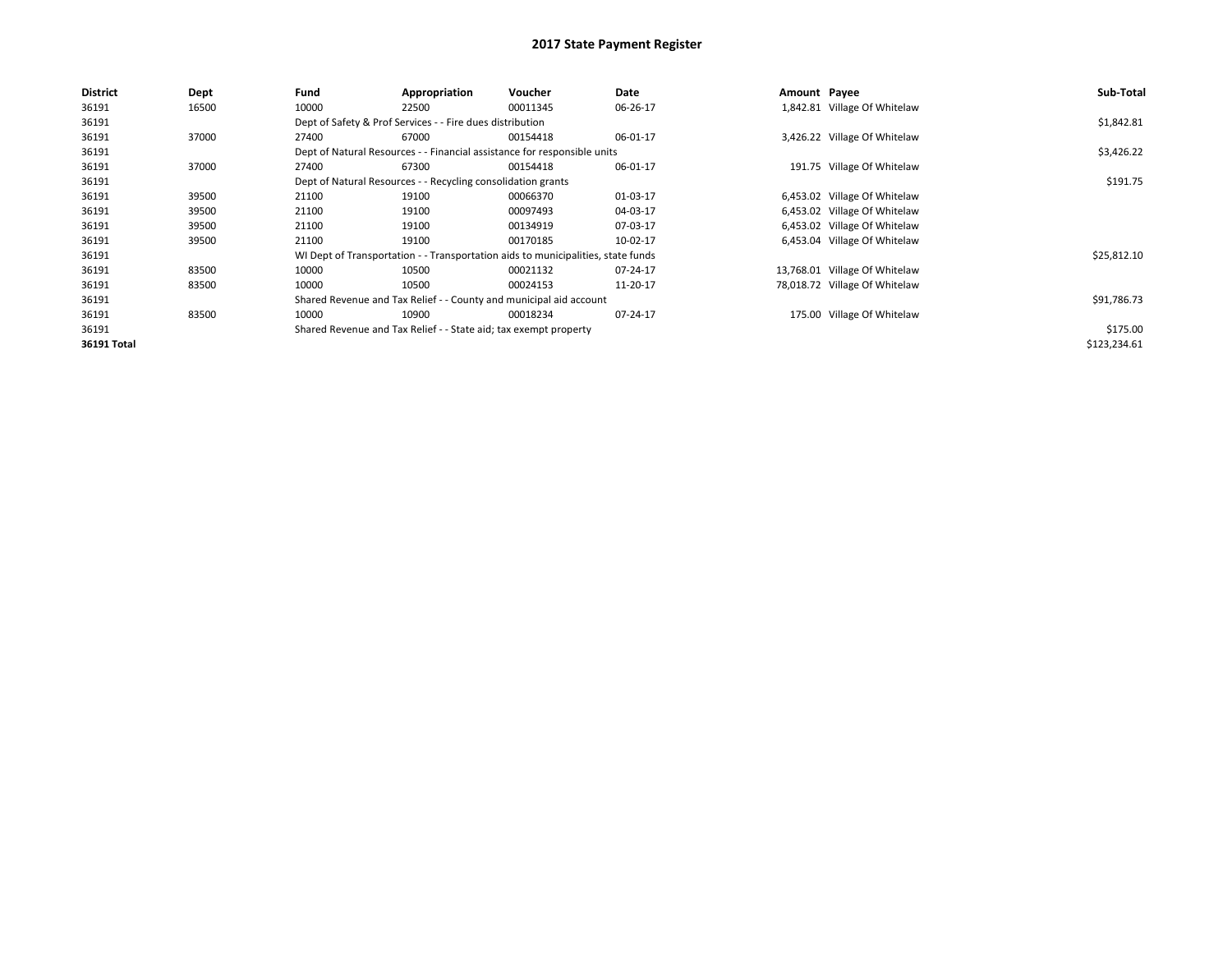| <b>District</b> | Dept  | Fund  | Appropriation                                                    | <b>Voucher</b>                                                                   | Date     | Amount Payee |                               | Sub-Total    |  |
|-----------------|-------|-------|------------------------------------------------------------------|----------------------------------------------------------------------------------|----------|--------------|-------------------------------|--------------|--|
| 36191           | 16500 | 10000 | 22500                                                            | 00011345                                                                         | 06-26-17 |              | 1,842.81 Village Of Whitelaw  |              |  |
| 36191           |       |       | Dept of Safety & Prof Services - - Fire dues distribution        |                                                                                  |          |              |                               | \$1,842.81   |  |
| 36191           | 37000 | 27400 | 67000                                                            | 00154418                                                                         | 06-01-17 |              | 3,426.22 Village Of Whitelaw  |              |  |
| 36191           |       |       |                                                                  | Dept of Natural Resources - - Financial assistance for responsible units         |          |              |                               | \$3,426.22   |  |
| 36191           | 37000 | 27400 | 67300                                                            | 00154418                                                                         | 06-01-17 |              | 191.75 Village Of Whitelaw    |              |  |
| 36191           |       |       | Dept of Natural Resources - - Recycling consolidation grants     |                                                                                  |          |              |                               |              |  |
| 36191           | 39500 | 21100 | 19100                                                            | 00066370                                                                         | 01-03-17 |              | 6,453.02 Village Of Whitelaw  |              |  |
| 36191           | 39500 | 21100 | 19100                                                            | 00097493                                                                         | 04-03-17 |              | 6,453.02 Village Of Whitelaw  |              |  |
| 36191           | 39500 | 21100 | 19100                                                            | 00134919                                                                         | 07-03-17 |              | 6,453.02 Village Of Whitelaw  |              |  |
| 36191           | 39500 | 21100 | 19100                                                            | 00170185                                                                         | 10-02-17 |              | 6,453.04 Village Of Whitelaw  |              |  |
| 36191           |       |       |                                                                  | WI Dept of Transportation - - Transportation aids to municipalities, state funds |          |              |                               | \$25,812.10  |  |
| 36191           | 83500 | 10000 | 10500                                                            | 00021132                                                                         | 07-24-17 |              | 13,768.01 Village Of Whitelaw |              |  |
| 36191           | 83500 | 10000 | 10500                                                            | 00024153                                                                         | 11-20-17 |              | 78,018.72 Village Of Whitelaw |              |  |
| 36191           |       |       |                                                                  | Shared Revenue and Tax Relief - - County and municipal aid account               |          |              |                               | \$91,786.73  |  |
| 36191           | 83500 | 10000 | 10900                                                            | 00018234                                                                         | 07-24-17 |              | 175.00 Village Of Whitelaw    |              |  |
| 36191           |       |       | Shared Revenue and Tax Relief - - State aid; tax exempt property |                                                                                  |          |              |                               | \$175.00     |  |
| 36191 Total     |       |       |                                                                  |                                                                                  |          |              |                               | \$123,234.61 |  |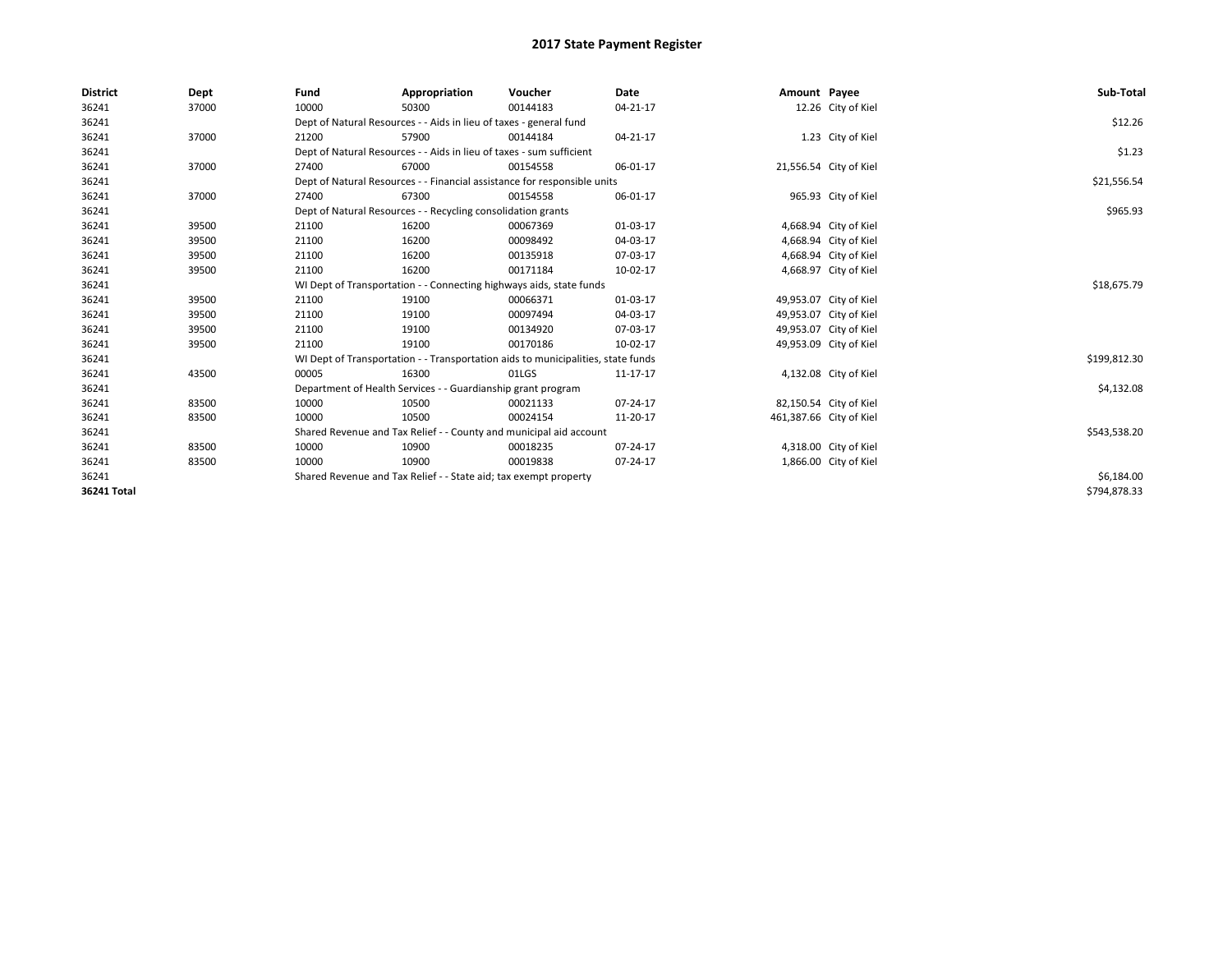| <b>District</b> | Dept  | Fund  | Appropriation                                                                    | Voucher  | Date        | Amount Payee |                         | Sub-Total    |  |  |
|-----------------|-------|-------|----------------------------------------------------------------------------------|----------|-------------|--------------|-------------------------|--------------|--|--|
| 36241           | 37000 | 10000 | 50300                                                                            | 00144183 | 04-21-17    |              | 12.26 City of Kiel      |              |  |  |
| 36241           |       |       | Dept of Natural Resources - - Aids in lieu of taxes - general fund               |          |             |              |                         | \$12.26      |  |  |
| 36241           | 37000 | 21200 | 57900                                                                            | 00144184 | 04-21-17    |              | 1.23 City of Kiel       |              |  |  |
| 36241           |       |       | Dept of Natural Resources - - Aids in lieu of taxes - sum sufficient             |          |             |              |                         | \$1.23       |  |  |
| 36241           | 37000 | 27400 | 67000                                                                            | 00154558 | 06-01-17    |              | 21,556.54 City of Kiel  |              |  |  |
| 36241           |       |       | Dept of Natural Resources - - Financial assistance for responsible units         |          | \$21,556.54 |              |                         |              |  |  |
| 36241           | 37000 | 27400 | 67300                                                                            | 00154558 | 06-01-17    |              | 965.93 City of Kiel     |              |  |  |
| 36241           |       |       | Dept of Natural Resources - - Recycling consolidation grants                     |          |             |              |                         |              |  |  |
| 36241           | 39500 | 21100 | 16200                                                                            | 00067369 | 01-03-17    |              | 4,668.94 City of Kiel   |              |  |  |
| 36241           | 39500 | 21100 | 16200                                                                            | 00098492 | 04-03-17    |              | 4,668.94 City of Kiel   |              |  |  |
| 36241           | 39500 | 21100 | 16200                                                                            | 00135918 | 07-03-17    |              | 4,668.94 City of Kiel   |              |  |  |
| 36241           | 39500 | 21100 | 16200                                                                            | 00171184 | 10-02-17    |              | 4,668.97 City of Kiel   |              |  |  |
| 36241           |       |       | WI Dept of Transportation - - Connecting highways aids, state funds              |          |             |              |                         |              |  |  |
| 36241           | 39500 | 21100 | 19100                                                                            | 00066371 | 01-03-17    |              | 49,953.07 City of Kiel  |              |  |  |
| 36241           | 39500 | 21100 | 19100                                                                            | 00097494 | 04-03-17    |              | 49,953.07 City of Kiel  |              |  |  |
| 36241           | 39500 | 21100 | 19100                                                                            | 00134920 | 07-03-17    |              | 49,953.07 City of Kiel  |              |  |  |
| 36241           | 39500 | 21100 | 19100                                                                            | 00170186 | 10-02-17    |              | 49,953.09 City of Kiel  |              |  |  |
| 36241           |       |       | WI Dept of Transportation - - Transportation aids to municipalities, state funds |          |             |              |                         | \$199,812.30 |  |  |
| 36241           | 43500 | 00005 | 16300                                                                            | 01LGS    | 11-17-17    |              | 4,132.08 City of Kiel   |              |  |  |
| 36241           |       |       | Department of Health Services - - Guardianship grant program                     |          |             |              |                         | \$4,132.08   |  |  |
| 36241           | 83500 | 10000 | 10500                                                                            | 00021133 | 07-24-17    |              | 82,150.54 City of Kiel  |              |  |  |
| 36241           | 83500 | 10000 | 10500                                                                            | 00024154 | 11-20-17    |              | 461,387.66 City of Kiel |              |  |  |
| 36241           |       |       | Shared Revenue and Tax Relief - - County and municipal aid account               |          |             |              |                         | \$543,538.20 |  |  |
| 36241           | 83500 | 10000 | 10900                                                                            | 00018235 | 07-24-17    |              | 4,318.00 City of Kiel   |              |  |  |
| 36241           | 83500 | 10000 | 10900                                                                            | 00019838 | 07-24-17    |              | 1,866.00 City of Kiel   |              |  |  |
| 36241           |       |       | Shared Revenue and Tax Relief - - State aid; tax exempt property                 |          |             |              |                         | \$6,184.00   |  |  |
| 36241 Total     |       |       |                                                                                  |          |             |              |                         | \$794,878.33 |  |  |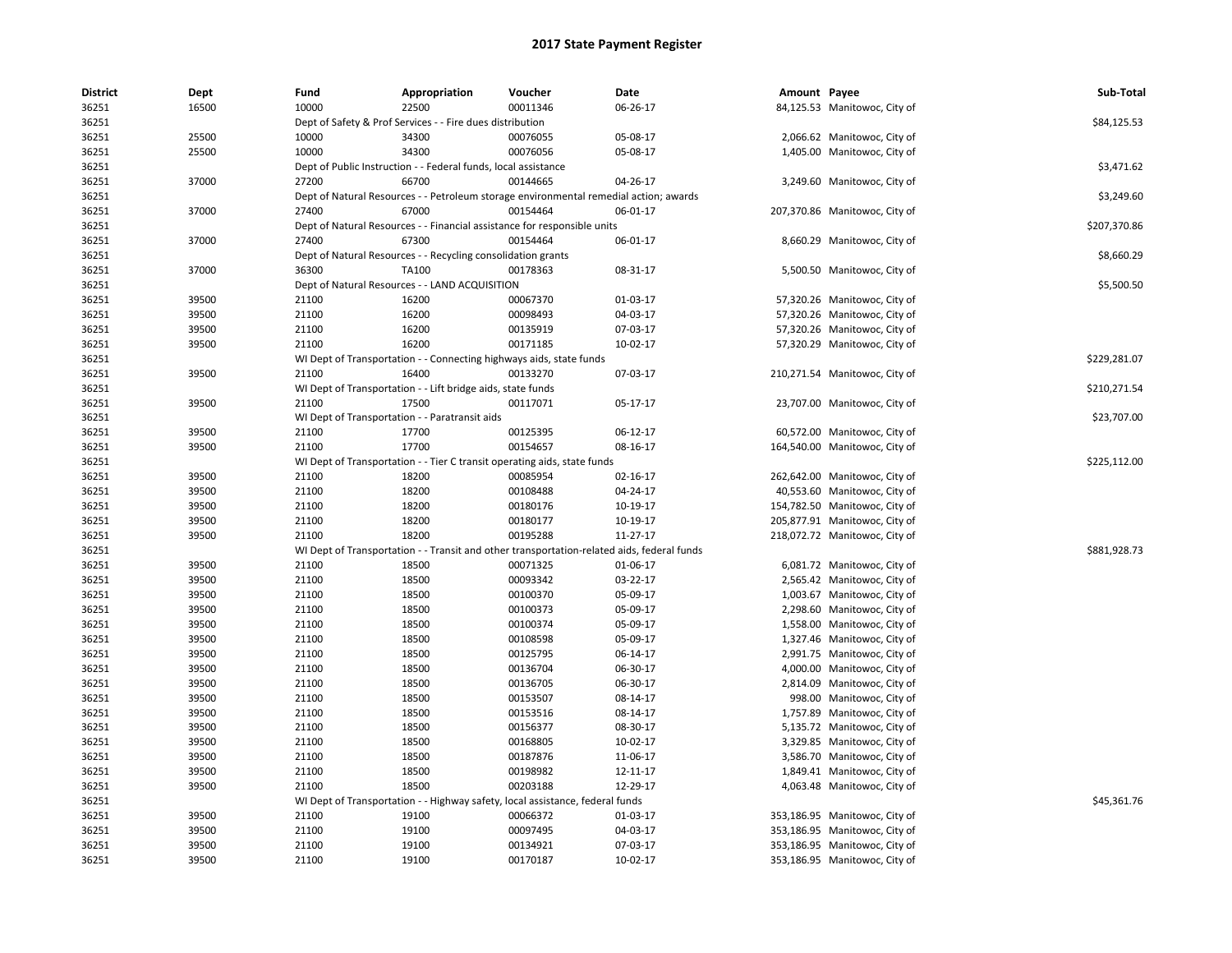| 10000<br>22500<br>00011346<br>84,125.53 Manitowoc, City of<br>36251<br>16500<br>06-26-17<br>\$84,125.53<br>36251<br>Dept of Safety & Prof Services - - Fire dues distribution<br>25500<br>36251<br>10000<br>34300<br>00076055<br>05-08-17<br>2,066.62 Manitowoc, City of<br>36251<br>25500<br>10000<br>34300<br>00076056<br>05-08-17<br>1,405.00 Manitowoc, City of<br>36251<br>\$3,471.62<br>Dept of Public Instruction - - Federal funds, local assistance<br>36251<br>37000<br>27200<br>66700<br>00144665<br>04-26-17<br>3,249.60 Manitowoc, City of<br>36251<br>Dept of Natural Resources - - Petroleum storage environmental remedial action; awards<br>\$3,249.60<br>37000<br>27400<br>67000<br>00154464<br>06-01-17<br>207,370.86 Manitowoc, City of<br>\$207,370.86<br>Dept of Natural Resources - - Financial assistance for responsible units<br>67300<br>00154464<br>36251<br>37000<br>27400<br>06-01-17<br>8,660.29 Manitowoc, City of<br>36251<br>\$8,660.29<br>Dept of Natural Resources - - Recycling consolidation grants<br>36251<br>37000<br>36300<br>TA100<br>00178363<br>08-31-17<br>5,500.50 Manitowoc, City of<br>\$5,500.50<br>Dept of Natural Resources - - LAND ACQUISITION<br>36251<br>39500<br>21100<br>16200<br>00067370<br>01-03-17<br>57,320.26 Manitowoc, City of<br>00098493<br>04-03-17<br>36251<br>39500<br>21100<br>16200<br>57,320.26 Manitowoc, City of<br>00135919<br>36251<br>39500<br>21100<br>16200<br>07-03-17<br>57,320.26 Manitowoc, City of<br>00171185<br>36251<br>39500<br>21100<br>16200<br>10-02-17<br>57,320.29 Manitowoc, City of<br>WI Dept of Transportation - - Connecting highways aids, state funds<br>\$229,281.07<br>39500<br>21100<br>16400<br>00133270<br>07-03-17<br>210,271.54 Manitowoc, City of<br>36251<br>\$210,271.54<br>WI Dept of Transportation - - Lift bridge aids, state funds<br>00117071<br>36251<br>39500<br>21100<br>17500<br>05-17-17<br>23,707.00 Manitowoc, City of<br>\$23,707.00<br>36251<br>WI Dept of Transportation - - Paratransit aids<br>39500<br>21100<br>17700<br>00125395<br>06-12-17<br>60,572.00 Manitowoc, City of<br>21100<br>17700<br>00154657<br>36251<br>39500<br>08-16-17<br>164,540.00 Manitowoc, City of<br>\$225,112.00<br>36251<br>WI Dept of Transportation - - Tier C transit operating aids, state funds<br>36251<br>39500<br>21100<br>18200<br>00085954<br>262,642.00 Manitowoc, City of<br>02-16-17<br>18200<br>36251<br>39500<br>21100<br>00108488<br>04-24-17<br>40,553.60 Manitowoc, City of<br>21100<br>18200<br>00180176<br>10-19-17<br>154,782.50 Manitowoc, City of<br>36251<br>39500<br>18200<br>00180177<br>36251<br>39500<br>21100<br>10-19-17<br>205,877.91 Manitowoc, City of<br>18200<br>00195288<br>$11 - 27 - 17$<br>36251<br>39500<br>21100<br>218,072.72 Manitowoc, City of<br>\$881,928.73<br>36251<br>WI Dept of Transportation - - Transit and other transportation-related aids, federal funds<br>36251<br>39500<br>21100<br>18500<br>00071325<br>01-06-17<br>6,081.72 Manitowoc, City of<br>18500<br>00093342<br>36251<br>39500<br>21100<br>03-22-17<br>2,565.42 Manitowoc, City of<br>36251<br>39500<br>21100<br>18500<br>00100370<br>05-09-17<br>1,003.67 Manitowoc, City of<br>36251<br>18500<br>00100373<br>05-09-17<br>39500<br>21100<br>2,298.60 Manitowoc, City of<br>36251<br>39500<br>21100<br>18500<br>00100374<br>05-09-17<br>1,558.00 Manitowoc, City of<br>36251<br>39500<br>21100<br>18500<br>00108598<br>05-09-17<br>1,327.46 Manitowoc, City of<br>39500<br>21100<br>18500<br>00125795<br>06-14-17<br>2,991.75 Manitowoc, City of<br>36251<br>39500<br>21100<br>18500<br>00136704<br>06-30-17<br>4,000.00 Manitowoc, City of<br>00136705<br>36251<br>39500<br>21100<br>18500<br>06-30-17<br>2,814.09 Manitowoc, City of<br>00153507<br>36251<br>39500<br>21100<br>18500<br>08-14-17<br>998.00 Manitowoc, City of<br>18500<br>00153516<br>36251<br>39500<br>21100<br>08-14-17<br>1,757.89 Manitowoc, City of<br>36251<br>39500<br>18500<br>00156377<br>08-30-17<br>21100<br>5,135.72 Manitowoc, City of<br>36251<br>39500<br>21100<br>18500<br>00168805<br>10-02-17<br>3,329.85 Manitowoc, City of<br>36251<br>39500<br>21100<br>18500<br>00187876<br>11-06-17<br>3,586.70 Manitowoc, City of<br>00198982<br>36251<br>39500<br>21100<br>18500<br>12-11-17<br>1,849.41 Manitowoc, City of<br>18500<br>00203188<br>21100<br>12-29-17<br>36251<br>39500<br>4,063.48 Manitowoc, City of<br>36251<br>WI Dept of Transportation - - Highway safety, local assistance, federal funds<br>\$45,361.76<br>21100<br>36251<br>39500<br>19100<br>00066372<br>01-03-17<br>353,186.95 Manitowoc, City of<br>36251<br>21100<br>19100<br>00097495<br>04-03-17<br>353,186.95 Manitowoc, City of<br>39500<br>36251<br>39500<br>21100<br>19100<br>00134921<br>07-03-17<br>353,186.95 Manitowoc, City of<br>39500<br>21100<br>19100<br>00170187<br>10-02-17<br>353,186.95 Manitowoc, City of | <b>District</b> | Dept | Fund | Appropriation | Voucher | Date | Amount Payee | Sub-Total |
|--------------------------------------------------------------------------------------------------------------------------------------------------------------------------------------------------------------------------------------------------------------------------------------------------------------------------------------------------------------------------------------------------------------------------------------------------------------------------------------------------------------------------------------------------------------------------------------------------------------------------------------------------------------------------------------------------------------------------------------------------------------------------------------------------------------------------------------------------------------------------------------------------------------------------------------------------------------------------------------------------------------------------------------------------------------------------------------------------------------------------------------------------------------------------------------------------------------------------------------------------------------------------------------------------------------------------------------------------------------------------------------------------------------------------------------------------------------------------------------------------------------------------------------------------------------------------------------------------------------------------------------------------------------------------------------------------------------------------------------------------------------------------------------------------------------------------------------------------------------------------------------------------------------------------------------------------------------------------------------------------------------------------------------------------------------------------------------------------------------------------------------------------------------------------------------------------------------------------------------------------------------------------------------------------------------------------------------------------------------------------------------------------------------------------------------------------------------------------------------------------------------------------------------------------------------------------------------------------------------------------------------------------------------------------------------------------------------------------------------------------------------------------------------------------------------------------------------------------------------------------------------------------------------------------------------------------------------------------------------------------------------------------------------------------------------------------------------------------------------------------------------------------------------------------------------------------------------------------------------------------------------------------------------------------------------------------------------------------------------------------------------------------------------------------------------------------------------------------------------------------------------------------------------------------------------------------------------------------------------------------------------------------------------------------------------------------------------------------------------------------------------------------------------------------------------------------------------------------------------------------------------------------------------------------------------------------------------------------------------------------------------------------------------------------------------------------------------------------------------------------------------------------------------------------------------------------------------------------------------------------------------------------------------------------------------------------------------------------------------------------------------------------------------------------------------------------------------------------------------------------------------------------------------------------------------------------------------------------------------------------------------------------------------------------------------------------------------------------------------------------------------------------------------------------------------------------------------------------------------------------------------------------------------------------|-----------------|------|------|---------------|---------|------|--------------|-----------|
|                                                                                                                                                                                                                                                                                                                                                                                                                                                                                                                                                                                                                                                                                                                                                                                                                                                                                                                                                                                                                                                                                                                                                                                                                                                                                                                                                                                                                                                                                                                                                                                                                                                                                                                                                                                                                                                                                                                                                                                                                                                                                                                                                                                                                                                                                                                                                                                                                                                                                                                                                                                                                                                                                                                                                                                                                                                                                                                                                                                                                                                                                                                                                                                                                                                                                                                                                                                                                                                                                                                                                                                                                                                                                                                                                                                                                                                                                                                                                                                                                                                                                                                                                                                                                                                                                                                                                                                                                                                                                                                                                                                                                                                                                                                                                                                                                                                                                                                          |                 |      |      |               |         |      |              |           |
|                                                                                                                                                                                                                                                                                                                                                                                                                                                                                                                                                                                                                                                                                                                                                                                                                                                                                                                                                                                                                                                                                                                                                                                                                                                                                                                                                                                                                                                                                                                                                                                                                                                                                                                                                                                                                                                                                                                                                                                                                                                                                                                                                                                                                                                                                                                                                                                                                                                                                                                                                                                                                                                                                                                                                                                                                                                                                                                                                                                                                                                                                                                                                                                                                                                                                                                                                                                                                                                                                                                                                                                                                                                                                                                                                                                                                                                                                                                                                                                                                                                                                                                                                                                                                                                                                                                                                                                                                                                                                                                                                                                                                                                                                                                                                                                                                                                                                                                          |                 |      |      |               |         |      |              |           |
|                                                                                                                                                                                                                                                                                                                                                                                                                                                                                                                                                                                                                                                                                                                                                                                                                                                                                                                                                                                                                                                                                                                                                                                                                                                                                                                                                                                                                                                                                                                                                                                                                                                                                                                                                                                                                                                                                                                                                                                                                                                                                                                                                                                                                                                                                                                                                                                                                                                                                                                                                                                                                                                                                                                                                                                                                                                                                                                                                                                                                                                                                                                                                                                                                                                                                                                                                                                                                                                                                                                                                                                                                                                                                                                                                                                                                                                                                                                                                                                                                                                                                                                                                                                                                                                                                                                                                                                                                                                                                                                                                                                                                                                                                                                                                                                                                                                                                                                          |                 |      |      |               |         |      |              |           |
|                                                                                                                                                                                                                                                                                                                                                                                                                                                                                                                                                                                                                                                                                                                                                                                                                                                                                                                                                                                                                                                                                                                                                                                                                                                                                                                                                                                                                                                                                                                                                                                                                                                                                                                                                                                                                                                                                                                                                                                                                                                                                                                                                                                                                                                                                                                                                                                                                                                                                                                                                                                                                                                                                                                                                                                                                                                                                                                                                                                                                                                                                                                                                                                                                                                                                                                                                                                                                                                                                                                                                                                                                                                                                                                                                                                                                                                                                                                                                                                                                                                                                                                                                                                                                                                                                                                                                                                                                                                                                                                                                                                                                                                                                                                                                                                                                                                                                                                          |                 |      |      |               |         |      |              |           |
|                                                                                                                                                                                                                                                                                                                                                                                                                                                                                                                                                                                                                                                                                                                                                                                                                                                                                                                                                                                                                                                                                                                                                                                                                                                                                                                                                                                                                                                                                                                                                                                                                                                                                                                                                                                                                                                                                                                                                                                                                                                                                                                                                                                                                                                                                                                                                                                                                                                                                                                                                                                                                                                                                                                                                                                                                                                                                                                                                                                                                                                                                                                                                                                                                                                                                                                                                                                                                                                                                                                                                                                                                                                                                                                                                                                                                                                                                                                                                                                                                                                                                                                                                                                                                                                                                                                                                                                                                                                                                                                                                                                                                                                                                                                                                                                                                                                                                                                          |                 |      |      |               |         |      |              |           |
|                                                                                                                                                                                                                                                                                                                                                                                                                                                                                                                                                                                                                                                                                                                                                                                                                                                                                                                                                                                                                                                                                                                                                                                                                                                                                                                                                                                                                                                                                                                                                                                                                                                                                                                                                                                                                                                                                                                                                                                                                                                                                                                                                                                                                                                                                                                                                                                                                                                                                                                                                                                                                                                                                                                                                                                                                                                                                                                                                                                                                                                                                                                                                                                                                                                                                                                                                                                                                                                                                                                                                                                                                                                                                                                                                                                                                                                                                                                                                                                                                                                                                                                                                                                                                                                                                                                                                                                                                                                                                                                                                                                                                                                                                                                                                                                                                                                                                                                          |                 |      |      |               |         |      |              |           |
|                                                                                                                                                                                                                                                                                                                                                                                                                                                                                                                                                                                                                                                                                                                                                                                                                                                                                                                                                                                                                                                                                                                                                                                                                                                                                                                                                                                                                                                                                                                                                                                                                                                                                                                                                                                                                                                                                                                                                                                                                                                                                                                                                                                                                                                                                                                                                                                                                                                                                                                                                                                                                                                                                                                                                                                                                                                                                                                                                                                                                                                                                                                                                                                                                                                                                                                                                                                                                                                                                                                                                                                                                                                                                                                                                                                                                                                                                                                                                                                                                                                                                                                                                                                                                                                                                                                                                                                                                                                                                                                                                                                                                                                                                                                                                                                                                                                                                                                          |                 |      |      |               |         |      |              |           |
|                                                                                                                                                                                                                                                                                                                                                                                                                                                                                                                                                                                                                                                                                                                                                                                                                                                                                                                                                                                                                                                                                                                                                                                                                                                                                                                                                                                                                                                                                                                                                                                                                                                                                                                                                                                                                                                                                                                                                                                                                                                                                                                                                                                                                                                                                                                                                                                                                                                                                                                                                                                                                                                                                                                                                                                                                                                                                                                                                                                                                                                                                                                                                                                                                                                                                                                                                                                                                                                                                                                                                                                                                                                                                                                                                                                                                                                                                                                                                                                                                                                                                                                                                                                                                                                                                                                                                                                                                                                                                                                                                                                                                                                                                                                                                                                                                                                                                                                          | 36251           |      |      |               |         |      |              |           |
|                                                                                                                                                                                                                                                                                                                                                                                                                                                                                                                                                                                                                                                                                                                                                                                                                                                                                                                                                                                                                                                                                                                                                                                                                                                                                                                                                                                                                                                                                                                                                                                                                                                                                                                                                                                                                                                                                                                                                                                                                                                                                                                                                                                                                                                                                                                                                                                                                                                                                                                                                                                                                                                                                                                                                                                                                                                                                                                                                                                                                                                                                                                                                                                                                                                                                                                                                                                                                                                                                                                                                                                                                                                                                                                                                                                                                                                                                                                                                                                                                                                                                                                                                                                                                                                                                                                                                                                                                                                                                                                                                                                                                                                                                                                                                                                                                                                                                                                          | 36251           |      |      |               |         |      |              |           |
|                                                                                                                                                                                                                                                                                                                                                                                                                                                                                                                                                                                                                                                                                                                                                                                                                                                                                                                                                                                                                                                                                                                                                                                                                                                                                                                                                                                                                                                                                                                                                                                                                                                                                                                                                                                                                                                                                                                                                                                                                                                                                                                                                                                                                                                                                                                                                                                                                                                                                                                                                                                                                                                                                                                                                                                                                                                                                                                                                                                                                                                                                                                                                                                                                                                                                                                                                                                                                                                                                                                                                                                                                                                                                                                                                                                                                                                                                                                                                                                                                                                                                                                                                                                                                                                                                                                                                                                                                                                                                                                                                                                                                                                                                                                                                                                                                                                                                                                          |                 |      |      |               |         |      |              |           |
|                                                                                                                                                                                                                                                                                                                                                                                                                                                                                                                                                                                                                                                                                                                                                                                                                                                                                                                                                                                                                                                                                                                                                                                                                                                                                                                                                                                                                                                                                                                                                                                                                                                                                                                                                                                                                                                                                                                                                                                                                                                                                                                                                                                                                                                                                                                                                                                                                                                                                                                                                                                                                                                                                                                                                                                                                                                                                                                                                                                                                                                                                                                                                                                                                                                                                                                                                                                                                                                                                                                                                                                                                                                                                                                                                                                                                                                                                                                                                                                                                                                                                                                                                                                                                                                                                                                                                                                                                                                                                                                                                                                                                                                                                                                                                                                                                                                                                                                          |                 |      |      |               |         |      |              |           |
|                                                                                                                                                                                                                                                                                                                                                                                                                                                                                                                                                                                                                                                                                                                                                                                                                                                                                                                                                                                                                                                                                                                                                                                                                                                                                                                                                                                                                                                                                                                                                                                                                                                                                                                                                                                                                                                                                                                                                                                                                                                                                                                                                                                                                                                                                                                                                                                                                                                                                                                                                                                                                                                                                                                                                                                                                                                                                                                                                                                                                                                                                                                                                                                                                                                                                                                                                                                                                                                                                                                                                                                                                                                                                                                                                                                                                                                                                                                                                                                                                                                                                                                                                                                                                                                                                                                                                                                                                                                                                                                                                                                                                                                                                                                                                                                                                                                                                                                          |                 |      |      |               |         |      |              |           |
|                                                                                                                                                                                                                                                                                                                                                                                                                                                                                                                                                                                                                                                                                                                                                                                                                                                                                                                                                                                                                                                                                                                                                                                                                                                                                                                                                                                                                                                                                                                                                                                                                                                                                                                                                                                                                                                                                                                                                                                                                                                                                                                                                                                                                                                                                                                                                                                                                                                                                                                                                                                                                                                                                                                                                                                                                                                                                                                                                                                                                                                                                                                                                                                                                                                                                                                                                                                                                                                                                                                                                                                                                                                                                                                                                                                                                                                                                                                                                                                                                                                                                                                                                                                                                                                                                                                                                                                                                                                                                                                                                                                                                                                                                                                                                                                                                                                                                                                          | 36251           |      |      |               |         |      |              |           |
|                                                                                                                                                                                                                                                                                                                                                                                                                                                                                                                                                                                                                                                                                                                                                                                                                                                                                                                                                                                                                                                                                                                                                                                                                                                                                                                                                                                                                                                                                                                                                                                                                                                                                                                                                                                                                                                                                                                                                                                                                                                                                                                                                                                                                                                                                                                                                                                                                                                                                                                                                                                                                                                                                                                                                                                                                                                                                                                                                                                                                                                                                                                                                                                                                                                                                                                                                                                                                                                                                                                                                                                                                                                                                                                                                                                                                                                                                                                                                                                                                                                                                                                                                                                                                                                                                                                                                                                                                                                                                                                                                                                                                                                                                                                                                                                                                                                                                                                          |                 |      |      |               |         |      |              |           |
|                                                                                                                                                                                                                                                                                                                                                                                                                                                                                                                                                                                                                                                                                                                                                                                                                                                                                                                                                                                                                                                                                                                                                                                                                                                                                                                                                                                                                                                                                                                                                                                                                                                                                                                                                                                                                                                                                                                                                                                                                                                                                                                                                                                                                                                                                                                                                                                                                                                                                                                                                                                                                                                                                                                                                                                                                                                                                                                                                                                                                                                                                                                                                                                                                                                                                                                                                                                                                                                                                                                                                                                                                                                                                                                                                                                                                                                                                                                                                                                                                                                                                                                                                                                                                                                                                                                                                                                                                                                                                                                                                                                                                                                                                                                                                                                                                                                                                                                          |                 |      |      |               |         |      |              |           |
|                                                                                                                                                                                                                                                                                                                                                                                                                                                                                                                                                                                                                                                                                                                                                                                                                                                                                                                                                                                                                                                                                                                                                                                                                                                                                                                                                                                                                                                                                                                                                                                                                                                                                                                                                                                                                                                                                                                                                                                                                                                                                                                                                                                                                                                                                                                                                                                                                                                                                                                                                                                                                                                                                                                                                                                                                                                                                                                                                                                                                                                                                                                                                                                                                                                                                                                                                                                                                                                                                                                                                                                                                                                                                                                                                                                                                                                                                                                                                                                                                                                                                                                                                                                                                                                                                                                                                                                                                                                                                                                                                                                                                                                                                                                                                                                                                                                                                                                          |                 |      |      |               |         |      |              |           |
|                                                                                                                                                                                                                                                                                                                                                                                                                                                                                                                                                                                                                                                                                                                                                                                                                                                                                                                                                                                                                                                                                                                                                                                                                                                                                                                                                                                                                                                                                                                                                                                                                                                                                                                                                                                                                                                                                                                                                                                                                                                                                                                                                                                                                                                                                                                                                                                                                                                                                                                                                                                                                                                                                                                                                                                                                                                                                                                                                                                                                                                                                                                                                                                                                                                                                                                                                                                                                                                                                                                                                                                                                                                                                                                                                                                                                                                                                                                                                                                                                                                                                                                                                                                                                                                                                                                                                                                                                                                                                                                                                                                                                                                                                                                                                                                                                                                                                                                          |                 |      |      |               |         |      |              |           |
|                                                                                                                                                                                                                                                                                                                                                                                                                                                                                                                                                                                                                                                                                                                                                                                                                                                                                                                                                                                                                                                                                                                                                                                                                                                                                                                                                                                                                                                                                                                                                                                                                                                                                                                                                                                                                                                                                                                                                                                                                                                                                                                                                                                                                                                                                                                                                                                                                                                                                                                                                                                                                                                                                                                                                                                                                                                                                                                                                                                                                                                                                                                                                                                                                                                                                                                                                                                                                                                                                                                                                                                                                                                                                                                                                                                                                                                                                                                                                                                                                                                                                                                                                                                                                                                                                                                                                                                                                                                                                                                                                                                                                                                                                                                                                                                                                                                                                                                          | 36251           |      |      |               |         |      |              |           |
|                                                                                                                                                                                                                                                                                                                                                                                                                                                                                                                                                                                                                                                                                                                                                                                                                                                                                                                                                                                                                                                                                                                                                                                                                                                                                                                                                                                                                                                                                                                                                                                                                                                                                                                                                                                                                                                                                                                                                                                                                                                                                                                                                                                                                                                                                                                                                                                                                                                                                                                                                                                                                                                                                                                                                                                                                                                                                                                                                                                                                                                                                                                                                                                                                                                                                                                                                                                                                                                                                                                                                                                                                                                                                                                                                                                                                                                                                                                                                                                                                                                                                                                                                                                                                                                                                                                                                                                                                                                                                                                                                                                                                                                                                                                                                                                                                                                                                                                          | 36251           |      |      |               |         |      |              |           |
|                                                                                                                                                                                                                                                                                                                                                                                                                                                                                                                                                                                                                                                                                                                                                                                                                                                                                                                                                                                                                                                                                                                                                                                                                                                                                                                                                                                                                                                                                                                                                                                                                                                                                                                                                                                                                                                                                                                                                                                                                                                                                                                                                                                                                                                                                                                                                                                                                                                                                                                                                                                                                                                                                                                                                                                                                                                                                                                                                                                                                                                                                                                                                                                                                                                                                                                                                                                                                                                                                                                                                                                                                                                                                                                                                                                                                                                                                                                                                                                                                                                                                                                                                                                                                                                                                                                                                                                                                                                                                                                                                                                                                                                                                                                                                                                                                                                                                                                          |                 |      |      |               |         |      |              |           |
|                                                                                                                                                                                                                                                                                                                                                                                                                                                                                                                                                                                                                                                                                                                                                                                                                                                                                                                                                                                                                                                                                                                                                                                                                                                                                                                                                                                                                                                                                                                                                                                                                                                                                                                                                                                                                                                                                                                                                                                                                                                                                                                                                                                                                                                                                                                                                                                                                                                                                                                                                                                                                                                                                                                                                                                                                                                                                                                                                                                                                                                                                                                                                                                                                                                                                                                                                                                                                                                                                                                                                                                                                                                                                                                                                                                                                                                                                                                                                                                                                                                                                                                                                                                                                                                                                                                                                                                                                                                                                                                                                                                                                                                                                                                                                                                                                                                                                                                          |                 |      |      |               |         |      |              |           |
|                                                                                                                                                                                                                                                                                                                                                                                                                                                                                                                                                                                                                                                                                                                                                                                                                                                                                                                                                                                                                                                                                                                                                                                                                                                                                                                                                                                                                                                                                                                                                                                                                                                                                                                                                                                                                                                                                                                                                                                                                                                                                                                                                                                                                                                                                                                                                                                                                                                                                                                                                                                                                                                                                                                                                                                                                                                                                                                                                                                                                                                                                                                                                                                                                                                                                                                                                                                                                                                                                                                                                                                                                                                                                                                                                                                                                                                                                                                                                                                                                                                                                                                                                                                                                                                                                                                                                                                                                                                                                                                                                                                                                                                                                                                                                                                                                                                                                                                          |                 |      |      |               |         |      |              |           |
|                                                                                                                                                                                                                                                                                                                                                                                                                                                                                                                                                                                                                                                                                                                                                                                                                                                                                                                                                                                                                                                                                                                                                                                                                                                                                                                                                                                                                                                                                                                                                                                                                                                                                                                                                                                                                                                                                                                                                                                                                                                                                                                                                                                                                                                                                                                                                                                                                                                                                                                                                                                                                                                                                                                                                                                                                                                                                                                                                                                                                                                                                                                                                                                                                                                                                                                                                                                                                                                                                                                                                                                                                                                                                                                                                                                                                                                                                                                                                                                                                                                                                                                                                                                                                                                                                                                                                                                                                                                                                                                                                                                                                                                                                                                                                                                                                                                                                                                          | 36251           |      |      |               |         |      |              |           |
|                                                                                                                                                                                                                                                                                                                                                                                                                                                                                                                                                                                                                                                                                                                                                                                                                                                                                                                                                                                                                                                                                                                                                                                                                                                                                                                                                                                                                                                                                                                                                                                                                                                                                                                                                                                                                                                                                                                                                                                                                                                                                                                                                                                                                                                                                                                                                                                                                                                                                                                                                                                                                                                                                                                                                                                                                                                                                                                                                                                                                                                                                                                                                                                                                                                                                                                                                                                                                                                                                                                                                                                                                                                                                                                                                                                                                                                                                                                                                                                                                                                                                                                                                                                                                                                                                                                                                                                                                                                                                                                                                                                                                                                                                                                                                                                                                                                                                                                          |                 |      |      |               |         |      |              |           |
|                                                                                                                                                                                                                                                                                                                                                                                                                                                                                                                                                                                                                                                                                                                                                                                                                                                                                                                                                                                                                                                                                                                                                                                                                                                                                                                                                                                                                                                                                                                                                                                                                                                                                                                                                                                                                                                                                                                                                                                                                                                                                                                                                                                                                                                                                                                                                                                                                                                                                                                                                                                                                                                                                                                                                                                                                                                                                                                                                                                                                                                                                                                                                                                                                                                                                                                                                                                                                                                                                                                                                                                                                                                                                                                                                                                                                                                                                                                                                                                                                                                                                                                                                                                                                                                                                                                                                                                                                                                                                                                                                                                                                                                                                                                                                                                                                                                                                                                          |                 |      |      |               |         |      |              |           |
|                                                                                                                                                                                                                                                                                                                                                                                                                                                                                                                                                                                                                                                                                                                                                                                                                                                                                                                                                                                                                                                                                                                                                                                                                                                                                                                                                                                                                                                                                                                                                                                                                                                                                                                                                                                                                                                                                                                                                                                                                                                                                                                                                                                                                                                                                                                                                                                                                                                                                                                                                                                                                                                                                                                                                                                                                                                                                                                                                                                                                                                                                                                                                                                                                                                                                                                                                                                                                                                                                                                                                                                                                                                                                                                                                                                                                                                                                                                                                                                                                                                                                                                                                                                                                                                                                                                                                                                                                                                                                                                                                                                                                                                                                                                                                                                                                                                                                                                          |                 |      |      |               |         |      |              |           |
|                                                                                                                                                                                                                                                                                                                                                                                                                                                                                                                                                                                                                                                                                                                                                                                                                                                                                                                                                                                                                                                                                                                                                                                                                                                                                                                                                                                                                                                                                                                                                                                                                                                                                                                                                                                                                                                                                                                                                                                                                                                                                                                                                                                                                                                                                                                                                                                                                                                                                                                                                                                                                                                                                                                                                                                                                                                                                                                                                                                                                                                                                                                                                                                                                                                                                                                                                                                                                                                                                                                                                                                                                                                                                                                                                                                                                                                                                                                                                                                                                                                                                                                                                                                                                                                                                                                                                                                                                                                                                                                                                                                                                                                                                                                                                                                                                                                                                                                          |                 |      |      |               |         |      |              |           |
|                                                                                                                                                                                                                                                                                                                                                                                                                                                                                                                                                                                                                                                                                                                                                                                                                                                                                                                                                                                                                                                                                                                                                                                                                                                                                                                                                                                                                                                                                                                                                                                                                                                                                                                                                                                                                                                                                                                                                                                                                                                                                                                                                                                                                                                                                                                                                                                                                                                                                                                                                                                                                                                                                                                                                                                                                                                                                                                                                                                                                                                                                                                                                                                                                                                                                                                                                                                                                                                                                                                                                                                                                                                                                                                                                                                                                                                                                                                                                                                                                                                                                                                                                                                                                                                                                                                                                                                                                                                                                                                                                                                                                                                                                                                                                                                                                                                                                                                          |                 |      |      |               |         |      |              |           |
|                                                                                                                                                                                                                                                                                                                                                                                                                                                                                                                                                                                                                                                                                                                                                                                                                                                                                                                                                                                                                                                                                                                                                                                                                                                                                                                                                                                                                                                                                                                                                                                                                                                                                                                                                                                                                                                                                                                                                                                                                                                                                                                                                                                                                                                                                                                                                                                                                                                                                                                                                                                                                                                                                                                                                                                                                                                                                                                                                                                                                                                                                                                                                                                                                                                                                                                                                                                                                                                                                                                                                                                                                                                                                                                                                                                                                                                                                                                                                                                                                                                                                                                                                                                                                                                                                                                                                                                                                                                                                                                                                                                                                                                                                                                                                                                                                                                                                                                          |                 |      |      |               |         |      |              |           |
|                                                                                                                                                                                                                                                                                                                                                                                                                                                                                                                                                                                                                                                                                                                                                                                                                                                                                                                                                                                                                                                                                                                                                                                                                                                                                                                                                                                                                                                                                                                                                                                                                                                                                                                                                                                                                                                                                                                                                                                                                                                                                                                                                                                                                                                                                                                                                                                                                                                                                                                                                                                                                                                                                                                                                                                                                                                                                                                                                                                                                                                                                                                                                                                                                                                                                                                                                                                                                                                                                                                                                                                                                                                                                                                                                                                                                                                                                                                                                                                                                                                                                                                                                                                                                                                                                                                                                                                                                                                                                                                                                                                                                                                                                                                                                                                                                                                                                                                          |                 |      |      |               |         |      |              |           |
|                                                                                                                                                                                                                                                                                                                                                                                                                                                                                                                                                                                                                                                                                                                                                                                                                                                                                                                                                                                                                                                                                                                                                                                                                                                                                                                                                                                                                                                                                                                                                                                                                                                                                                                                                                                                                                                                                                                                                                                                                                                                                                                                                                                                                                                                                                                                                                                                                                                                                                                                                                                                                                                                                                                                                                                                                                                                                                                                                                                                                                                                                                                                                                                                                                                                                                                                                                                                                                                                                                                                                                                                                                                                                                                                                                                                                                                                                                                                                                                                                                                                                                                                                                                                                                                                                                                                                                                                                                                                                                                                                                                                                                                                                                                                                                                                                                                                                                                          |                 |      |      |               |         |      |              |           |
|                                                                                                                                                                                                                                                                                                                                                                                                                                                                                                                                                                                                                                                                                                                                                                                                                                                                                                                                                                                                                                                                                                                                                                                                                                                                                                                                                                                                                                                                                                                                                                                                                                                                                                                                                                                                                                                                                                                                                                                                                                                                                                                                                                                                                                                                                                                                                                                                                                                                                                                                                                                                                                                                                                                                                                                                                                                                                                                                                                                                                                                                                                                                                                                                                                                                                                                                                                                                                                                                                                                                                                                                                                                                                                                                                                                                                                                                                                                                                                                                                                                                                                                                                                                                                                                                                                                                                                                                                                                                                                                                                                                                                                                                                                                                                                                                                                                                                                                          |                 |      |      |               |         |      |              |           |
|                                                                                                                                                                                                                                                                                                                                                                                                                                                                                                                                                                                                                                                                                                                                                                                                                                                                                                                                                                                                                                                                                                                                                                                                                                                                                                                                                                                                                                                                                                                                                                                                                                                                                                                                                                                                                                                                                                                                                                                                                                                                                                                                                                                                                                                                                                                                                                                                                                                                                                                                                                                                                                                                                                                                                                                                                                                                                                                                                                                                                                                                                                                                                                                                                                                                                                                                                                                                                                                                                                                                                                                                                                                                                                                                                                                                                                                                                                                                                                                                                                                                                                                                                                                                                                                                                                                                                                                                                                                                                                                                                                                                                                                                                                                                                                                                                                                                                                                          |                 |      |      |               |         |      |              |           |
|                                                                                                                                                                                                                                                                                                                                                                                                                                                                                                                                                                                                                                                                                                                                                                                                                                                                                                                                                                                                                                                                                                                                                                                                                                                                                                                                                                                                                                                                                                                                                                                                                                                                                                                                                                                                                                                                                                                                                                                                                                                                                                                                                                                                                                                                                                                                                                                                                                                                                                                                                                                                                                                                                                                                                                                                                                                                                                                                                                                                                                                                                                                                                                                                                                                                                                                                                                                                                                                                                                                                                                                                                                                                                                                                                                                                                                                                                                                                                                                                                                                                                                                                                                                                                                                                                                                                                                                                                                                                                                                                                                                                                                                                                                                                                                                                                                                                                                                          |                 |      |      |               |         |      |              |           |
|                                                                                                                                                                                                                                                                                                                                                                                                                                                                                                                                                                                                                                                                                                                                                                                                                                                                                                                                                                                                                                                                                                                                                                                                                                                                                                                                                                                                                                                                                                                                                                                                                                                                                                                                                                                                                                                                                                                                                                                                                                                                                                                                                                                                                                                                                                                                                                                                                                                                                                                                                                                                                                                                                                                                                                                                                                                                                                                                                                                                                                                                                                                                                                                                                                                                                                                                                                                                                                                                                                                                                                                                                                                                                                                                                                                                                                                                                                                                                                                                                                                                                                                                                                                                                                                                                                                                                                                                                                                                                                                                                                                                                                                                                                                                                                                                                                                                                                                          |                 |      |      |               |         |      |              |           |
|                                                                                                                                                                                                                                                                                                                                                                                                                                                                                                                                                                                                                                                                                                                                                                                                                                                                                                                                                                                                                                                                                                                                                                                                                                                                                                                                                                                                                                                                                                                                                                                                                                                                                                                                                                                                                                                                                                                                                                                                                                                                                                                                                                                                                                                                                                                                                                                                                                                                                                                                                                                                                                                                                                                                                                                                                                                                                                                                                                                                                                                                                                                                                                                                                                                                                                                                                                                                                                                                                                                                                                                                                                                                                                                                                                                                                                                                                                                                                                                                                                                                                                                                                                                                                                                                                                                                                                                                                                                                                                                                                                                                                                                                                                                                                                                                                                                                                                                          |                 |      |      |               |         |      |              |           |
|                                                                                                                                                                                                                                                                                                                                                                                                                                                                                                                                                                                                                                                                                                                                                                                                                                                                                                                                                                                                                                                                                                                                                                                                                                                                                                                                                                                                                                                                                                                                                                                                                                                                                                                                                                                                                                                                                                                                                                                                                                                                                                                                                                                                                                                                                                                                                                                                                                                                                                                                                                                                                                                                                                                                                                                                                                                                                                                                                                                                                                                                                                                                                                                                                                                                                                                                                                                                                                                                                                                                                                                                                                                                                                                                                                                                                                                                                                                                                                                                                                                                                                                                                                                                                                                                                                                                                                                                                                                                                                                                                                                                                                                                                                                                                                                                                                                                                                                          |                 |      |      |               |         |      |              |           |
|                                                                                                                                                                                                                                                                                                                                                                                                                                                                                                                                                                                                                                                                                                                                                                                                                                                                                                                                                                                                                                                                                                                                                                                                                                                                                                                                                                                                                                                                                                                                                                                                                                                                                                                                                                                                                                                                                                                                                                                                                                                                                                                                                                                                                                                                                                                                                                                                                                                                                                                                                                                                                                                                                                                                                                                                                                                                                                                                                                                                                                                                                                                                                                                                                                                                                                                                                                                                                                                                                                                                                                                                                                                                                                                                                                                                                                                                                                                                                                                                                                                                                                                                                                                                                                                                                                                                                                                                                                                                                                                                                                                                                                                                                                                                                                                                                                                                                                                          | 36251           |      |      |               |         |      |              |           |
|                                                                                                                                                                                                                                                                                                                                                                                                                                                                                                                                                                                                                                                                                                                                                                                                                                                                                                                                                                                                                                                                                                                                                                                                                                                                                                                                                                                                                                                                                                                                                                                                                                                                                                                                                                                                                                                                                                                                                                                                                                                                                                                                                                                                                                                                                                                                                                                                                                                                                                                                                                                                                                                                                                                                                                                                                                                                                                                                                                                                                                                                                                                                                                                                                                                                                                                                                                                                                                                                                                                                                                                                                                                                                                                                                                                                                                                                                                                                                                                                                                                                                                                                                                                                                                                                                                                                                                                                                                                                                                                                                                                                                                                                                                                                                                                                                                                                                                                          |                 |      |      |               |         |      |              |           |
|                                                                                                                                                                                                                                                                                                                                                                                                                                                                                                                                                                                                                                                                                                                                                                                                                                                                                                                                                                                                                                                                                                                                                                                                                                                                                                                                                                                                                                                                                                                                                                                                                                                                                                                                                                                                                                                                                                                                                                                                                                                                                                                                                                                                                                                                                                                                                                                                                                                                                                                                                                                                                                                                                                                                                                                                                                                                                                                                                                                                                                                                                                                                                                                                                                                                                                                                                                                                                                                                                                                                                                                                                                                                                                                                                                                                                                                                                                                                                                                                                                                                                                                                                                                                                                                                                                                                                                                                                                                                                                                                                                                                                                                                                                                                                                                                                                                                                                                          |                 |      |      |               |         |      |              |           |
|                                                                                                                                                                                                                                                                                                                                                                                                                                                                                                                                                                                                                                                                                                                                                                                                                                                                                                                                                                                                                                                                                                                                                                                                                                                                                                                                                                                                                                                                                                                                                                                                                                                                                                                                                                                                                                                                                                                                                                                                                                                                                                                                                                                                                                                                                                                                                                                                                                                                                                                                                                                                                                                                                                                                                                                                                                                                                                                                                                                                                                                                                                                                                                                                                                                                                                                                                                                                                                                                                                                                                                                                                                                                                                                                                                                                                                                                                                                                                                                                                                                                                                                                                                                                                                                                                                                                                                                                                                                                                                                                                                                                                                                                                                                                                                                                                                                                                                                          |                 |      |      |               |         |      |              |           |
|                                                                                                                                                                                                                                                                                                                                                                                                                                                                                                                                                                                                                                                                                                                                                                                                                                                                                                                                                                                                                                                                                                                                                                                                                                                                                                                                                                                                                                                                                                                                                                                                                                                                                                                                                                                                                                                                                                                                                                                                                                                                                                                                                                                                                                                                                                                                                                                                                                                                                                                                                                                                                                                                                                                                                                                                                                                                                                                                                                                                                                                                                                                                                                                                                                                                                                                                                                                                                                                                                                                                                                                                                                                                                                                                                                                                                                                                                                                                                                                                                                                                                                                                                                                                                                                                                                                                                                                                                                                                                                                                                                                                                                                                                                                                                                                                                                                                                                                          |                 |      |      |               |         |      |              |           |
|                                                                                                                                                                                                                                                                                                                                                                                                                                                                                                                                                                                                                                                                                                                                                                                                                                                                                                                                                                                                                                                                                                                                                                                                                                                                                                                                                                                                                                                                                                                                                                                                                                                                                                                                                                                                                                                                                                                                                                                                                                                                                                                                                                                                                                                                                                                                                                                                                                                                                                                                                                                                                                                                                                                                                                                                                                                                                                                                                                                                                                                                                                                                                                                                                                                                                                                                                                                                                                                                                                                                                                                                                                                                                                                                                                                                                                                                                                                                                                                                                                                                                                                                                                                                                                                                                                                                                                                                                                                                                                                                                                                                                                                                                                                                                                                                                                                                                                                          |                 |      |      |               |         |      |              |           |
|                                                                                                                                                                                                                                                                                                                                                                                                                                                                                                                                                                                                                                                                                                                                                                                                                                                                                                                                                                                                                                                                                                                                                                                                                                                                                                                                                                                                                                                                                                                                                                                                                                                                                                                                                                                                                                                                                                                                                                                                                                                                                                                                                                                                                                                                                                                                                                                                                                                                                                                                                                                                                                                                                                                                                                                                                                                                                                                                                                                                                                                                                                                                                                                                                                                                                                                                                                                                                                                                                                                                                                                                                                                                                                                                                                                                                                                                                                                                                                                                                                                                                                                                                                                                                                                                                                                                                                                                                                                                                                                                                                                                                                                                                                                                                                                                                                                                                                                          |                 |      |      |               |         |      |              |           |
|                                                                                                                                                                                                                                                                                                                                                                                                                                                                                                                                                                                                                                                                                                                                                                                                                                                                                                                                                                                                                                                                                                                                                                                                                                                                                                                                                                                                                                                                                                                                                                                                                                                                                                                                                                                                                                                                                                                                                                                                                                                                                                                                                                                                                                                                                                                                                                                                                                                                                                                                                                                                                                                                                                                                                                                                                                                                                                                                                                                                                                                                                                                                                                                                                                                                                                                                                                                                                                                                                                                                                                                                                                                                                                                                                                                                                                                                                                                                                                                                                                                                                                                                                                                                                                                                                                                                                                                                                                                                                                                                                                                                                                                                                                                                                                                                                                                                                                                          |                 |      |      |               |         |      |              |           |
|                                                                                                                                                                                                                                                                                                                                                                                                                                                                                                                                                                                                                                                                                                                                                                                                                                                                                                                                                                                                                                                                                                                                                                                                                                                                                                                                                                                                                                                                                                                                                                                                                                                                                                                                                                                                                                                                                                                                                                                                                                                                                                                                                                                                                                                                                                                                                                                                                                                                                                                                                                                                                                                                                                                                                                                                                                                                                                                                                                                                                                                                                                                                                                                                                                                                                                                                                                                                                                                                                                                                                                                                                                                                                                                                                                                                                                                                                                                                                                                                                                                                                                                                                                                                                                                                                                                                                                                                                                                                                                                                                                                                                                                                                                                                                                                                                                                                                                                          |                 |      |      |               |         |      |              |           |
|                                                                                                                                                                                                                                                                                                                                                                                                                                                                                                                                                                                                                                                                                                                                                                                                                                                                                                                                                                                                                                                                                                                                                                                                                                                                                                                                                                                                                                                                                                                                                                                                                                                                                                                                                                                                                                                                                                                                                                                                                                                                                                                                                                                                                                                                                                                                                                                                                                                                                                                                                                                                                                                                                                                                                                                                                                                                                                                                                                                                                                                                                                                                                                                                                                                                                                                                                                                                                                                                                                                                                                                                                                                                                                                                                                                                                                                                                                                                                                                                                                                                                                                                                                                                                                                                                                                                                                                                                                                                                                                                                                                                                                                                                                                                                                                                                                                                                                                          |                 |      |      |               |         |      |              |           |
|                                                                                                                                                                                                                                                                                                                                                                                                                                                                                                                                                                                                                                                                                                                                                                                                                                                                                                                                                                                                                                                                                                                                                                                                                                                                                                                                                                                                                                                                                                                                                                                                                                                                                                                                                                                                                                                                                                                                                                                                                                                                                                                                                                                                                                                                                                                                                                                                                                                                                                                                                                                                                                                                                                                                                                                                                                                                                                                                                                                                                                                                                                                                                                                                                                                                                                                                                                                                                                                                                                                                                                                                                                                                                                                                                                                                                                                                                                                                                                                                                                                                                                                                                                                                                                                                                                                                                                                                                                                                                                                                                                                                                                                                                                                                                                                                                                                                                                                          |                 |      |      |               |         |      |              |           |
|                                                                                                                                                                                                                                                                                                                                                                                                                                                                                                                                                                                                                                                                                                                                                                                                                                                                                                                                                                                                                                                                                                                                                                                                                                                                                                                                                                                                                                                                                                                                                                                                                                                                                                                                                                                                                                                                                                                                                                                                                                                                                                                                                                                                                                                                                                                                                                                                                                                                                                                                                                                                                                                                                                                                                                                                                                                                                                                                                                                                                                                                                                                                                                                                                                                                                                                                                                                                                                                                                                                                                                                                                                                                                                                                                                                                                                                                                                                                                                                                                                                                                                                                                                                                                                                                                                                                                                                                                                                                                                                                                                                                                                                                                                                                                                                                                                                                                                                          |                 |      |      |               |         |      |              |           |
|                                                                                                                                                                                                                                                                                                                                                                                                                                                                                                                                                                                                                                                                                                                                                                                                                                                                                                                                                                                                                                                                                                                                                                                                                                                                                                                                                                                                                                                                                                                                                                                                                                                                                                                                                                                                                                                                                                                                                                                                                                                                                                                                                                                                                                                                                                                                                                                                                                                                                                                                                                                                                                                                                                                                                                                                                                                                                                                                                                                                                                                                                                                                                                                                                                                                                                                                                                                                                                                                                                                                                                                                                                                                                                                                                                                                                                                                                                                                                                                                                                                                                                                                                                                                                                                                                                                                                                                                                                                                                                                                                                                                                                                                                                                                                                                                                                                                                                                          |                 |      |      |               |         |      |              |           |
|                                                                                                                                                                                                                                                                                                                                                                                                                                                                                                                                                                                                                                                                                                                                                                                                                                                                                                                                                                                                                                                                                                                                                                                                                                                                                                                                                                                                                                                                                                                                                                                                                                                                                                                                                                                                                                                                                                                                                                                                                                                                                                                                                                                                                                                                                                                                                                                                                                                                                                                                                                                                                                                                                                                                                                                                                                                                                                                                                                                                                                                                                                                                                                                                                                                                                                                                                                                                                                                                                                                                                                                                                                                                                                                                                                                                                                                                                                                                                                                                                                                                                                                                                                                                                                                                                                                                                                                                                                                                                                                                                                                                                                                                                                                                                                                                                                                                                                                          |                 |      |      |               |         |      |              |           |
|                                                                                                                                                                                                                                                                                                                                                                                                                                                                                                                                                                                                                                                                                                                                                                                                                                                                                                                                                                                                                                                                                                                                                                                                                                                                                                                                                                                                                                                                                                                                                                                                                                                                                                                                                                                                                                                                                                                                                                                                                                                                                                                                                                                                                                                                                                                                                                                                                                                                                                                                                                                                                                                                                                                                                                                                                                                                                                                                                                                                                                                                                                                                                                                                                                                                                                                                                                                                                                                                                                                                                                                                                                                                                                                                                                                                                                                                                                                                                                                                                                                                                                                                                                                                                                                                                                                                                                                                                                                                                                                                                                                                                                                                                                                                                                                                                                                                                                                          | 36251           |      |      |               |         |      |              |           |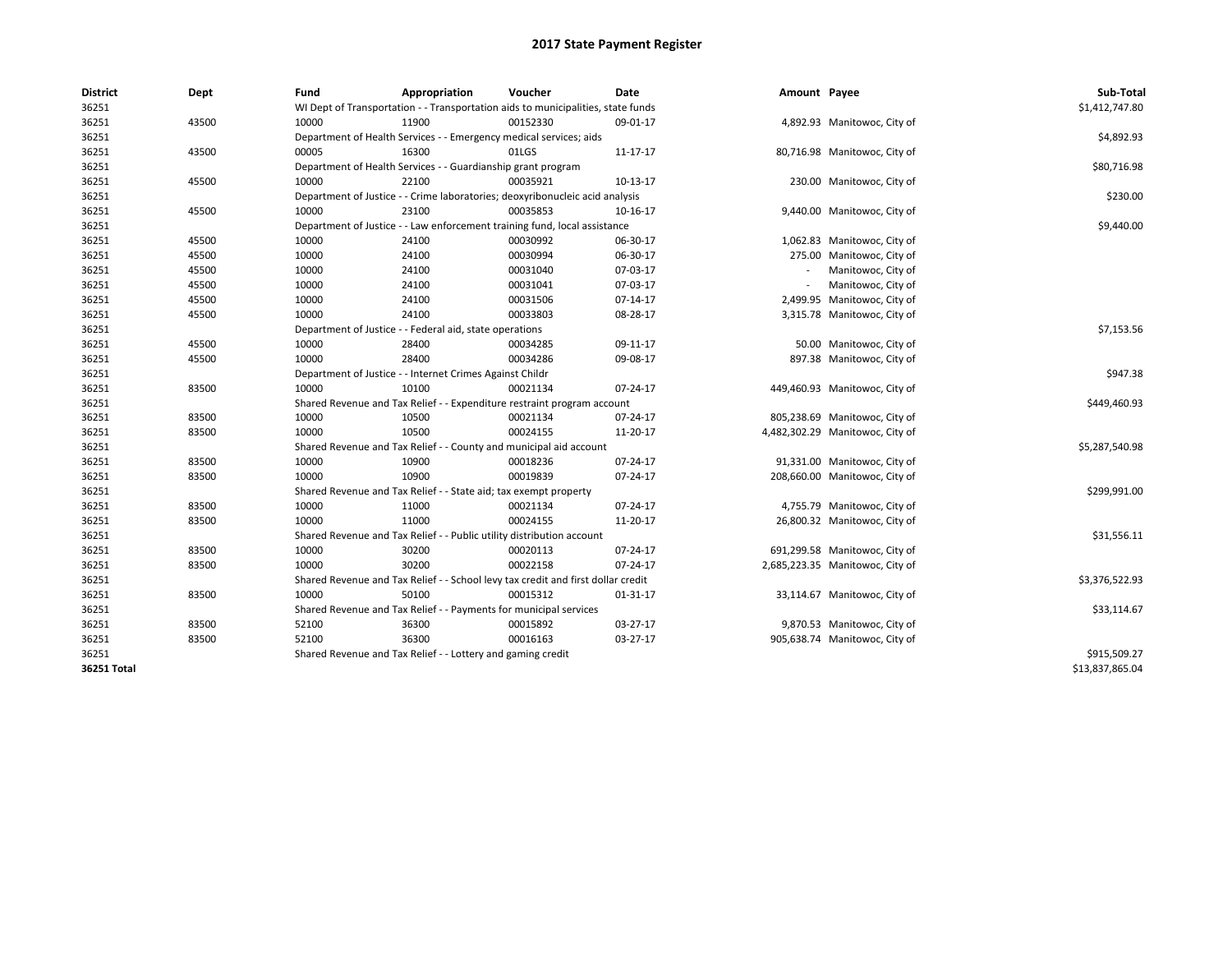| <b>District</b> | Dept  | Fund  | Appropriation                                                                    | Voucher  | Date     | Amount Payee |                                 | Sub-Total       |  |  |  |
|-----------------|-------|-------|----------------------------------------------------------------------------------|----------|----------|--------------|---------------------------------|-----------------|--|--|--|
| 36251           |       |       | WI Dept of Transportation - - Transportation aids to municipalities, state funds |          |          |              |                                 | \$1,412,747.80  |  |  |  |
| 36251           | 43500 | 10000 | 11900                                                                            | 00152330 | 09-01-17 |              | 4,892.93 Manitowoc, City of     |                 |  |  |  |
| 36251           |       |       | Department of Health Services - - Emergency medical services; aids               |          |          |              |                                 | \$4,892.93      |  |  |  |
| 36251           | 43500 | 00005 | 16300                                                                            | 01LGS    | 11-17-17 |              | 80,716.98 Manitowoc, City of    |                 |  |  |  |
| 36251           |       |       | Department of Health Services - - Guardianship grant program                     |          |          |              |                                 | \$80,716.98     |  |  |  |
| 36251           | 45500 | 10000 | 22100                                                                            | 00035921 | 10-13-17 |              | 230.00 Manitowoc, City of       |                 |  |  |  |
| 36251           |       |       | Department of Justice - - Crime laboratories; deoxyribonucleic acid analysis     |          |          |              |                                 | \$230.00        |  |  |  |
| 36251           | 45500 | 10000 | 23100                                                                            | 00035853 | 10-16-17 |              | 9,440.00 Manitowoc, City of     |                 |  |  |  |
| 36251           |       |       | Department of Justice - - Law enforcement training fund, local assistance        |          |          |              |                                 |                 |  |  |  |
| 36251           | 45500 | 10000 | 24100                                                                            | 00030992 | 06-30-17 |              | 1,062.83 Manitowoc, City of     |                 |  |  |  |
| 36251           | 45500 | 10000 | 24100                                                                            | 00030994 | 06-30-17 |              | 275.00 Manitowoc, City of       |                 |  |  |  |
| 36251           | 45500 | 10000 | 24100                                                                            | 00031040 | 07-03-17 |              | Manitowoc, City of              |                 |  |  |  |
| 36251           | 45500 | 10000 | 24100                                                                            | 00031041 | 07-03-17 |              | Manitowoc, City of              |                 |  |  |  |
| 36251           | 45500 | 10000 | 24100                                                                            | 00031506 | 07-14-17 |              | 2,499.95 Manitowoc, City of     |                 |  |  |  |
| 36251           | 45500 | 10000 | 24100                                                                            | 00033803 | 08-28-17 |              | 3,315.78 Manitowoc, City of     |                 |  |  |  |
| 36251           |       |       | Department of Justice - - Federal aid, state operations                          |          |          |              |                                 |                 |  |  |  |
| 36251           | 45500 | 10000 | 28400                                                                            | 00034285 | 09-11-17 |              | 50.00 Manitowoc, City of        |                 |  |  |  |
| 36251           | 45500 | 10000 | 28400                                                                            | 00034286 | 09-08-17 |              | 897.38 Manitowoc, City of       |                 |  |  |  |
| 36251           |       |       | Department of Justice - - Internet Crimes Against Childr                         |          |          |              |                                 |                 |  |  |  |
| 36251           | 83500 | 10000 | 10100                                                                            | 00021134 | 07-24-17 |              | 449,460.93 Manitowoc, City of   |                 |  |  |  |
| 36251           |       |       | Shared Revenue and Tax Relief - - Expenditure restraint program account          |          |          |              |                                 | \$449,460.93    |  |  |  |
| 36251           | 83500 | 10000 | 10500                                                                            | 00021134 | 07-24-17 |              | 805,238.69 Manitowoc, City of   |                 |  |  |  |
| 36251           | 83500 | 10000 | 10500                                                                            | 00024155 | 11-20-17 |              | 4,482,302.29 Manitowoc, City of |                 |  |  |  |
| 36251           |       |       | Shared Revenue and Tax Relief - - County and municipal aid account               |          |          |              |                                 | \$5,287,540.98  |  |  |  |
| 36251           | 83500 | 10000 | 10900                                                                            | 00018236 | 07-24-17 |              | 91,331.00 Manitowoc, City of    |                 |  |  |  |
| 36251           | 83500 | 10000 | 10900                                                                            | 00019839 | 07-24-17 |              | 208,660.00 Manitowoc, City of   |                 |  |  |  |
| 36251           |       |       | Shared Revenue and Tax Relief - - State aid; tax exempt property                 |          |          |              |                                 | \$299,991.00    |  |  |  |
| 36251           | 83500 | 10000 | 11000                                                                            | 00021134 | 07-24-17 |              | 4,755.79 Manitowoc, City of     |                 |  |  |  |
| 36251           | 83500 | 10000 | 11000                                                                            | 00024155 | 11-20-17 |              | 26,800.32 Manitowoc, City of    |                 |  |  |  |
| 36251           |       |       | Shared Revenue and Tax Relief - - Public utility distribution account            |          |          |              |                                 | \$31,556.11     |  |  |  |
| 36251           | 83500 | 10000 | 30200                                                                            | 00020113 | 07-24-17 |              | 691,299.58 Manitowoc, City of   |                 |  |  |  |
| 36251           | 83500 | 10000 | 30200                                                                            | 00022158 | 07-24-17 |              | 2,685,223.35 Manitowoc, City of |                 |  |  |  |
| 36251           |       |       | Shared Revenue and Tax Relief - - School levy tax credit and first dollar credit |          |          |              |                                 | \$3,376,522.93  |  |  |  |
| 36251           | 83500 | 10000 | 50100                                                                            | 00015312 | 01-31-17 |              | 33,114.67 Manitowoc, City of    |                 |  |  |  |
| 36251           |       |       | Shared Revenue and Tax Relief - - Payments for municipal services                |          |          |              |                                 | \$33,114.67     |  |  |  |
| 36251           | 83500 | 52100 | 36300                                                                            | 00015892 | 03-27-17 |              | 9,870.53 Manitowoc, City of     |                 |  |  |  |
| 36251           | 83500 | 52100 | 36300                                                                            | 00016163 | 03-27-17 |              | 905,638.74 Manitowoc, City of   |                 |  |  |  |
| 36251           |       |       | Shared Revenue and Tax Relief - - Lottery and gaming credit                      |          |          |              |                                 | \$915,509.27    |  |  |  |
| 36251 Total     |       |       |                                                                                  |          |          |              |                                 | \$13,837,865.04 |  |  |  |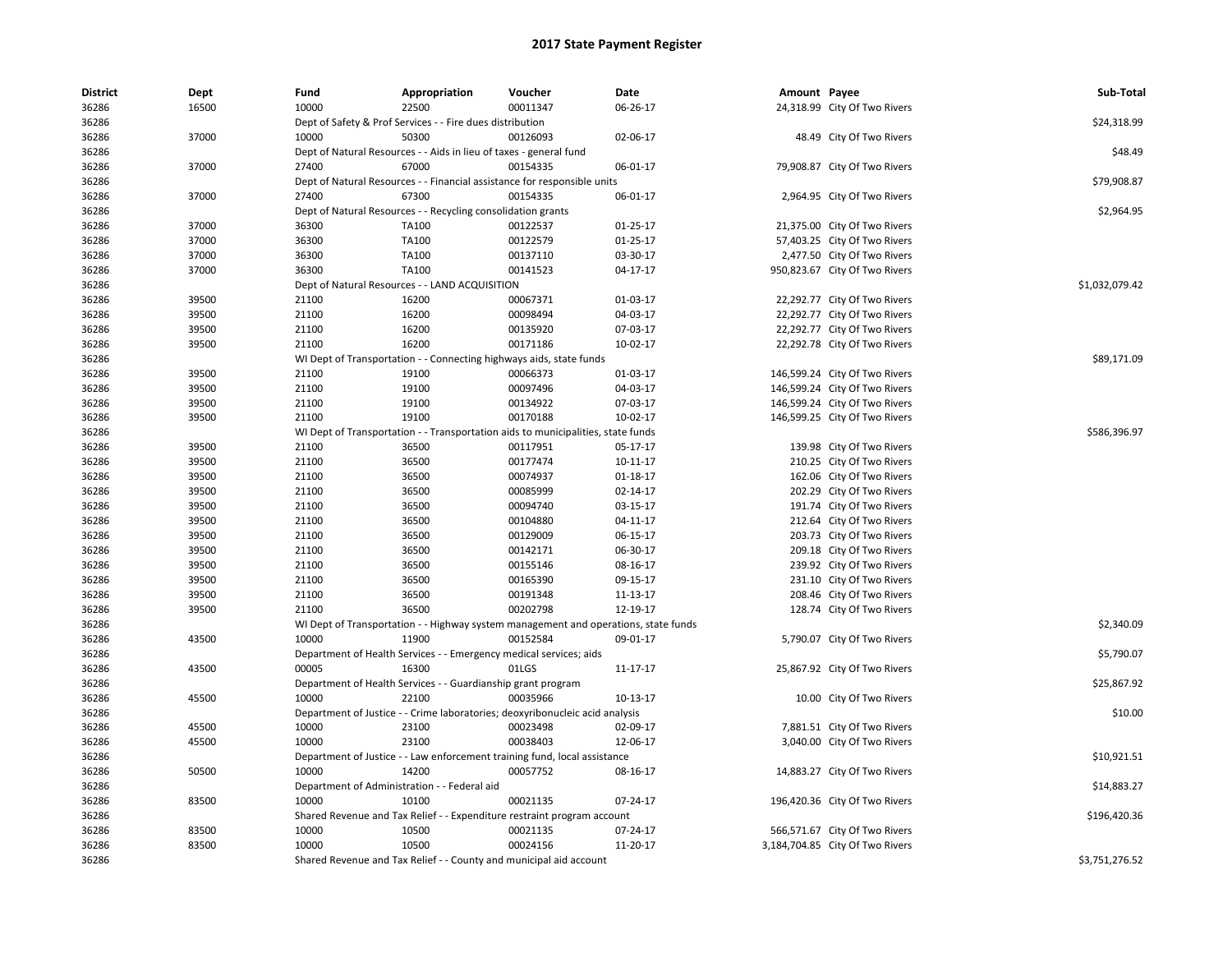| <b>District</b> | Dept  | Fund  | Appropriation                                                       | Voucher                                                                             | Date           | Amount Payee |                                 | Sub-Total      |
|-----------------|-------|-------|---------------------------------------------------------------------|-------------------------------------------------------------------------------------|----------------|--------------|---------------------------------|----------------|
| 36286           | 16500 | 10000 | 22500                                                               | 00011347                                                                            | 06-26-17       |              | 24,318.99 City Of Two Rivers    |                |
| 36286           |       |       | Dept of Safety & Prof Services - - Fire dues distribution           |                                                                                     |                |              |                                 | \$24,318.99    |
| 36286           | 37000 | 10000 | 50300                                                               | 00126093                                                                            | 02-06-17       |              | 48.49 City Of Two Rivers        |                |
| 36286           |       |       | Dept of Natural Resources - - Aids in lieu of taxes - general fund  |                                                                                     |                |              |                                 | \$48.49        |
| 36286           | 37000 | 27400 | 67000                                                               | 00154335                                                                            | 06-01-17       |              | 79,908.87 City Of Two Rivers    |                |
| 36286           |       |       |                                                                     | Dept of Natural Resources - - Financial assistance for responsible units            |                |              |                                 | \$79,908.87    |
| 36286           | 37000 | 27400 | 67300                                                               | 00154335                                                                            | 06-01-17       |              | 2,964.95 City Of Two Rivers     |                |
| 36286           |       |       | Dept of Natural Resources - - Recycling consolidation grants        |                                                                                     |                |              |                                 | \$2,964.95     |
| 36286           | 37000 | 36300 | TA100                                                               | 00122537                                                                            | 01-25-17       |              | 21,375.00 City Of Two Rivers    |                |
| 36286           | 37000 | 36300 | TA100                                                               | 00122579                                                                            | $01 - 25 - 17$ |              | 57,403.25 City Of Two Rivers    |                |
| 36286           | 37000 | 36300 | TA100                                                               | 00137110                                                                            | 03-30-17       |              | 2,477.50 City Of Two Rivers     |                |
| 36286           | 37000 | 36300 | TA100                                                               | 00141523                                                                            | 04-17-17       |              | 950,823.67 City Of Two Rivers   |                |
| 36286           |       |       | Dept of Natural Resources - - LAND ACQUISITION                      |                                                                                     |                |              |                                 | \$1,032,079.42 |
| 36286           | 39500 | 21100 | 16200                                                               | 00067371                                                                            | 01-03-17       |              | 22,292.77 City Of Two Rivers    |                |
| 36286           | 39500 | 21100 | 16200                                                               | 00098494                                                                            | 04-03-17       |              | 22,292.77 City Of Two Rivers    |                |
| 36286           | 39500 | 21100 | 16200                                                               | 00135920                                                                            | 07-03-17       |              | 22,292.77 City Of Two Rivers    |                |
| 36286           | 39500 | 21100 | 16200                                                               | 00171186                                                                            | 10-02-17       |              | 22,292.78 City Of Two Rivers    |                |
| 36286           |       |       | WI Dept of Transportation - - Connecting highways aids, state funds |                                                                                     |                |              |                                 | \$89,171.09    |
| 36286           | 39500 | 21100 | 19100                                                               | 00066373                                                                            | 01-03-17       |              | 146,599.24 City Of Two Rivers   |                |
| 36286           | 39500 | 21100 | 19100                                                               | 00097496                                                                            | 04-03-17       |              | 146,599.24 City Of Two Rivers   |                |
| 36286           | 39500 | 21100 | 19100                                                               | 00134922                                                                            | 07-03-17       |              | 146,599.24 City Of Two Rivers   |                |
| 36286           | 39500 | 21100 | 19100                                                               | 00170188                                                                            | 10-02-17       |              | 146,599.25 City Of Two Rivers   |                |
| 36286           |       |       |                                                                     | WI Dept of Transportation - - Transportation aids to municipalities, state funds    |                |              |                                 | \$586,396.97   |
| 36286           | 39500 | 21100 | 36500                                                               | 00117951                                                                            | 05-17-17       |              | 139.98 City Of Two Rivers       |                |
| 36286           | 39500 | 21100 | 36500                                                               | 00177474                                                                            | 10-11-17       |              | 210.25 City Of Two Rivers       |                |
| 36286           | 39500 | 21100 | 36500                                                               | 00074937                                                                            | 01-18-17       |              | 162.06 City Of Two Rivers       |                |
| 36286           | 39500 | 21100 | 36500                                                               | 00085999                                                                            | 02-14-17       |              | 202.29 City Of Two Rivers       |                |
| 36286           | 39500 | 21100 | 36500                                                               | 00094740                                                                            | 03-15-17       |              | 191.74 City Of Two Rivers       |                |
| 36286           | 39500 | 21100 | 36500                                                               | 00104880                                                                            | 04-11-17       |              | 212.64 City Of Two Rivers       |                |
|                 |       |       | 36500                                                               | 00129009                                                                            |                |              |                                 |                |
| 36286           | 39500 | 21100 |                                                                     |                                                                                     | 06-15-17       |              | 203.73 City Of Two Rivers       |                |
| 36286           | 39500 | 21100 | 36500                                                               | 00142171                                                                            | 06-30-17       |              | 209.18 City Of Two Rivers       |                |
| 36286           | 39500 | 21100 | 36500                                                               | 00155146                                                                            | 08-16-17       |              | 239.92 City Of Two Rivers       |                |
| 36286           | 39500 | 21100 | 36500                                                               | 00165390                                                                            | 09-15-17       |              | 231.10 City Of Two Rivers       |                |
| 36286           | 39500 | 21100 | 36500                                                               | 00191348                                                                            | 11-13-17       |              | 208.46 City Of Two Rivers       |                |
| 36286           | 39500 | 21100 | 36500                                                               | 00202798                                                                            | 12-19-17       |              | 128.74 City Of Two Rivers       |                |
| 36286           |       |       |                                                                     | WI Dept of Transportation - - Highway system management and operations, state funds |                |              |                                 | \$2,340.09     |
| 36286           | 43500 | 10000 | 11900                                                               | 00152584                                                                            | 09-01-17       |              | 5,790.07 City Of Two Rivers     |                |
| 36286           |       |       | Department of Health Services - - Emergency medical services; aids  |                                                                                     |                |              |                                 | \$5,790.07     |
| 36286           | 43500 | 00005 | 16300                                                               | 01LGS                                                                               | 11-17-17       |              | 25,867.92 City Of Two Rivers    |                |
| 36286           |       |       | Department of Health Services - - Guardianship grant program        |                                                                                     |                |              |                                 | \$25,867.92    |
| 36286           | 45500 | 10000 | 22100                                                               | 00035966                                                                            | 10-13-17       |              | 10.00 City Of Two Rivers        |                |
| 36286           |       |       |                                                                     | Department of Justice - - Crime laboratories; deoxyribonucleic acid analysis        |                |              |                                 | \$10.00        |
| 36286           | 45500 | 10000 | 23100                                                               | 00023498                                                                            | 02-09-17       |              | 7,881.51 City Of Two Rivers     |                |
| 36286           | 45500 | 10000 | 23100                                                               | 00038403                                                                            | 12-06-17       |              | 3,040.00 City Of Two Rivers     |                |
| 36286           |       |       |                                                                     | Department of Justice - - Law enforcement training fund, local assistance           |                |              |                                 | \$10,921.51    |
| 36286           | 50500 | 10000 | 14200                                                               | 00057752                                                                            | 08-16-17       |              | 14,883.27 City Of Two Rivers    |                |
| 36286           |       |       | Department of Administration - - Federal aid                        |                                                                                     |                |              |                                 | \$14,883.27    |
| 36286           | 83500 | 10000 | 10100                                                               | 00021135                                                                            | 07-24-17       |              | 196,420.36 City Of Two Rivers   |                |
| 36286           |       |       |                                                                     | Shared Revenue and Tax Relief - - Expenditure restraint program account             |                |              |                                 | \$196,420.36   |
| 36286           | 83500 | 10000 | 10500                                                               | 00021135                                                                            | 07-24-17       |              | 566,571.67 City Of Two Rivers   |                |
| 36286           | 83500 | 10000 | 10500                                                               | 00024156                                                                            | 11-20-17       |              | 3,184,704.85 City Of Two Rivers |                |
| 36286           |       |       | Shared Revenue and Tax Relief - - County and municipal aid account  |                                                                                     |                |              |                                 | \$3,751,276.52 |